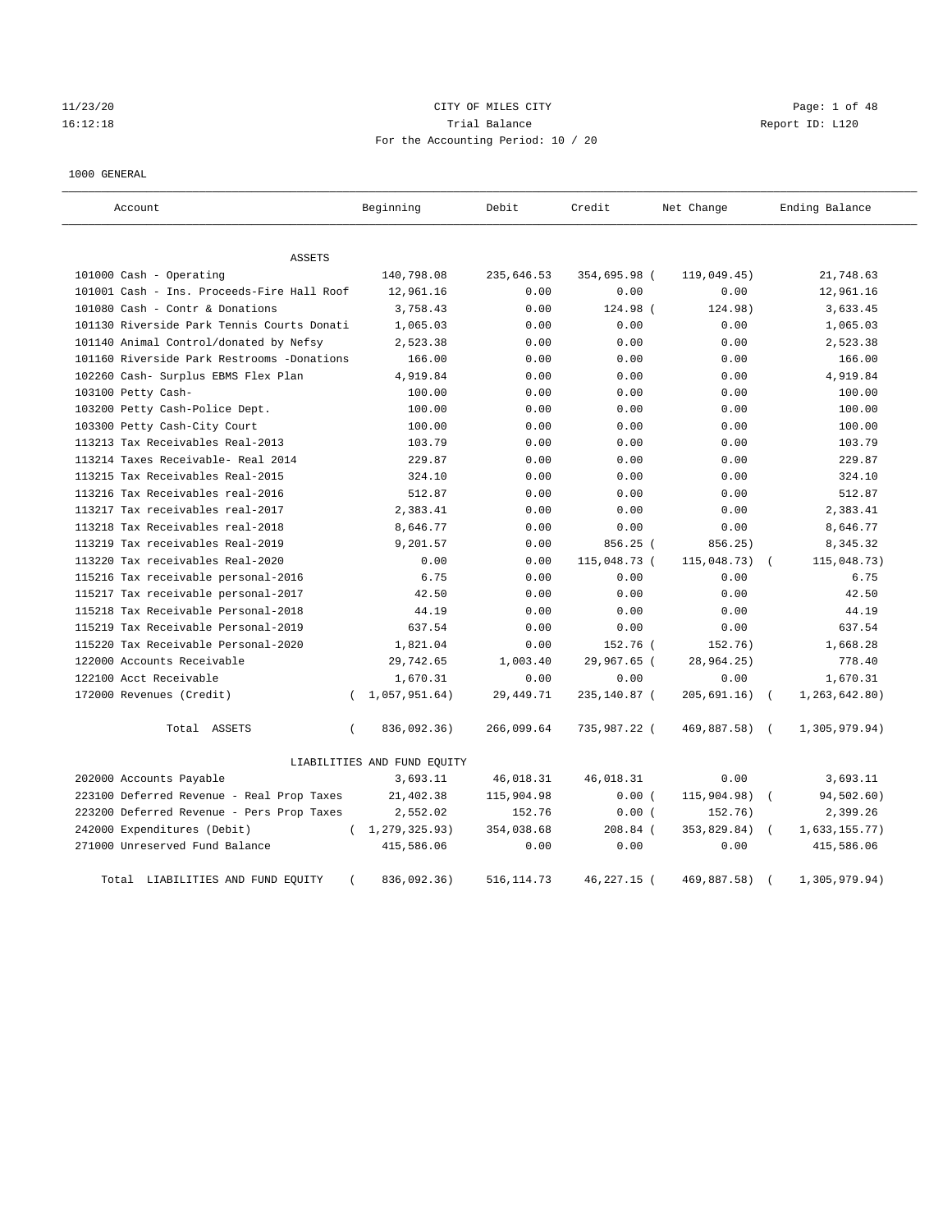# 11/23/20 CITY OF MILES CITY Page: 1 of 48 16:12:18 Trial Balance Report ID: L120 For the Accounting Period: 10 / 20

#### 1000 GENERAL

| Account                                    | Beginning                   | Debit       | Credit       | Net Change  | Ending Balance                |
|--------------------------------------------|-----------------------------|-------------|--------------|-------------|-------------------------------|
| ASSETS                                     |                             |             |              |             |                               |
| 101000 Cash - Operating                    | 140,798.08                  | 235,646.53  | 354,695.98 ( | 119,049.45) | 21,748.63                     |
| 101001 Cash - Ins. Proceeds-Fire Hall Roof | 12,961.16                   | 0.00        | 0.00         | 0.00        | 12,961.16                     |
| 101080 Cash - Contr & Donations            | 3,758.43                    | 0.00        | 124.98 (     | 124.98)     | 3,633.45                      |
| 101130 Riverside Park Tennis Courts Donati | 1,065.03                    | 0.00        | 0.00         | 0.00        | 1,065.03                      |
| 101140 Animal Control/donated by Nefsy     | 2,523.38                    | 0.00        | 0.00         | 0.00        | 2,523.38                      |
| 101160 Riverside Park Restrooms -Donations | 166.00                      | 0.00        | 0.00         | 0.00        | 166.00                        |
| 102260 Cash- Surplus EBMS Flex Plan        | 4,919.84                    | 0.00        | 0.00         | 0.00        | 4,919.84                      |
| 103100 Petty Cash-                         | 100.00                      | 0.00        | 0.00         | 0.00        | 100.00                        |
| 103200 Petty Cash-Police Dept.             | 100.00                      | 0.00        | 0.00         | 0.00        | 100.00                        |
| 103300 Petty Cash-City Court               | 100.00                      | 0.00        | 0.00         | 0.00        | 100.00                        |
| 113213 Tax Receivables Real-2013           | 103.79                      | 0.00        | 0.00         | 0.00        | 103.79                        |
| 113214 Taxes Receivable- Real 2014         | 229.87                      | 0.00        | 0.00         | 0.00        | 229.87                        |
| 113215 Tax Receivables Real-2015           | 324.10                      | 0.00        | 0.00         | 0.00        | 324.10                        |
| 113216 Tax Receivables real-2016           | 512.87                      | 0.00        | 0.00         | 0.00        | 512.87                        |
| 113217 Tax receivables real-2017           | 2,383.41                    | 0.00        | 0.00         | 0.00        | 2,383.41                      |
| 113218 Tax Receivables real-2018           | 8,646.77                    | 0.00        | 0.00         | 0.00        | 8,646.77                      |
| 113219 Tax receivables Real-2019           | 9,201.57                    | 0.00        | 856.25 (     | 856.25)     | 8,345.32                      |
| 113220 Tax receivables Real-2020           | 0.00                        | 0.00        | 115,048.73 ( | 115,048.73) | 115,048.73)                   |
| 115216 Tax receivable personal-2016        | 6.75                        | 0.00        | 0.00         | 0.00        | 6.75                          |
| 115217 Tax receivable personal-2017        | 42.50                       | 0.00        | 0.00         | 0.00        | 42.50                         |
| 115218 Tax Receivable Personal-2018        | 44.19                       | 0.00        | 0.00         | 0.00        | 44.19                         |
| 115219 Tax Receivable Personal-2019        | 637.54                      | 0.00        | 0.00         | 0.00        | 637.54                        |
| 115220 Tax Receivable Personal-2020        | 1,821.04                    | 0.00        | 152.76 (     | 152.76)     | 1,668.28                      |
| 122000 Accounts Receivable                 | 29,742.65                   | 1,003.40    | 29,967.65 (  | 28,964.25)  | 778.40                        |
| 122100 Acct Receivable                     | 1,670.31                    | 0.00        | 0.00         | 0.00        | 1,670.31                      |
| 172000 Revenues (Credit)                   | 1,057,951.64)<br>$\left($   | 29, 449. 71 | 235,140.87 ( | 205,691.16) | 1, 263, 642.80)<br>$\sqrt{2}$ |
| Total ASSETS                               | 836,092.36)<br>$\left($     | 266,099.64  | 735,987.22 ( | 469,887.58) | 1,305,979.94)<br>$\sqrt{2}$   |
|                                            | LIABILITIES AND FUND EQUITY |             |              |             |                               |
| 202000 Accounts Payable                    | 3,693.11                    | 46,018.31   | 46,018.31    | 0.00        | 3,693.11                      |
| 223100 Deferred Revenue - Real Prop Taxes  | 21,402.38                   | 115,904.98  | 0.00(        | 115,904.98) | 94,502.60)<br>$\left($        |
| 223200 Deferred Revenue - Pers Prop Taxes  | 2,552.02                    | 152.76      | 0.00(        | 152.76)     | 2,399.26                      |
| 242000 Expenditures (Debit)                | (1, 279, 325.93)            | 354,038.68  | 208.84 (     | 353,829.84) | 1,633,155.77)                 |
| 271000 Unreserved Fund Balance             | 415,586.06                  | 0.00        | 0.00         | 0.00        | 415,586.06                    |
| Total LIABILITIES AND FUND EQUITY          | 836,092.36)                 | 516, 114.73 | 46,227.15 (  | 469,887.58) | 1,305,979.94)                 |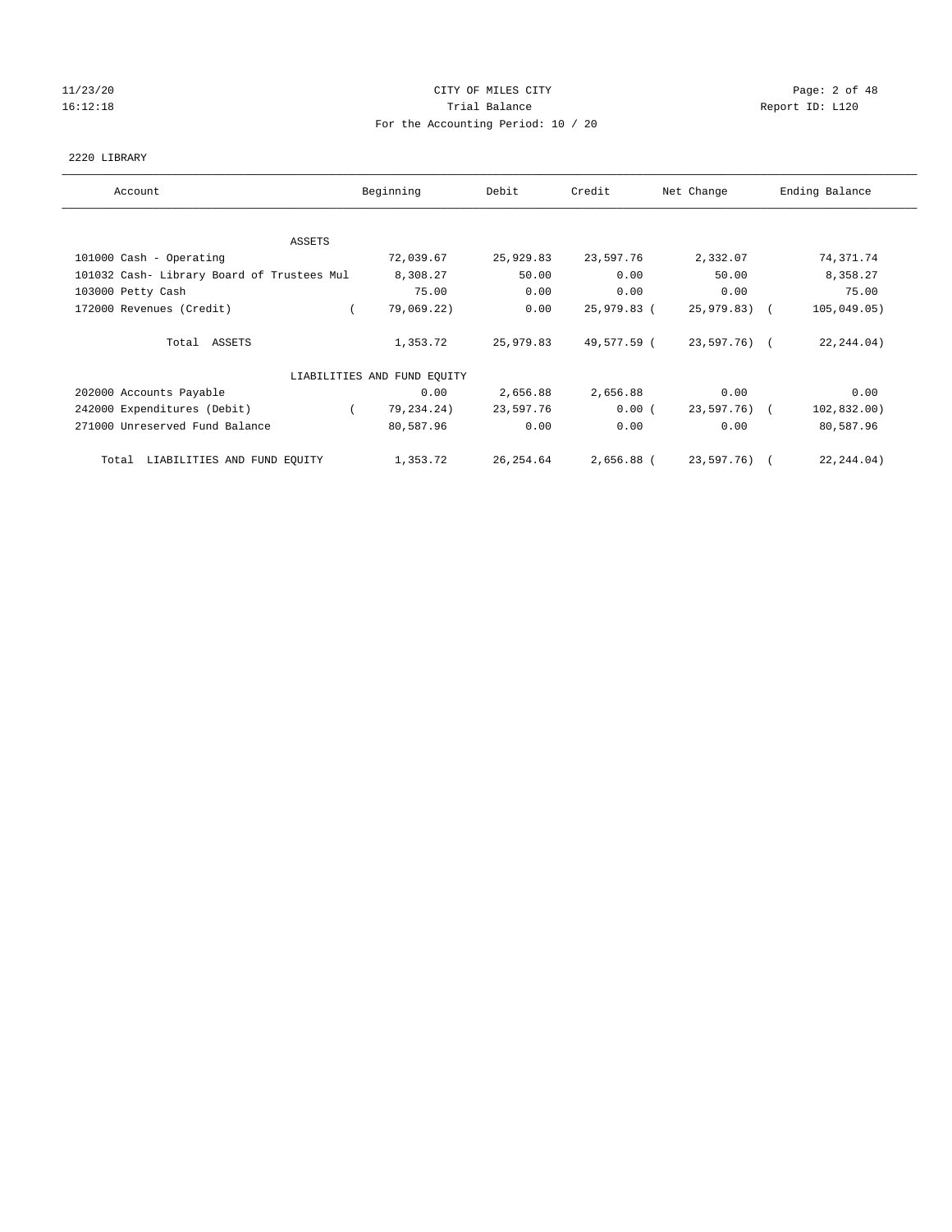#### 11/23/20 CITY OF MILES CITY Page: 2 of 48 16:12:18 Channel Balance Trial Balance Report ID: L120 For the Accounting Period: 10 / 20

#### 2220 LIBRARY

| Account                                    | Beginning                   | Debit      | Credit      | Net Change   | Ending Balance |
|--------------------------------------------|-----------------------------|------------|-------------|--------------|----------------|
| ASSETS                                     |                             |            |             |              |                |
| 101000 Cash - Operating                    | 72,039.67                   | 25,929.83  | 23,597.76   | 2,332.07     | 74,371.74      |
| 101032 Cash- Library Board of Trustees Mul | 8,308.27                    | 50.00      | 0.00        | 50.00        | 8,358.27       |
|                                            | 75.00                       | 0.00       | 0.00        |              | 75.00          |
| 103000 Petty Cash                          |                             |            |             | 0.00         |                |
| 172000 Revenues (Credit)                   | 79,069.22)                  | 0.00       | 25,979.83 ( | 25,979.83) ( | 105,049.05)    |
| Total ASSETS                               | 1,353.72                    | 25,979.83  | 49,577.59 ( | 23,597.76) ( | 22, 244.04)    |
|                                            | LIABILITIES AND FUND EQUITY |            |             |              |                |
| 202000 Accounts Payable                    | 0.00                        | 2,656.88   | 2,656.88    | 0.00         | 0.00           |
| 242000 Expenditures (Debit)                | 79,234.24)                  | 23,597.76  | 0.00(       | 23,597.76) ( | 102, 832.00)   |
| 271000 Unreserved Fund Balance             | 80,587.96                   | 0.00       | 0.00        | 0.00         | 80,587.96      |
| LIABILITIES AND FUND EQUITY<br>Total       | 1,353.72                    | 26, 254.64 | 2,656.88 (  | 23,597.76) ( | 22, 244.04)    |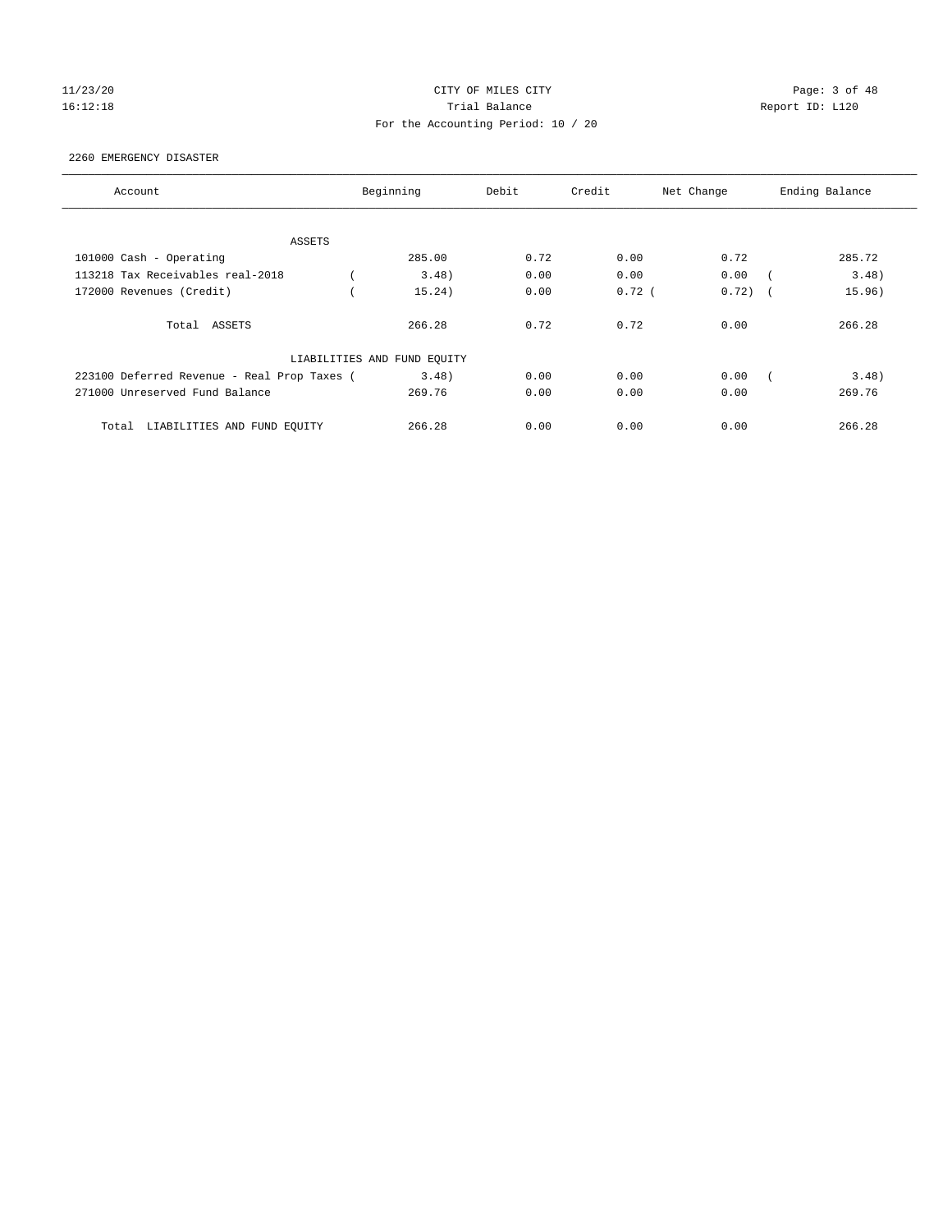#### 11/23/20 CITY OF MILES CITY Page: 3 of 48 16:12:18 Channel Balance Trial Balance Report ID: L120 For the Accounting Period: 10 / 20

#### 2260 EMERGENCY DISASTER

| Account                                     | Beginning                   | Debit         | Credit   | Net Change | Ending Balance                     |
|---------------------------------------------|-----------------------------|---------------|----------|------------|------------------------------------|
|                                             |                             |               |          |            |                                    |
| ASSETS                                      |                             |               |          |            |                                    |
| 101000 Cash - Operating                     | 285.00                      | 0.72          | 0.00     | 0.72       | 285.72                             |
| 113218 Tax Receivables real-2018            |                             | 3.48<br>0.00  | 0.00     | 0.00       | 3.48)                              |
| 172000 Revenues (Credit)                    | 15.24)                      | 0.00          | $0.72$ ( | 0.72)      | 15.96)<br>$\overline{\phantom{a}}$ |
| Total ASSETS                                | 266.28                      | 0.72          | 0.72     | 0.00       | 266.28                             |
|                                             | LIABILITIES AND FUND EQUITY |               |          |            |                                    |
| 223100 Deferred Revenue - Real Prop Taxes ( |                             | 3.48)<br>0.00 | 0.00     | 0.00       | 3.48)                              |
| 271000 Unreserved Fund Balance              | 269.76                      | 0.00          | 0.00     | 0.00       | 269.76                             |
| Total<br>LIABILITIES AND FUND EQUITY        | 266.28                      | 0.00          | 0.00     | 0.00       | 266.28                             |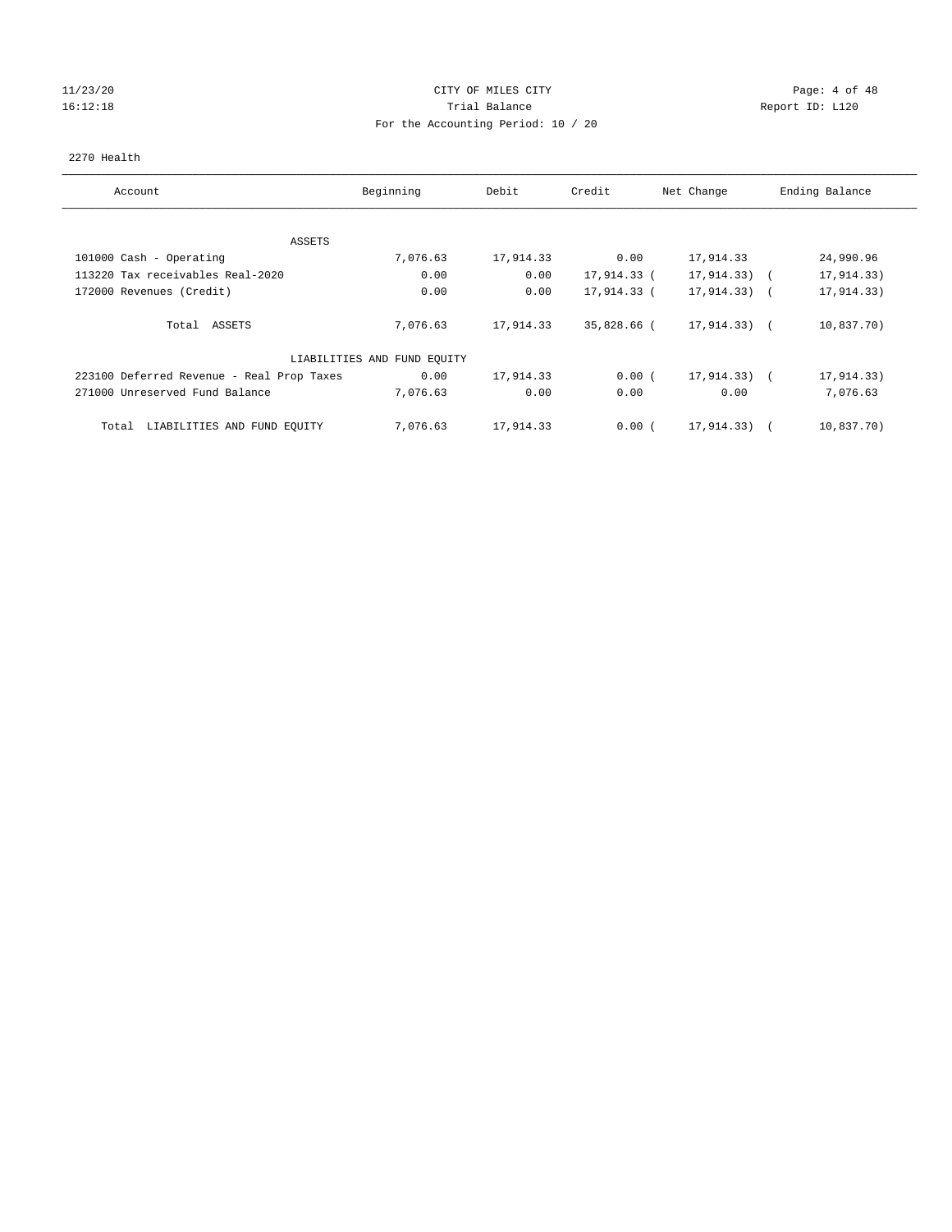# 11/23/20 Page: 4 of 48 16:12:18 Channel Balance Trial Balance Report ID: L120 For the Accounting Period: 10 / 20

#### 2270 Health

| Account                                   | Beginning                   | Debit     | Credit      | Net Change      | Ending Balance |
|-------------------------------------------|-----------------------------|-----------|-------------|-----------------|----------------|
|                                           |                             |           |             |                 |                |
| ASSETS                                    |                             |           |             |                 |                |
| 101000 Cash - Operating                   | 7,076.63                    | 17,914.33 | 0.00        | 17,914.33       | 24,990.96      |
| 113220 Tax receivables Real-2020          | 0.00                        | 0.00      | 17,914.33 ( | 17,914.33)      | 17,914.33)     |
| 172000 Revenues (Credit)                  | 0.00                        | 0.00      | 17,914.33 ( | $17,914.33)$ (  | 17,914.33)     |
| Total ASSETS                              | 7,076.63                    | 17,914.33 | 35,828.66 ( | $17,914.33$ ) ( | 10,837.70)     |
|                                           | LIABILITIES AND FUND EQUITY |           |             |                 |                |
| 223100 Deferred Revenue - Real Prop Taxes | 0.00                        | 17,914.33 | 0.00(       | $17,914.33)$ (  | 17,914.33)     |
| 271000 Unreserved Fund Balance            | 7,076.63                    | 0.00      | 0.00        | 0.00            | 7,076.63       |
| LIABILITIES AND FUND EQUITY<br>Total      | 7,076.63                    | 17,914.33 | 0.00(       | 17,914.33)      | 10,837.70)     |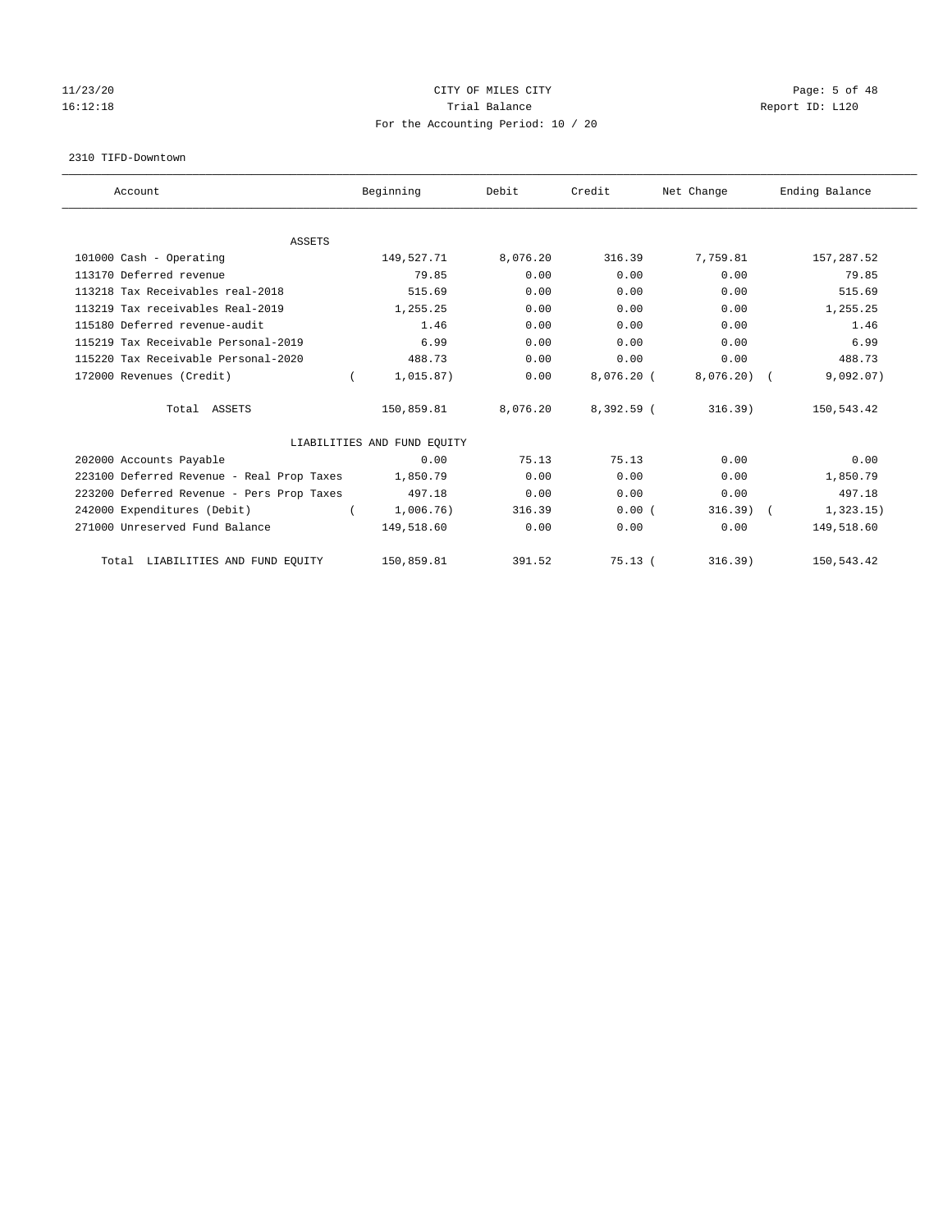# 11/23/20 Page: 5 of 48 16:12:18 Channel Report ID: L120 For the Accounting Period: 10 / 20

#### 2310 TIFD-Downtown

| Account                                   | Beginning                   | Debit    | Credit       | Net Change | Ending Balance |
|-------------------------------------------|-----------------------------|----------|--------------|------------|----------------|
|                                           |                             |          |              |            |                |
| <b>ASSETS</b><br>101000 Cash - Operating  | 149,527.71                  | 8,076.20 | 316.39       | 7,759.81   | 157, 287.52    |
| 113170 Deferred revenue                   | 79.85                       | 0.00     | 0.00         | 0.00       | 79.85          |
|                                           |                             |          |              |            |                |
| 113218 Tax Receivables real-2018          | 515.69                      | 0.00     | 0.00         | 0.00       | 515.69         |
| 113219 Tax receivables Real-2019          | 1,255.25                    | 0.00     | 0.00         | 0.00       | 1,255.25       |
| 115180 Deferred revenue-audit             | 1.46                        | 0.00     | 0.00         | 0.00       | 1.46           |
| 115219 Tax Receivable Personal-2019       | 6.99                        | 0.00     | 0.00         | 0.00       | 6.99           |
| 115220 Tax Receivable Personal-2020       | 488.73                      | 0.00     | 0.00         | 0.00       | 488.73         |
| 172000 Revenues (Credit)                  | 1,015.87)                   | 0.00     | $8,076.20$ ( | 8,076.20   | 9,092.07)      |
| Total ASSETS                              | 150,859.81                  | 8,076.20 | 8,392.59 (   | 316.39     | 150,543.42     |
|                                           | LIABILITIES AND FUND EQUITY |          |              |            |                |
| 202000 Accounts Payable                   | 0.00                        | 75.13    | 75.13        | 0.00       | 0.00           |
| 223100 Deferred Revenue - Real Prop Taxes | 1,850.79                    | 0.00     | 0.00         | 0.00       | 1,850.79       |
| 223200 Deferred Revenue - Pers Prop Taxes | 497.18                      | 0.00     | 0.00         | 0.00       | 497.18         |
| 242000 Expenditures (Debit)               | 1,006.76)                   | 316.39   | 0.00(        | 316.39)    | 1,323.15)      |
| 271000 Unreserved Fund Balance            | 149,518.60                  | 0.00     | 0.00         | 0.00       | 149,518.60     |
| Total LIABILITIES AND FUND EQUITY         | 150,859.81                  | 391.52   | 75.13(       | 316.39)    | 150,543.42     |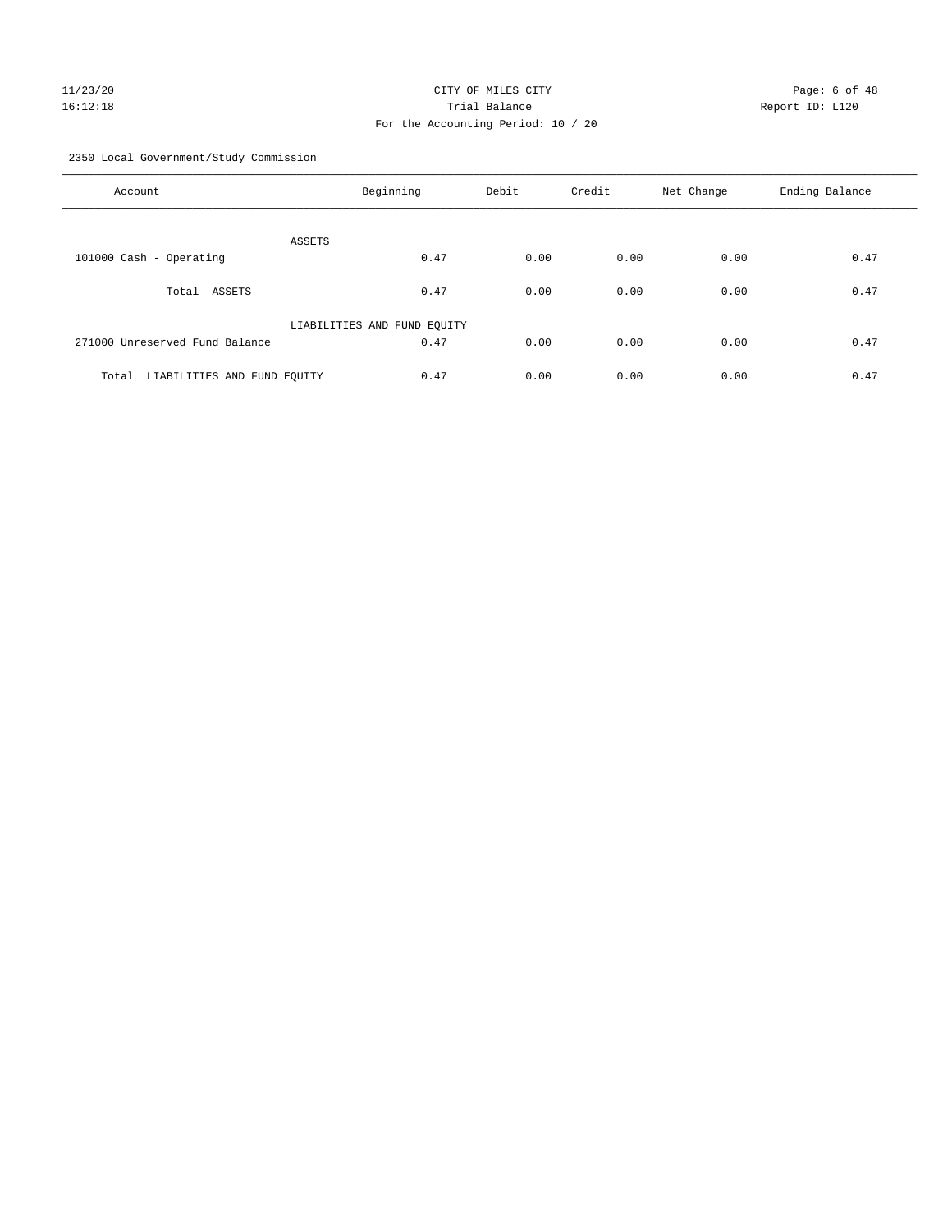# 11/23/20 Page: 6 of 48 16:12:18 Trial Balance Report ID: L120 For the Accounting Period: 10 / 20

2350 Local Government/Study Commission

| Account                              | Beginning                   | Debit | Credit | Net Change | Ending Balance |
|--------------------------------------|-----------------------------|-------|--------|------------|----------------|
| ASSETS                               |                             |       |        |            |                |
| 101000 Cash - Operating              | 0.47                        | 0.00  | 0.00   | 0.00       | 0.47           |
| ASSETS<br>Total                      | 0.47                        | 0.00  | 0.00   | 0.00       | 0.47           |
|                                      | LIABILITIES AND FUND EQUITY |       |        |            |                |
| 271000 Unreserved Fund Balance       | 0.47                        | 0.00  | 0.00   | 0.00       | 0.47           |
| LIABILITIES AND FUND EQUITY<br>Total | 0.47                        | 0.00  | 0.00   | 0.00       | 0.47           |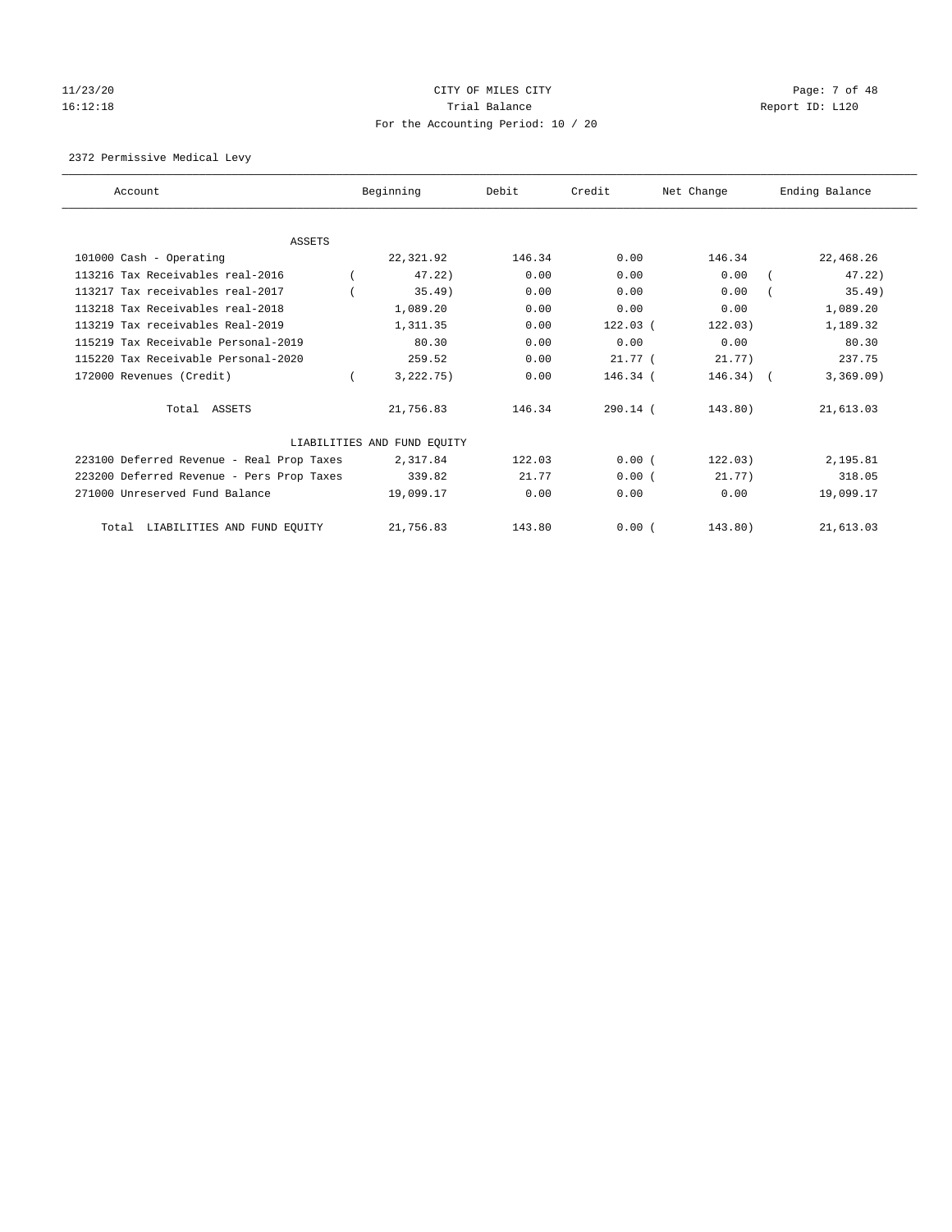# 11/23/20 Page: 7 of 48 16:12:18 Channel Balance Trial Balance Report ID: L120 For the Accounting Period: 10 / 20

2372 Permissive Medical Levy

| Account                                   | Beginning                   | Debit  | Credit     | Net Change | Ending Balance |
|-------------------------------------------|-----------------------------|--------|------------|------------|----------------|
|                                           |                             |        |            |            |                |
| ASSETS                                    |                             |        |            |            |                |
| 101000 Cash - Operating                   | 22,321.92                   | 146.34 | 0.00       | 146.34     | 22,468.26      |
| 113216 Tax Receivables real-2016          | 47.22                       | 0.00   | 0.00       | 0.00       | 47.22)         |
| 113217 Tax receivables real-2017          | $35.49$ )                   | 0.00   | 0.00       | 0.00       | $35.49$ )      |
| 113218 Tax Receivables real-2018          | 1,089.20                    | 0.00   | 0.00       | 0.00       | 1,089.20       |
| 113219 Tax receivables Real-2019          | 1,311.35                    | 0.00   | $122.03$ ( | 122.03)    | 1,189.32       |
| 115219 Tax Receivable Personal-2019       | 80.30                       | 0.00   | 0.00       | 0.00       | 80.30          |
| 115220 Tax Receivable Personal-2020       | 259.52                      | 0.00   | $21.77$ (  | 21.77)     | 237.75         |
| 172000 Revenues (Credit)                  | 3,222.75)                   | 0.00   | 146.34 (   | 146.34)    | 3,369.09)      |
| Total ASSETS                              | 21,756.83                   | 146.34 | $290.14$ ( | 143.80)    | 21,613.03      |
|                                           | LIABILITIES AND FUND EQUITY |        |            |            |                |
| 223100 Deferred Revenue - Real Prop Taxes | 2,317.84                    | 122.03 | 0.00(      | 122.03)    | 2,195.81       |
| 223200 Deferred Revenue - Pers Prop Taxes | 339.82                      | 21.77  | 0.00(      | 21.77)     | 318.05         |
| 271000 Unreserved Fund Balance            | 19,099.17                   | 0.00   | 0.00       | 0.00       | 19,099.17      |
| LIABILITIES AND FUND EQUITY<br>Total      | 21,756.83                   | 143.80 | 0.00(      | 143.80)    | 21,613.03      |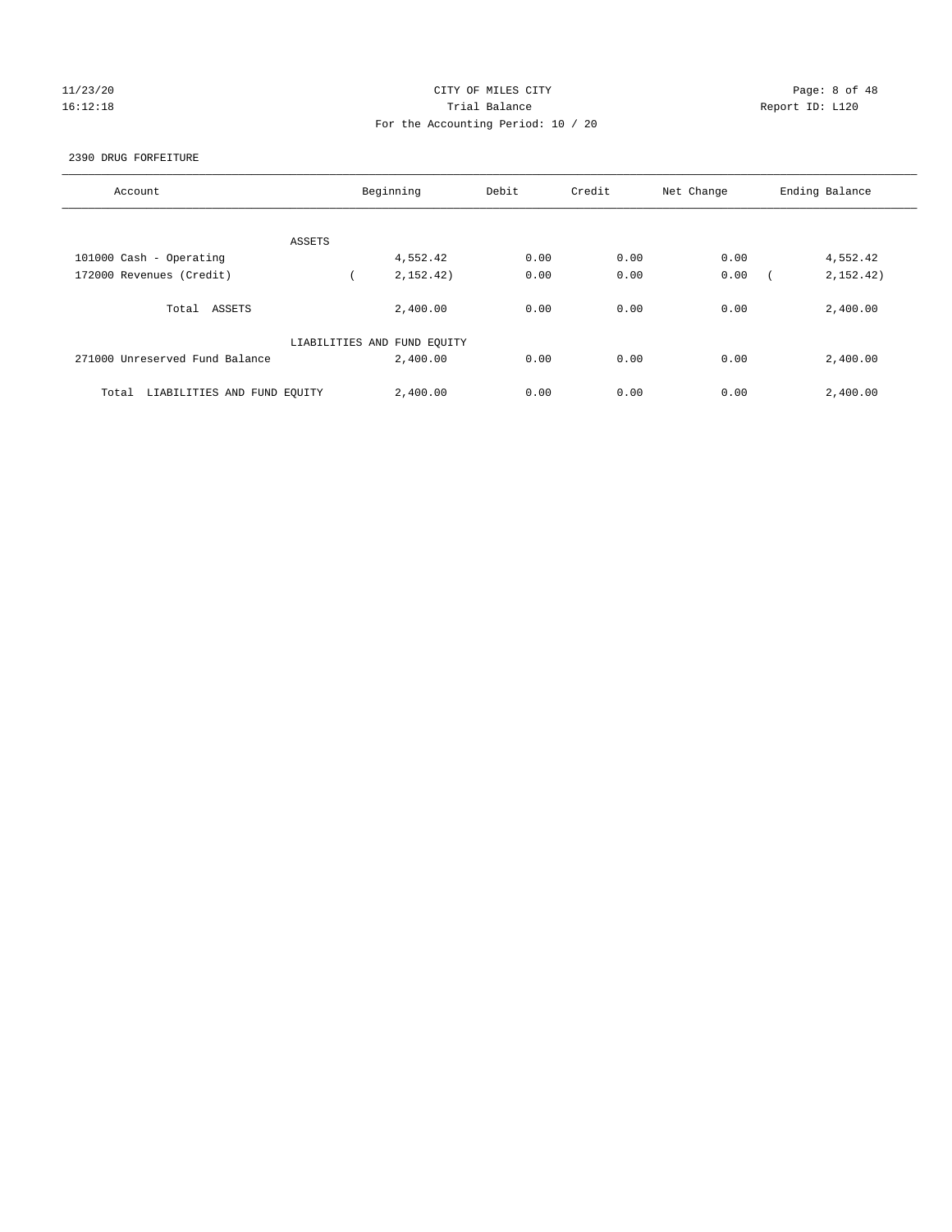# 11/23/20 Page: 8 of 48 16:12:18 Trial Balance Report ID: L120 For the Accounting Period: 10 / 20

#### 2390 DRUG FORFEITURE

| Account                              | Beginning                   | Debit | Credit | Net Change | Ending Balance |
|--------------------------------------|-----------------------------|-------|--------|------------|----------------|
|                                      |                             |       |        |            |                |
|                                      |                             |       |        |            |                |
| ASSETS                               |                             |       |        |            |                |
| 101000 Cash - Operating              | 4,552.42                    | 0.00  | 0.00   | 0.00       | 4,552.42       |
| 172000 Revenues (Credit)             | 2,152,42)                   | 0.00  | 0.00   | 0.00       | 2, 152, 42)    |
|                                      |                             |       |        |            |                |
| Total ASSETS                         | 2,400.00                    | 0.00  | 0.00   | 0.00       | 2,400.00       |
|                                      |                             |       |        |            |                |
|                                      | LIABILITIES AND FUND EQUITY |       |        |            |                |
| 271000 Unreserved Fund Balance       | 2,400.00                    | 0.00  | 0.00   | 0.00       | 2,400.00       |
|                                      |                             |       |        |            |                |
| LIABILITIES AND FUND EQUITY<br>Total | 2,400.00                    | 0.00  | 0.00   | 0.00       | 2,400.00       |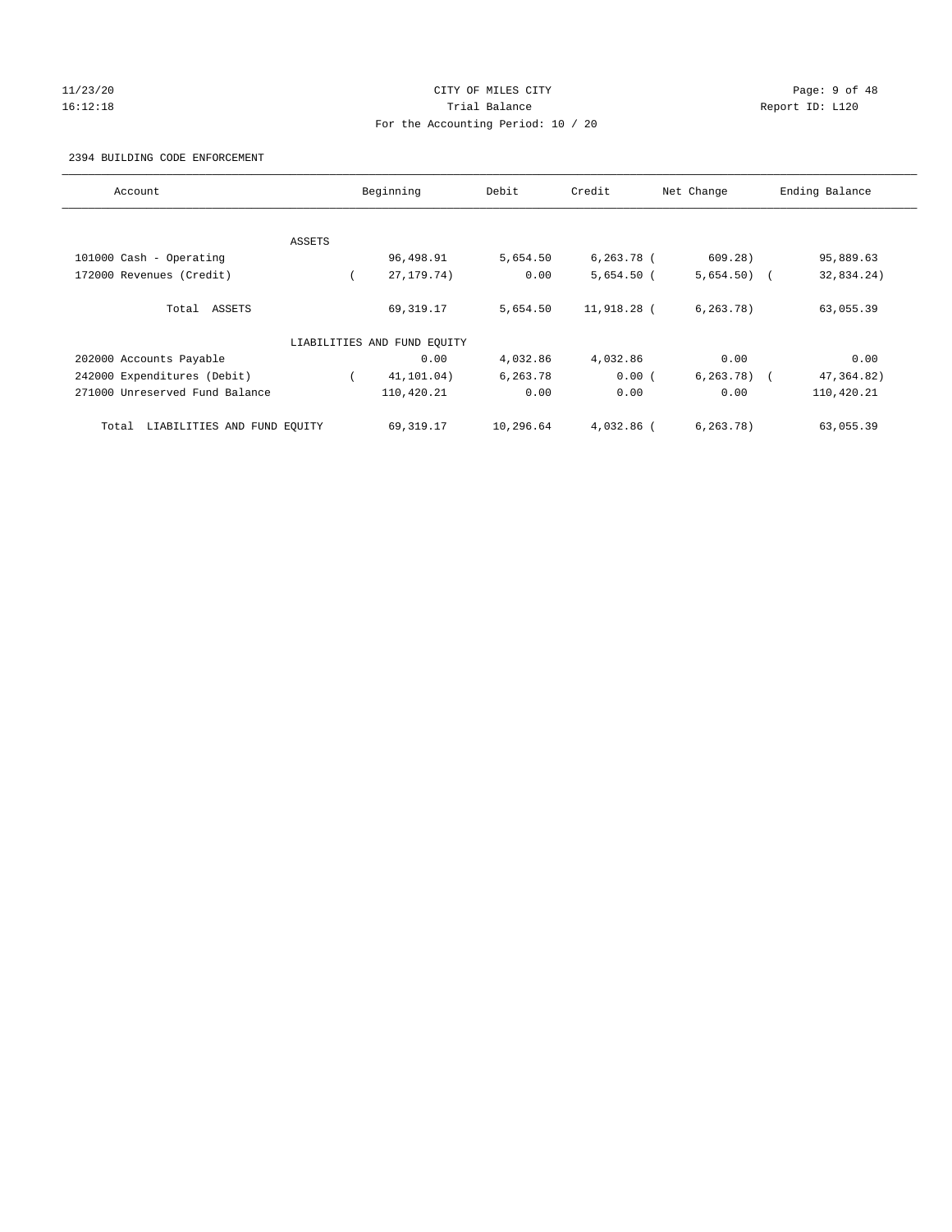#### 11/23/20 CITY OF MILES CITY Page: 9 of 48 16:12:18 Trial Balance Report ID: L120 For the Accounting Period: 10 / 20

#### 2394 BUILDING CODE ENFORCEMENT

| Account                              |        | Beginning                   | Debit     | Credit       | Net Change     | Ending Balance |
|--------------------------------------|--------|-----------------------------|-----------|--------------|----------------|----------------|
|                                      |        |                             |           |              |                |                |
|                                      | ASSETS |                             |           |              |                |                |
| 101000 Cash - Operating              |        | 96,498.91                   | 5,654.50  | $6,263.78$ ( | 609.28)        | 95,889.63      |
| 172000 Revenues (Credit)             |        | 27, 179. 74)                | 0.00      | $5,654.50$ ( | $5,654.50$ (   | 32,834.24)     |
| Total ASSETS                         |        | 69,319.17                   | 5,654.50  | 11,918.28 (  | 6, 263, 78)    | 63,055.39      |
|                                      |        | LIABILITIES AND FUND EQUITY |           |              |                |                |
| 202000 Accounts Payable              |        | 0.00                        | 4,032.86  | 4,032.86     | 0.00           | 0.00           |
| 242000 Expenditures (Debit)          |        | 41,101.04)                  | 6,263.78  | 0.00(        | $6, 263, 78$ ( | 47, 364.82)    |
| 271000 Unreserved Fund Balance       |        | 110,420.21                  | 0.00      | 0.00         | 0.00           | 110,420.21     |
| LIABILITIES AND FUND EQUITY<br>Total |        | 69,319.17                   | 10,296.64 | $4.032.86$ ( | 6, 263, 78)    | 63,055.39      |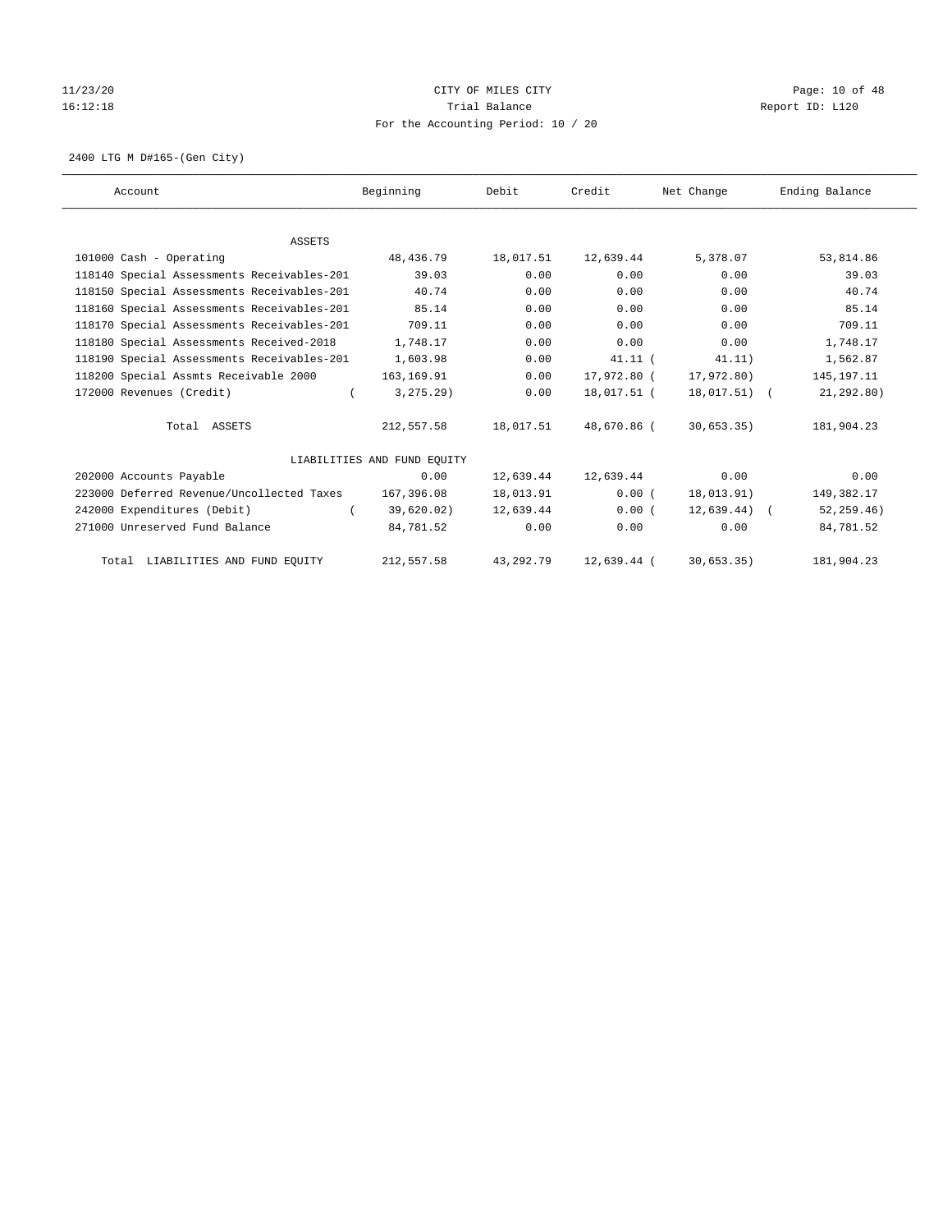# 11/23/20 Page: 10 of 48 16:12:18 Channel Balance Trial Balance Report ID: L120 For the Accounting Period: 10 / 20

2400 LTG M D#165-(Gen City)

| Account                                    | Beginning                   | Debit       | Credit      | Net Change      | Ending Balance |
|--------------------------------------------|-----------------------------|-------------|-------------|-----------------|----------------|
|                                            |                             |             |             |                 |                |
| <b>ASSETS</b>                              |                             |             |             |                 |                |
| 101000 Cash - Operating                    | 48,436.79                   | 18,017.51   | 12,639.44   | 5,378.07        | 53,814.86      |
| 118140 Special Assessments Receivables-201 | 39.03                       | 0.00        | 0.00        | 0.00            | 39.03          |
| 118150 Special Assessments Receivables-201 | 40.74                       | 0.00        | 0.00        | 0.00            | 40.74          |
| 118160 Special Assessments Receivables-201 | 85.14                       | 0.00        | 0.00        | 0.00            | 85.14          |
| 118170 Special Assessments Receivables-201 | 709.11                      | 0.00        | 0.00        | 0.00            | 709.11         |
| 118180 Special Assessments Received-2018   | 1,748.17                    | 0.00        | 0.00        | 0.00            | 1,748.17       |
| 118190 Special Assessments Receivables-201 | 1,603.98                    | 0.00        | $41.11$ (   | 41.11)          | 1,562.87       |
| 118200 Special Assmts Receivable 2000      | 163,169.91                  | 0.00        | 17,972.80 ( | 17,972.80)      | 145, 197. 11   |
| 172000 Revenues (Credit)                   | 3, 275.29<br>$\left($       | 0.00        | 18,017.51 ( | 18,017.51) (    | 21, 292, 80)   |
| Total ASSETS                               | 212,557.58                  | 18,017.51   | 48,670.86 ( | 30,653.35)      | 181,904.23     |
|                                            | LIABILITIES AND FUND EQUITY |             |             |                 |                |
| 202000 Accounts Payable                    | 0.00                        | 12,639.44   | 12,639.44   | 0.00            | 0.00           |
| 223000 Deferred Revenue/Uncollected Taxes  | 167,396.08                  | 18,013.91   | 0.00(       | 18,013.91)      | 149,382.17     |
| 242000 Expenditures (Debit)                | 39,620.02)                  | 12,639.44   | 0.00(       | $12,639.44$ ) ( | 52, 259.46)    |
| 271000 Unreserved Fund Balance             | 84,781.52                   | 0.00        | 0.00        | 0.00            | 84,781.52      |
| Total LIABILITIES AND FUND EQUITY          | 212,557.58                  | 43, 292. 79 | 12,639.44 ( | 30,653.35)      | 181,904.23     |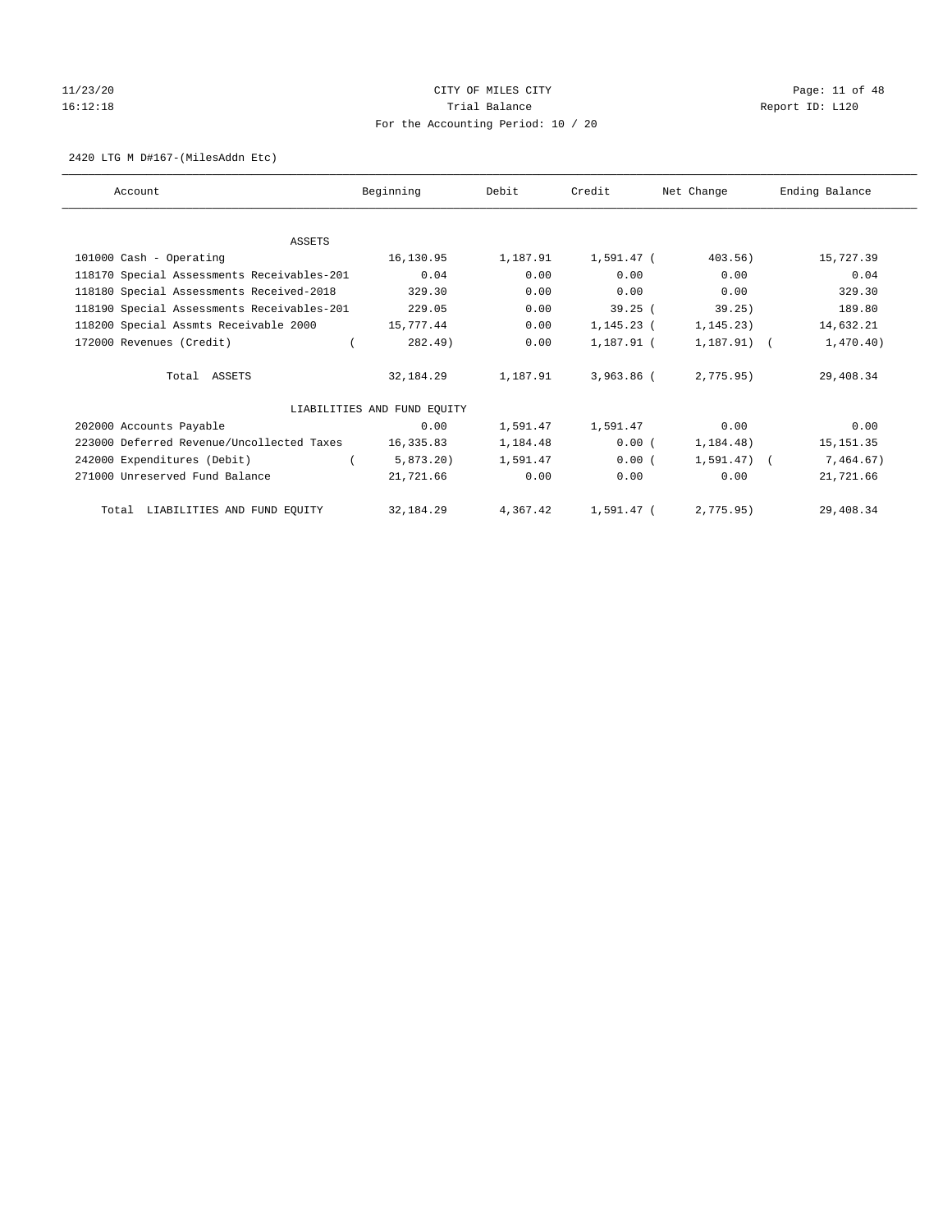# 11/23/20 Page: 11 of 48 16:12:18 Channel Balance Trial Balance Report ID: L120 For the Accounting Period: 10 / 20

#### 2420 LTG M D#167-(MilesAddn Etc)

| Account                                    | Beginning                   | Debit    | Credit       | Net Change    | Ending Balance |
|--------------------------------------------|-----------------------------|----------|--------------|---------------|----------------|
|                                            |                             |          |              |               |                |
| <b>ASSETS</b>                              |                             |          |              |               |                |
| 101000 Cash - Operating                    | 16,130.95                   | 1,187.91 | 1,591.47 (   | 403.56)       | 15,727.39      |
| 118170 Special Assessments Receivables-201 | 0.04                        | 0.00     | 0.00         | 0.00          | 0.04           |
| 118180 Special Assessments Received-2018   | 329.30                      | 0.00     | 0.00         | 0.00          | 329.30         |
| 118190 Special Assessments Receivables-201 | 229.05                      | 0.00     | 39.25(       | 39.25)        | 189.80         |
| 118200 Special Assmts Receivable 2000      | 15,777.44                   | 0.00     | 1,145.23 (   | 1, 145.23)    | 14,632.21      |
| 172000 Revenues (Credit)                   | 282.49)                     | 0.00     | 1,187.91 (   | $1,187.91)$ ( | 1,470.40)      |
| Total ASSETS                               | 32,184.29                   | 1,187.91 | 3,963.86 (   | 2,775.95)     | 29,408.34      |
|                                            | LIABILITIES AND FUND EOUITY |          |              |               |                |
| 202000 Accounts Payable                    | 0.00                        | 1,591.47 | 1,591.47     | 0.00          | 0.00           |
| 223000 Deferred Revenue/Uncollected Taxes  | 16,335.83                   | 1,184.48 | 0.00(        | 1, 184.48)    | 15, 151.35     |
| 242000 Expenditures (Debit)                | 5,873.20                    | 1,591.47 | 0.00(        | $1.591.47$ (  | 7,464.67)      |
| 271000 Unreserved Fund Balance             | 21,721.66                   | 0.00     | 0.00         | 0.00          | 21,721.66      |
| Total LIABILITIES AND FUND EQUITY          | 32, 184. 29                 | 4,367.42 | $1,591.47$ ( | 2,775.95)     | 29,408.34      |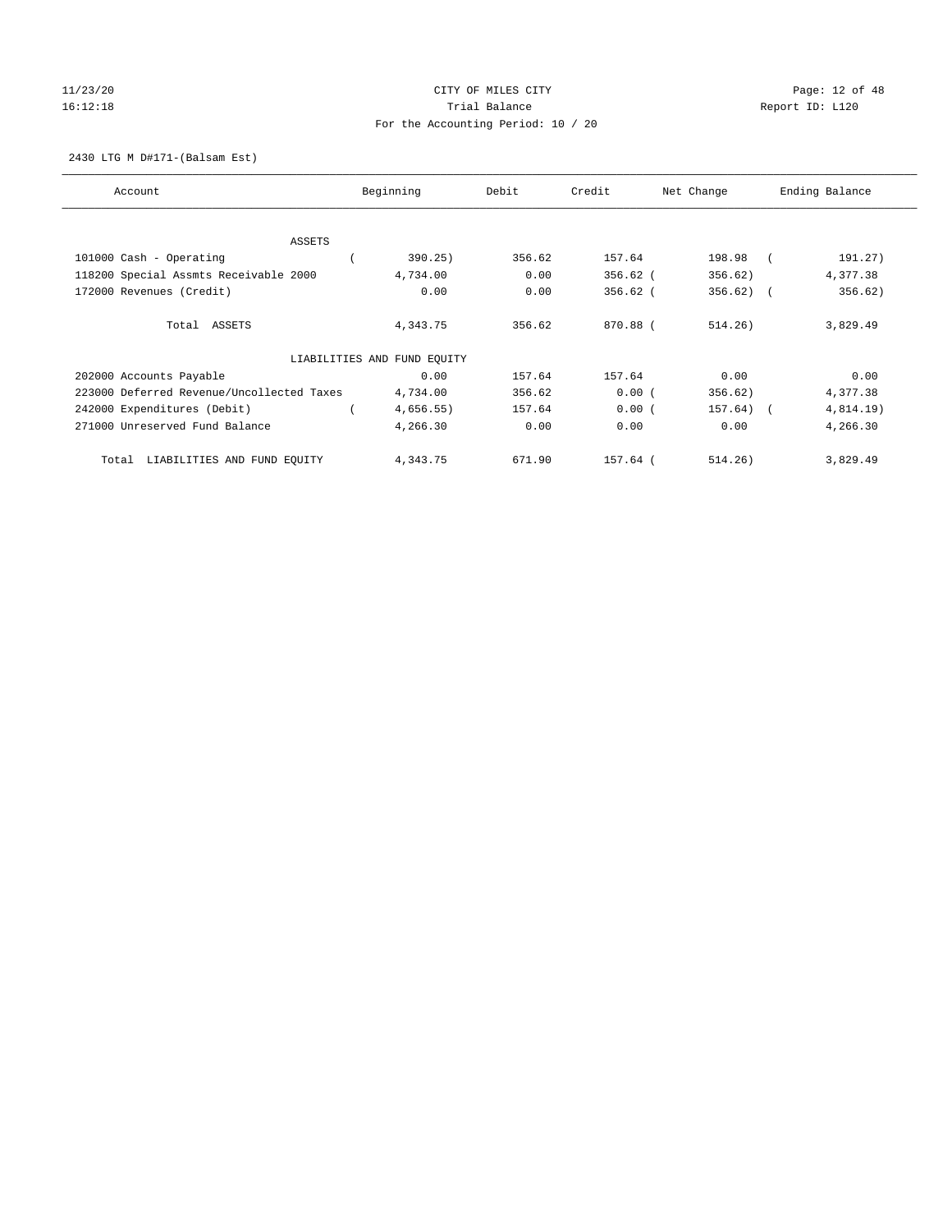# 11/23/20 Page: 12 of 48 16:12:18 Channel Balance Trial Balance Report ID: L120 For the Accounting Period: 10 / 20

2430 LTG M D#171-(Balsam Est)

| Account                                   | Beginning                   | Debit  | Credit     | Net Change   | Ending Balance        |
|-------------------------------------------|-----------------------------|--------|------------|--------------|-----------------------|
| ASSETS                                    |                             |        |            |              |                       |
| 101000 Cash - Operating                   | 390.25)                     | 356.62 | 157.64     | 198.98       | 191.27)               |
| 118200 Special Assmts Receivable 2000     | 4,734.00                    | 0.00   | $356.62$ ( | 356.62)      | 4,377.38              |
| 172000 Revenues (Credit)                  | 0.00                        | 0.00   | $356.62$ ( | 356.62)      | 356.62)<br>$\sqrt{2}$ |
| Total ASSETS                              | 4,343.75                    | 356.62 | 870.88 (   | 514.26)      | 3,829.49              |
|                                           | LIABILITIES AND FUND EQUITY |        |            |              |                       |
| 202000 Accounts Payable                   | 0.00                        | 157.64 | 157.64     | 0.00         | 0.00                  |
| 223000 Deferred Revenue/Uncollected Taxes | 4,734.00                    | 356.62 | 0.00(      | 356.62)      | 4,377.38              |
| 242000 Expenditures (Debit)               | 4,656.55)                   | 157.64 | 0.00(      | $157.64$ ) ( | $4,814.19$ )          |
| 271000 Unreserved Fund Balance            | 4,266.30                    | 0.00   | 0.00       | 0.00         | 4,266.30              |
| LIABILITIES AND FUND EQUITY<br>Total      | 4,343.75                    | 671.90 | 157.64 (   | 514.26)      | 3,829.49              |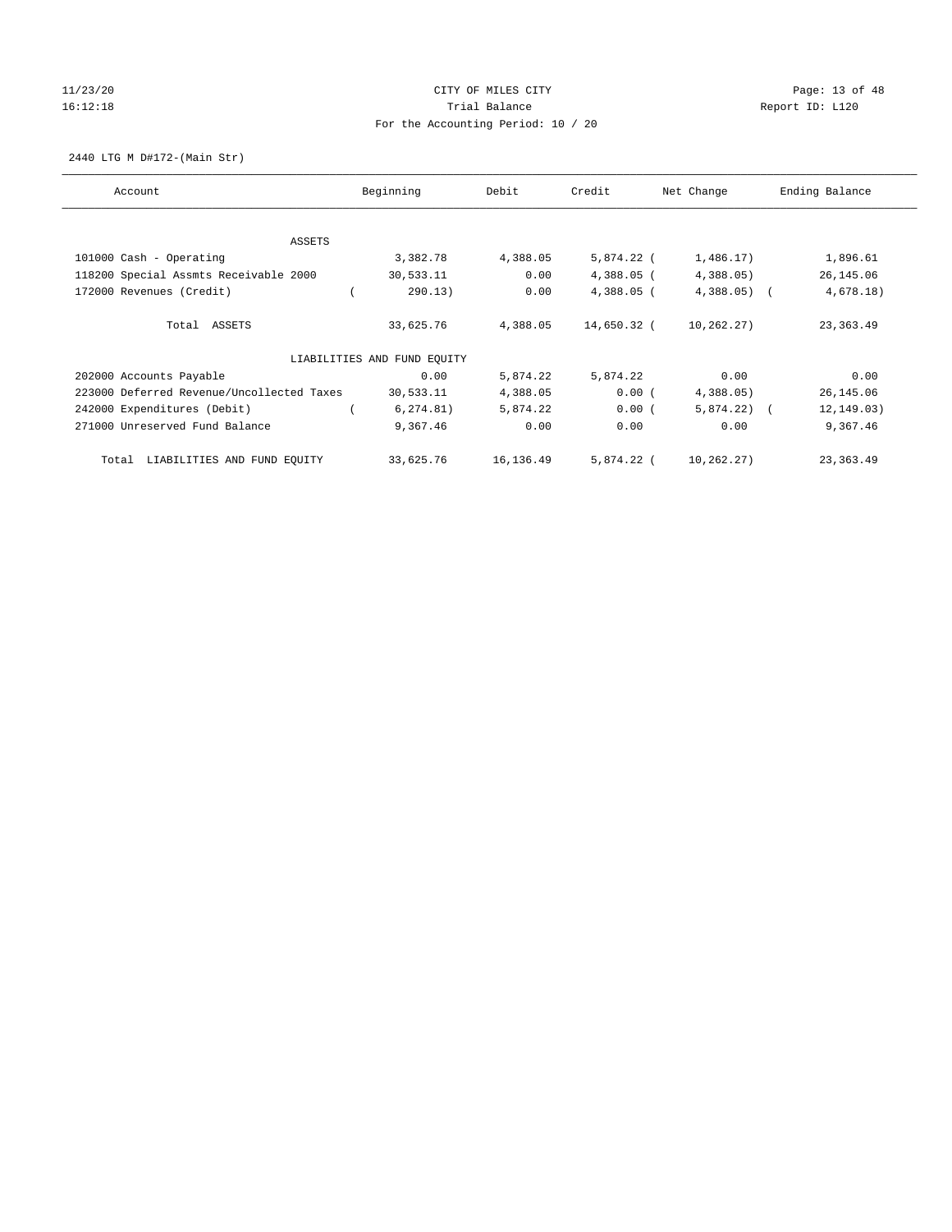# 11/23/20 Page: 13 of 48 16:12:18 Channel Balance Trial Balance Report ID: L120 For the Accounting Period: 10 / 20

2440 LTG M D#172-(Main Str)

| Account                                   | Beginning                   | Debit     | Credit       | Net Change   | Ending Balance |
|-------------------------------------------|-----------------------------|-----------|--------------|--------------|----------------|
| ASSETS                                    |                             |           |              |              |                |
| 101000 Cash - Operating                   | 3,382.78                    | 4,388.05  | 5,874.22 (   | 1,486.17)    | 1,896.61       |
| 118200 Special Assmts Receivable 2000     | 30,533.11                   | 0.00      | $4,388.05$ ( | 4,388.05)    | 26, 145.06     |
| 172000 Revenues (Credit)                  | 290.13)                     | 0.00      | $4,388.05$ ( | $4,388.05$ ( | 4,678.18)      |
| Total ASSETS                              | 33,625.76                   | 4,388.05  | 14,650.32 (  | 10,262.27)   | 23, 363.49     |
|                                           | LIABILITIES AND FUND EQUITY |           |              |              |                |
| 202000 Accounts Payable                   | 0.00                        | 5,874.22  | 5,874.22     | 0.00         | 0.00           |
| 223000 Deferred Revenue/Uncollected Taxes | 30,533.11                   | 4,388.05  | 0.00(        | 4,388.05)    | 26,145.06      |
| 242000 Expenditures (Debit)               | 6, 274.81)                  | 5,874.22  | 0.00(        | $5,874.22$ ( | 12, 149.03)    |
| 271000 Unreserved Fund Balance            | 9,367.46                    | 0.00      | 0.00         | 0.00         | 9,367.46       |
| LIABILITIES AND FUND EQUITY<br>Total      | 33,625.76                   | 16,136.49 | 5,874.22 (   | 10,262.27)   | 23, 363.49     |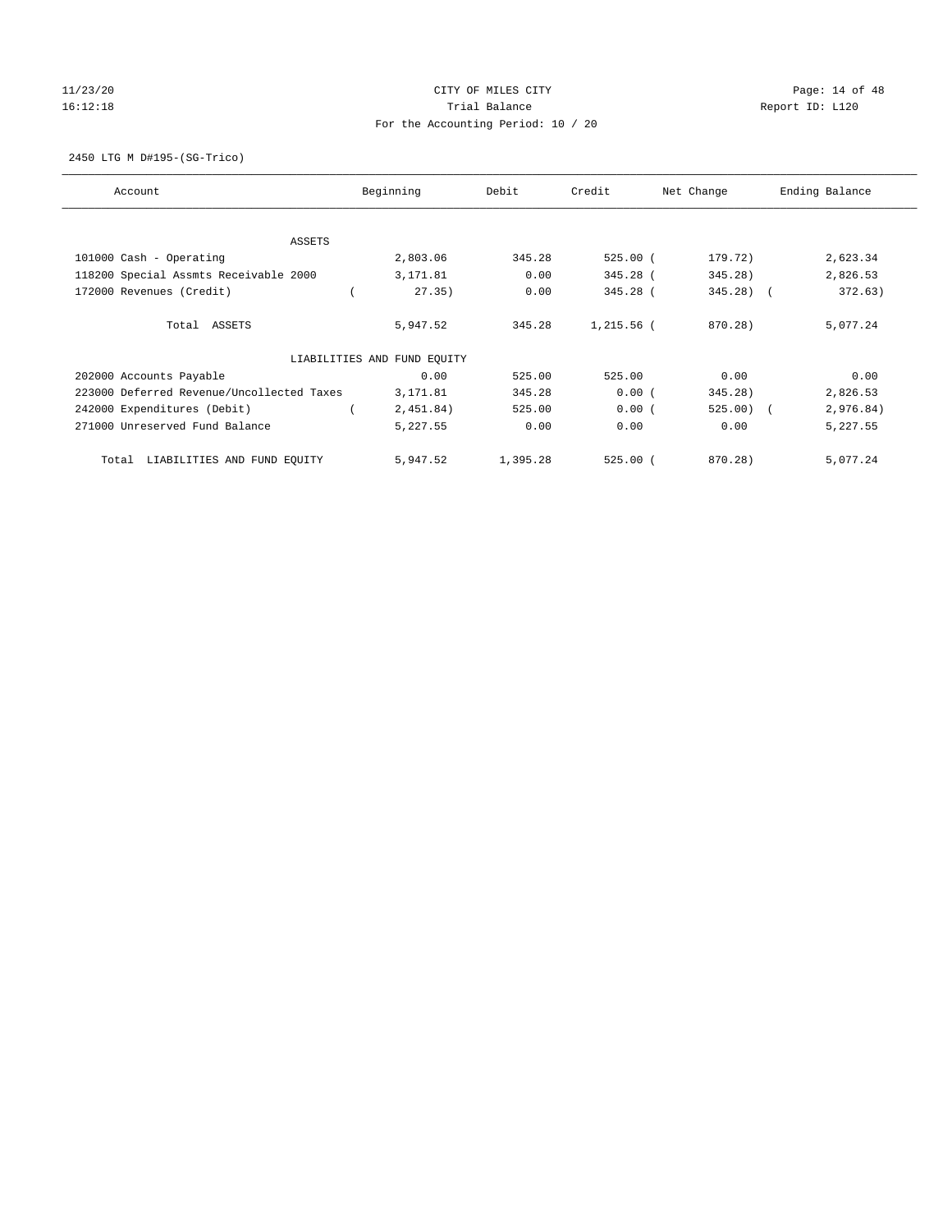# 11/23/20 Page: 14 of 48 16:12:18 Channel Balance Trial Balance Report ID: L120 For the Accounting Period: 10 / 20

2450 LTG M D#195-(SG-Trico)

| Account                                   | Beginning                   | Debit    | Credit     | Net Change | Ending Balance |
|-------------------------------------------|-----------------------------|----------|------------|------------|----------------|
| ASSETS                                    |                             |          |            |            |                |
| 101000 Cash - Operating                   | 2,803.06                    | 345.28   | $525.00$ ( | 179.72)    | 2,623.34       |
| 118200 Special Assmts Receivable 2000     | 3,171.81                    | 0.00     | 345.28 (   | 345.28)    | 2,826.53       |
| 172000 Revenues (Credit)                  | 27.35)                      | 0.00     | 345.28 (   | $345.28$ ( | 372.63)        |
| Total ASSETS                              | 5,947.52                    | 345.28   | 1,215.56 ( | 870.28)    | 5,077.24       |
|                                           | LIABILITIES AND FUND EQUITY |          |            |            |                |
| 202000 Accounts Payable                   | 0.00                        | 525.00   | 525.00     | 0.00       | 0.00           |
| 223000 Deferred Revenue/Uncollected Taxes | 3,171.81                    | 345.28   | 0.00(      | 345.28)    | 2,826.53       |
| 242000 Expenditures (Debit)               | 2,451.84)                   | 525.00   | 0.00(      | $525.00$ ( | 2,976.84)      |
| 271000 Unreserved Fund Balance            | 5,227.55                    | 0.00     | 0.00       | 0.00       | 5,227.55       |
| LIABILITIES AND FUND EQUITY<br>Total      | 5,947.52                    | 1,395.28 | $525.00$ ( | 870.28)    | 5,077.24       |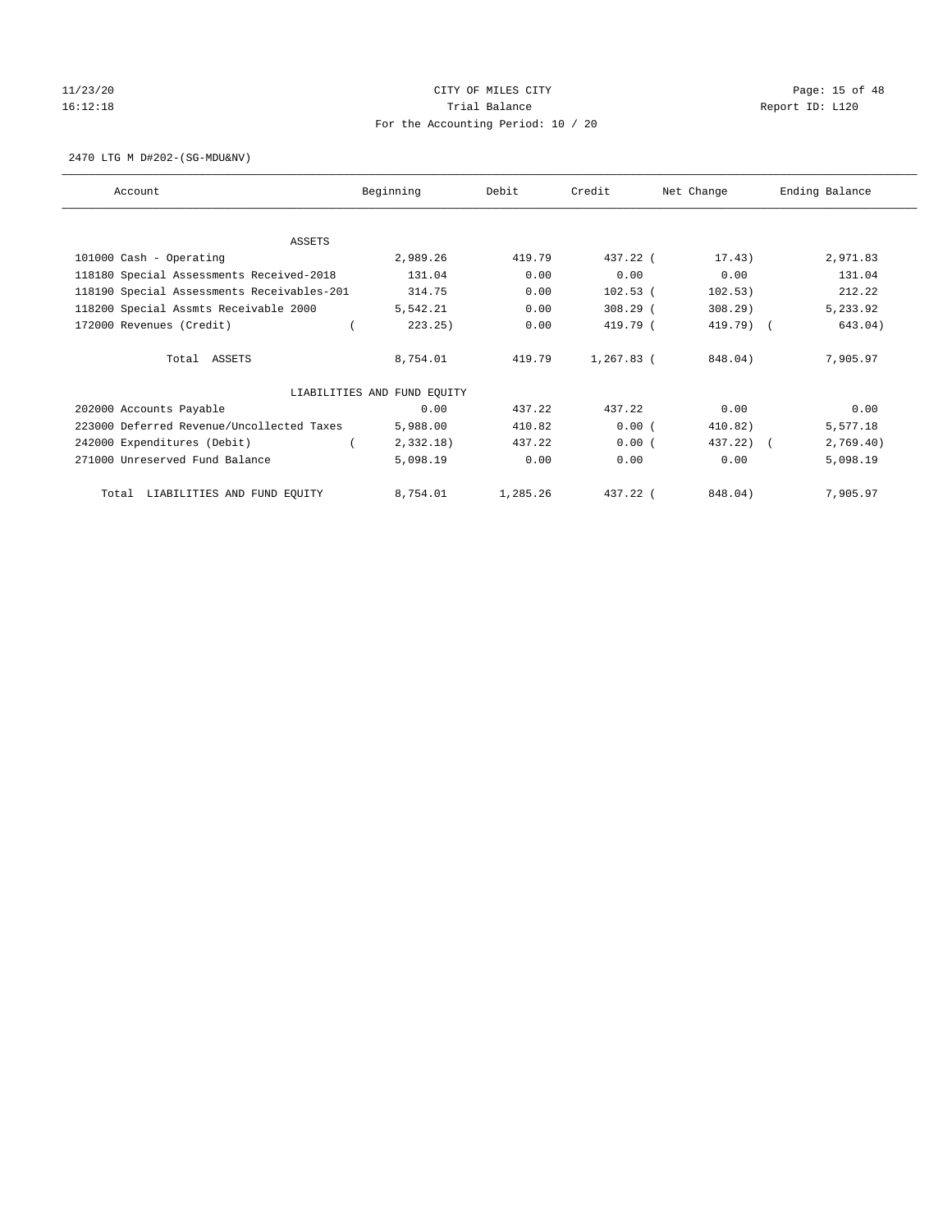# 11/23/20 Page: 15 of 48 16:12:18 Channel Balance Trial Balance Report ID: L120 For the Accounting Period: 10 / 20

2470 LTG M D#202-(SG-MDU&NV)

| Account                                    | Beginning                   | Debit    | Credit       | Net Change | Ending Balance |
|--------------------------------------------|-----------------------------|----------|--------------|------------|----------------|
|                                            |                             |          |              |            |                |
| <b>ASSETS</b><br>101000 Cash - Operating   | 2,989.26                    | 419.79   | 437.22 (     | 17.43)     | 2,971.83       |
|                                            | 131.04                      | 0.00     | 0.00         | 0.00       | 131.04         |
| 118180 Special Assessments Received-2018   |                             |          |              |            |                |
| 118190 Special Assessments Receivables-201 | 314.75                      | 0.00     | $102.53$ (   | 102.53)    | 212.22         |
| 118200 Special Assmts Receivable 2000      | 5,542.21                    | 0.00     | $308.29$ (   | $308.29$ ) | 5,233.92       |
| 172000 Revenues (Credit)                   | 223.25)                     | 0.00     | 419.79 (     | 419.79) (  | 643.04)        |
| Total ASSETS                               | 8,754.01                    | 419.79   | $1,267.83$ ( | 848.04)    | 7,905.97       |
|                                            | LIABILITIES AND FUND EQUITY |          |              |            |                |
| 202000 Accounts Payable                    | 0.00                        | 437.22   | 437.22       | 0.00       | 0.00           |
| 223000 Deferred Revenue/Uncollected Taxes  | 5,988.00                    | 410.82   | 0.00(        | 410.82)    | 5,577.18       |
| 242000 Expenditures (Debit)                | $2,332.18$ )                | 437.22   | 0.00(        | 437.22) (  | 2,769.40)      |
| 271000 Unreserved Fund Balance             | 5,098.19                    | 0.00     | 0.00         | 0.00       | 5,098.19       |
| LIABILITIES AND FUND EQUITY<br>Total       | 8,754.01                    | 1,285.26 | $437.22$ (   | 848.04)    | 7,905.97       |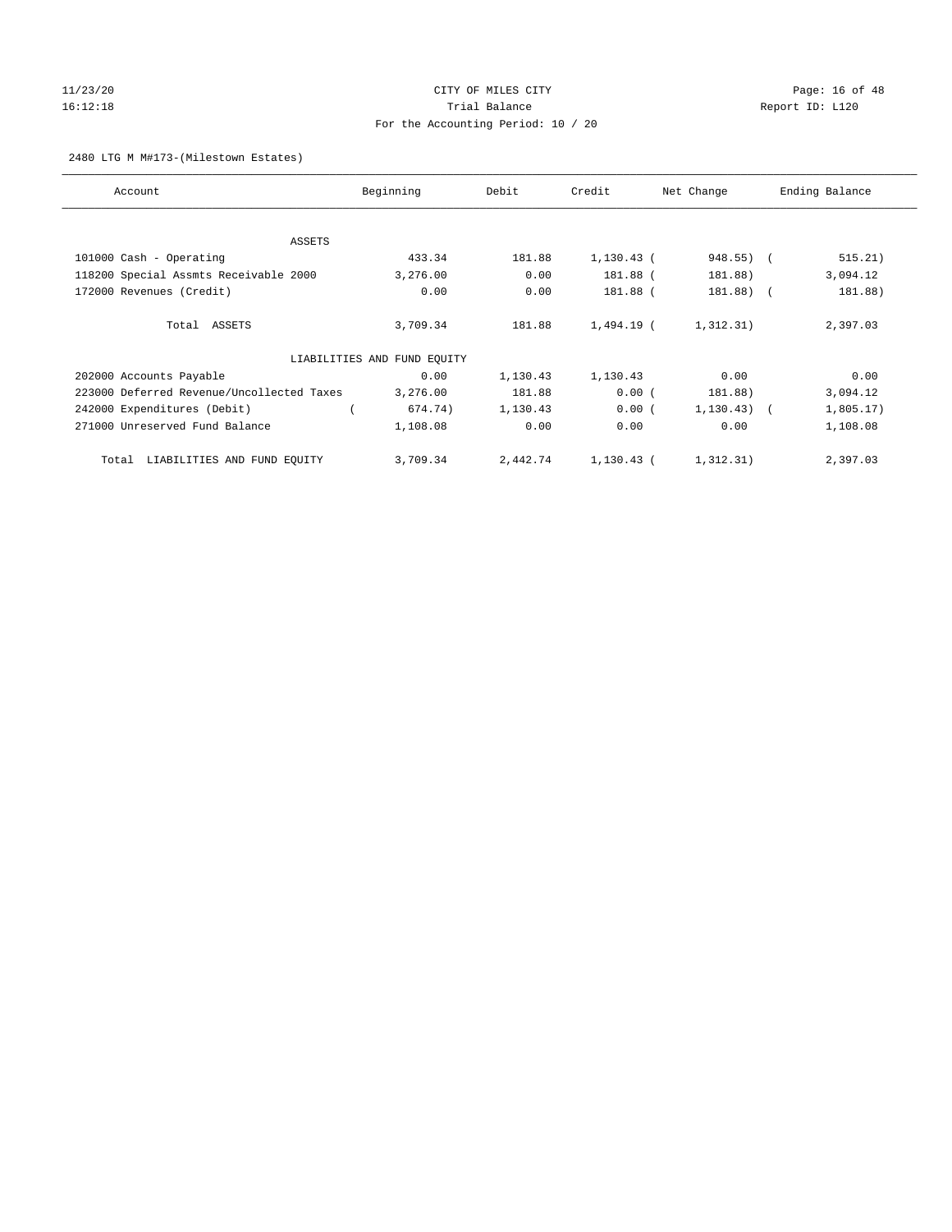# 11/23/20 Page: 16 of 48 16:12:18 Channel Balance Trial Balance Report ID: L120 For the Accounting Period: 10 / 20

#### 2480 LTG M M#173-(Milestown Estates)

| Account                                   | Beginning                   | Debit    | Credit       | Net Change      | Ending Balance |
|-------------------------------------------|-----------------------------|----------|--------------|-----------------|----------------|
| ASSETS                                    |                             |          |              |                 |                |
| 101000 Cash - Operating                   | 433.34                      | 181.88   | $1,130.43$ ( | 948.55) (       | 515.21)        |
| 118200 Special Assmts Receivable 2000     | 3,276.00                    | 0.00     | 181.88 (     | 181.88)         | 3,094.12       |
| 172000 Revenues (Credit)                  | 0.00                        | 0.00     | 181.88 (     | $181.88$ ) (    | 181.88)        |
| Total ASSETS                              | 3,709.34                    | 181.88   | 1,494.19 (   | 1,312.31)       | 2,397.03       |
|                                           | LIABILITIES AND FUND EQUITY |          |              |                 |                |
| 202000 Accounts Payable                   | 0.00                        | 1,130.43 | 1,130.43     | 0.00            | 0.00           |
| 223000 Deferred Revenue/Uncollected Taxes | 3,276.00                    | 181.88   | 0.00(        | 181.88)         | 3,094.12       |
| 242000 Expenditures (Debit)               | 674.74)                     | 1,130.43 | 0.00(        | $1, 130.43$ ) ( | 1,805.17)      |
| 271000 Unreserved Fund Balance            | 1,108.08                    | 0.00     | 0.00         | 0.00            | 1,108.08       |
| LIABILITIES AND FUND EQUITY<br>Total      | 3,709.34                    | 2,442.74 | 1,130.43 (   | 1,312.31)       | 2,397.03       |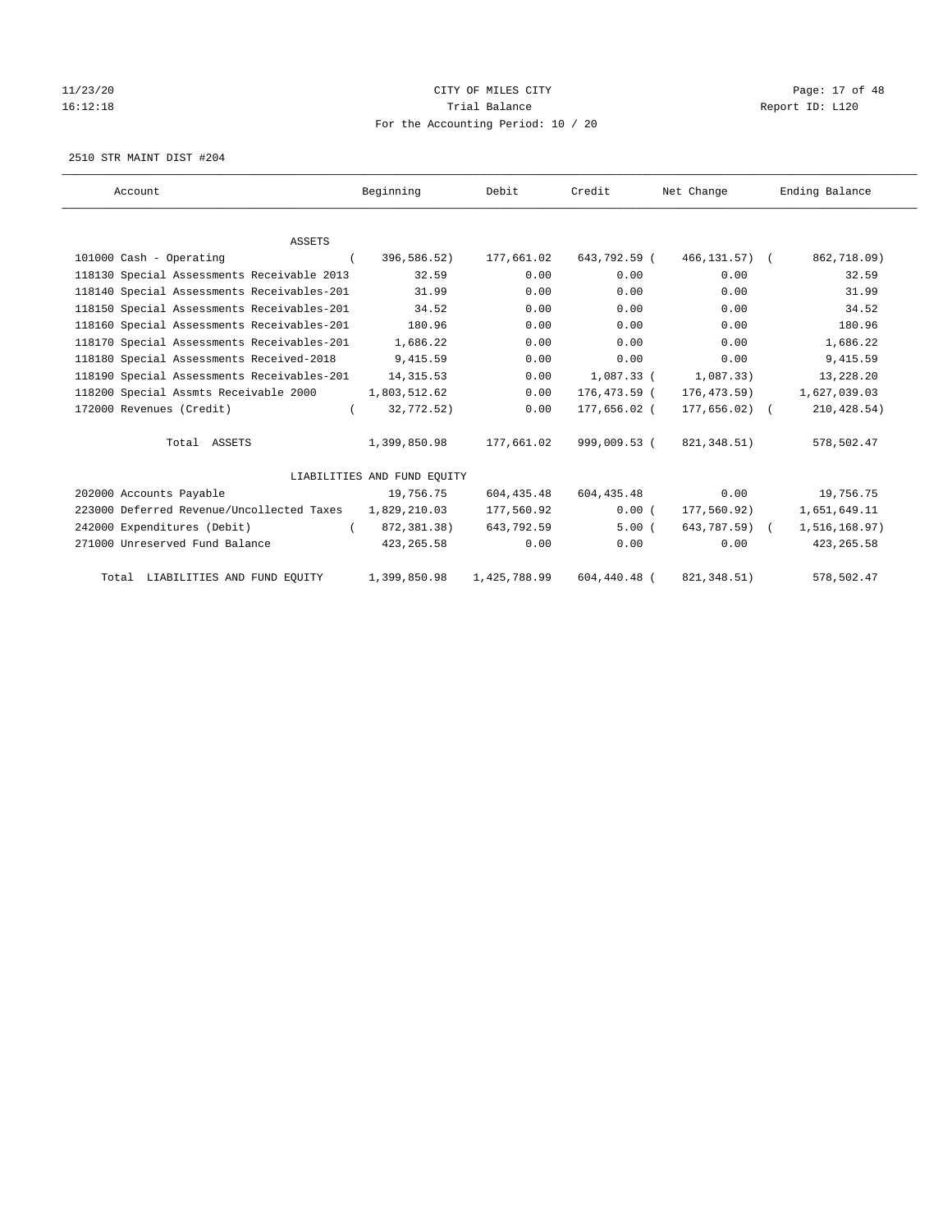# 11/23/20 Page: 17 of 48 16:12:18 Trial Balance Report ID: L120 For the Accounting Period: 10 / 20

2510 STR MAINT DIST #204

| Account                                    | Beginning                   | Debit        | Credit       | Net Change       | Ending Balance |
|--------------------------------------------|-----------------------------|--------------|--------------|------------------|----------------|
|                                            |                             |              |              |                  |                |
| <b>ASSETS</b>                              |                             |              |              |                  |                |
| 101000 Cash - Operating                    | 396,586.52)<br>$\left($     | 177,661.02   | 643,792.59 ( | 466,131.57) (    | 862,718.09)    |
| 118130 Special Assessments Receivable 2013 | 32.59                       | 0.00         | 0.00         | 0.00             | 32.59          |
| 118140 Special Assessments Receivables-201 | 31.99                       | 0.00         | 0.00         | 0.00             | 31.99          |
| 118150 Special Assessments Receivables-201 | 34.52                       | 0.00         | 0.00         | 0.00             | 34.52          |
| 118160 Special Assessments Receivables-201 | 180.96                      | 0.00         | 0.00         | 0.00             | 180.96         |
| 118170 Special Assessments Receivables-201 | 1,686.22                    | 0.00         | 0.00         | 0.00             | 1,686.22       |
| 118180 Special Assessments Received-2018   | 9,415.59                    | 0.00         | 0.00         | 0.00             | 9,415.59       |
| 118190 Special Assessments Receivables-201 | 14, 315.53                  | 0.00         | $1.087.33$ ( | 1.087.33)        | 13,228.20      |
| 118200 Special Assmts Receivable 2000      | 1,803,512.62                | 0.00         | 176,473.59 ( | 176,473.59)      | 1,627,039.03   |
| 172000 Revenues (Credit)                   | 32,772.52)<br>$\left($      | 0.00         | 177,656.02 ( | $177,656.02$ ) ( | 210, 428.54)   |
| Total ASSETS                               | 1,399,850.98                | 177,661.02   | 999,009.53 ( | 821, 348.51)     | 578,502.47     |
|                                            | LIABILITIES AND FUND EQUITY |              |              |                  |                |
| 202000 Accounts Payable                    | 19,756.75                   | 604, 435.48  | 604,435.48   | 0.00             | 19,756.75      |
| 223000 Deferred Revenue/Uncollected Taxes  | 1,829,210.03                | 177,560.92   | 0.00(        | 177,560.92)      | 1,651,649.11   |
| 242000 Expenditures (Debit)                | 872,381.38)<br>$\sqrt{2}$   | 643,792.59   | 5.00(        | 643,787.59) (    | 1,516,168.97)  |
| 271000 Unreserved Fund Balance             | 423, 265.58                 | 0.00         | 0.00         | 0.00             | 423, 265.58    |
| Total LIABILITIES AND FUND EOUITY          | 1,399,850.98                | 1,425,788.99 | 604,440.48 ( | 821, 348.51)     | 578,502.47     |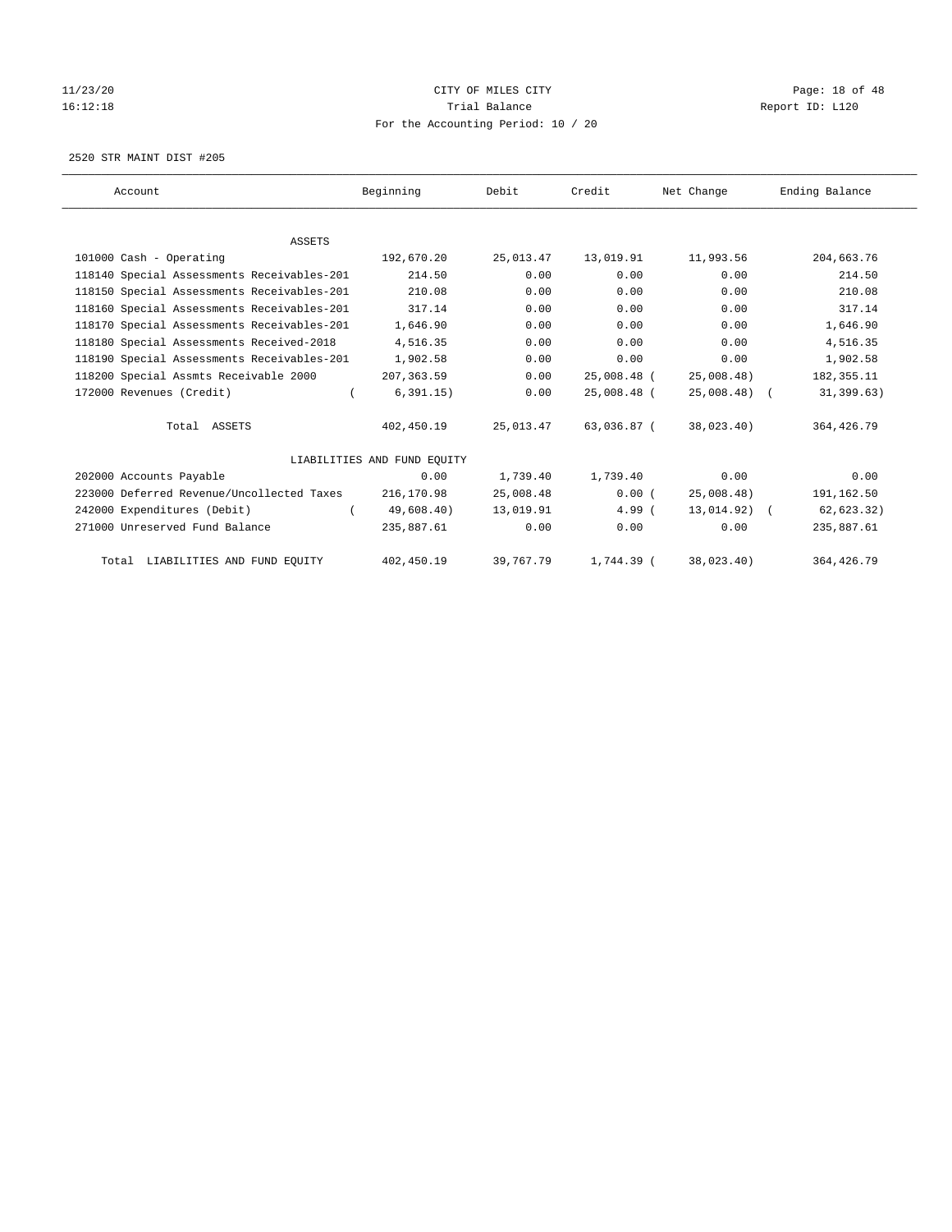# 11/23/20 Page: 18 of 48 16:12:18 Channel Balance Trial Balance Report ID: L120 For the Accounting Period: 10 / 20

2520 STR MAINT DIST #205

| Account                                    | Beginning                   | Debit     | Credit      | Net Change     | Ending Balance |
|--------------------------------------------|-----------------------------|-----------|-------------|----------------|----------------|
|                                            |                             |           |             |                |                |
| <b>ASSETS</b>                              |                             |           |             |                |                |
| 101000 Cash - Operating                    | 192,670.20                  | 25,013.47 | 13,019.91   | 11,993.56      | 204,663.76     |
| 118140 Special Assessments Receivables-201 | 214.50                      | 0.00      | 0.00        | 0.00           | 214.50         |
| 118150 Special Assessments Receivables-201 | 210.08                      | 0.00      | 0.00        | 0.00           | 210.08         |
| 118160 Special Assessments Receivables-201 | 317.14                      | 0.00      | 0.00        | 0.00           | 317.14         |
| 118170 Special Assessments Receivables-201 | 1,646.90                    | 0.00      | 0.00        | 0.00           | 1,646.90       |
| 118180 Special Assessments Received-2018   | 4,516.35                    | 0.00      | 0.00        | 0.00           | 4,516.35       |
| 118190 Special Assessments Receivables-201 | 1,902.58                    | 0.00      | 0.00        | 0.00           | 1,902.58       |
| 118200 Special Assmts Receivable 2000      | 207, 363.59                 | 0.00      | 25,008.48 ( | 25,008.48)     | 182, 355.11    |
| 172000 Revenues (Credit)                   | 6, 391.15)<br>$\left($      | 0.00      | 25,008.48 ( | $25,008.48$ (  | 31, 399.63)    |
| Total ASSETS                               | 402,450.19                  | 25,013.47 | 63,036.87 ( | 38,023.40)     | 364, 426.79    |
|                                            | LIABILITIES AND FUND EQUITY |           |             |                |                |
| 202000 Accounts Payable                    | 0.00                        | 1,739.40  | 1,739.40    | 0.00           | 0.00           |
| 223000 Deferred Revenue/Uncollected Taxes  | 216,170.98                  | 25,008.48 | 0.00(       | 25,008.48)     | 191,162.50     |
| 242000 Expenditures (Debit)                | 49,608.40)                  | 13,019.91 | 4.99(       | $13,014.92)$ ( | 62, 623.32)    |
| 271000 Unreserved Fund Balance             | 235,887.61                  | 0.00      | 0.00        | 0.00           | 235,887.61     |
| Total LIABILITIES AND FUND EQUITY          | 402,450.19                  | 39,767.79 | 1,744.39 (  | 38,023.40)     | 364, 426.79    |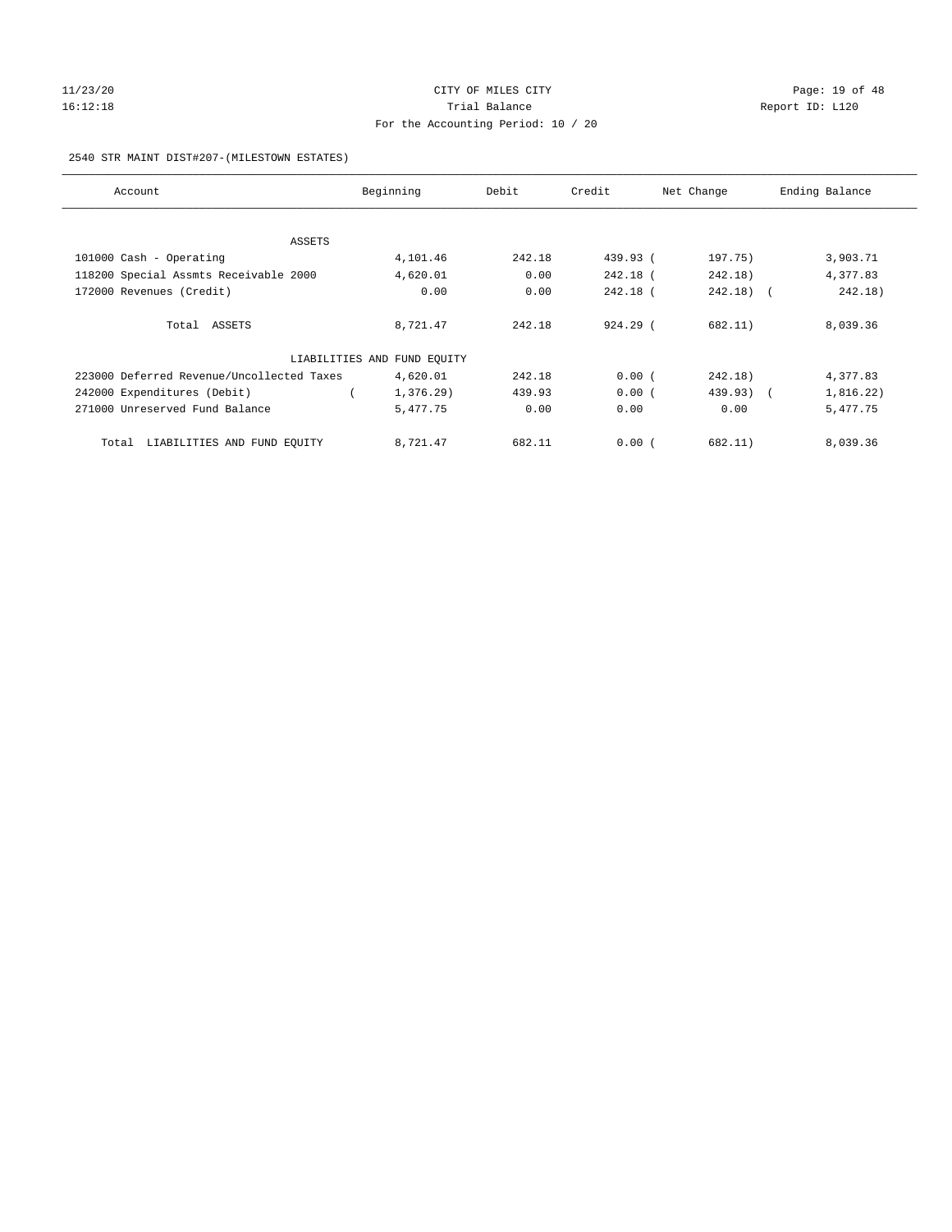# $11/23/20$  Page: 19 of 48 16:12:18 Channel Balance Trial Balance Report ID: L120 For the Accounting Period: 10 / 20

#### 2540 STR MAINT DIST#207-(MILESTOWN ESTATES)

| Account                                   | Beginning                   | Debit  | Credit   | Net Change | Ending Balance |
|-------------------------------------------|-----------------------------|--------|----------|------------|----------------|
|                                           |                             |        |          |            |                |
| ASSETS                                    |                             |        |          |            |                |
| 101000 Cash - Operating                   | 4,101.46                    | 242.18 | 439.93 ( | 197.75)    | 3,903.71       |
| 118200 Special Assmts Receivable 2000     | 4,620.01                    | 0.00   | 242.18 ( | 242.18)    | 4,377.83       |
| 172000 Revenues (Credit)                  | 0.00                        | 0.00   | 242.18 ( | $242.18$ ( | 242.18)        |
| Total ASSETS                              | 8,721.47                    | 242.18 | 924.29 ( | 682.11)    | 8,039.36       |
|                                           | LIABILITIES AND FUND EQUITY |        |          |            |                |
| 223000 Deferred Revenue/Uncollected Taxes | 4,620.01                    | 242.18 | 0.00(    | 242.18)    | 4,377.83       |
| 242000 Expenditures (Debit)               | 1,376.29)                   | 439.93 | 0.00(    | 439.93) (  | 1,816.22)      |
| 271000 Unreserved Fund Balance            | 5,477.75                    | 0.00   | 0.00     | 0.00       | 5,477.75       |
| LIABILITIES AND FUND EQUITY<br>Total      | 8,721.47                    | 682.11 | 0.00(    | 682.11)    | 8,039.36       |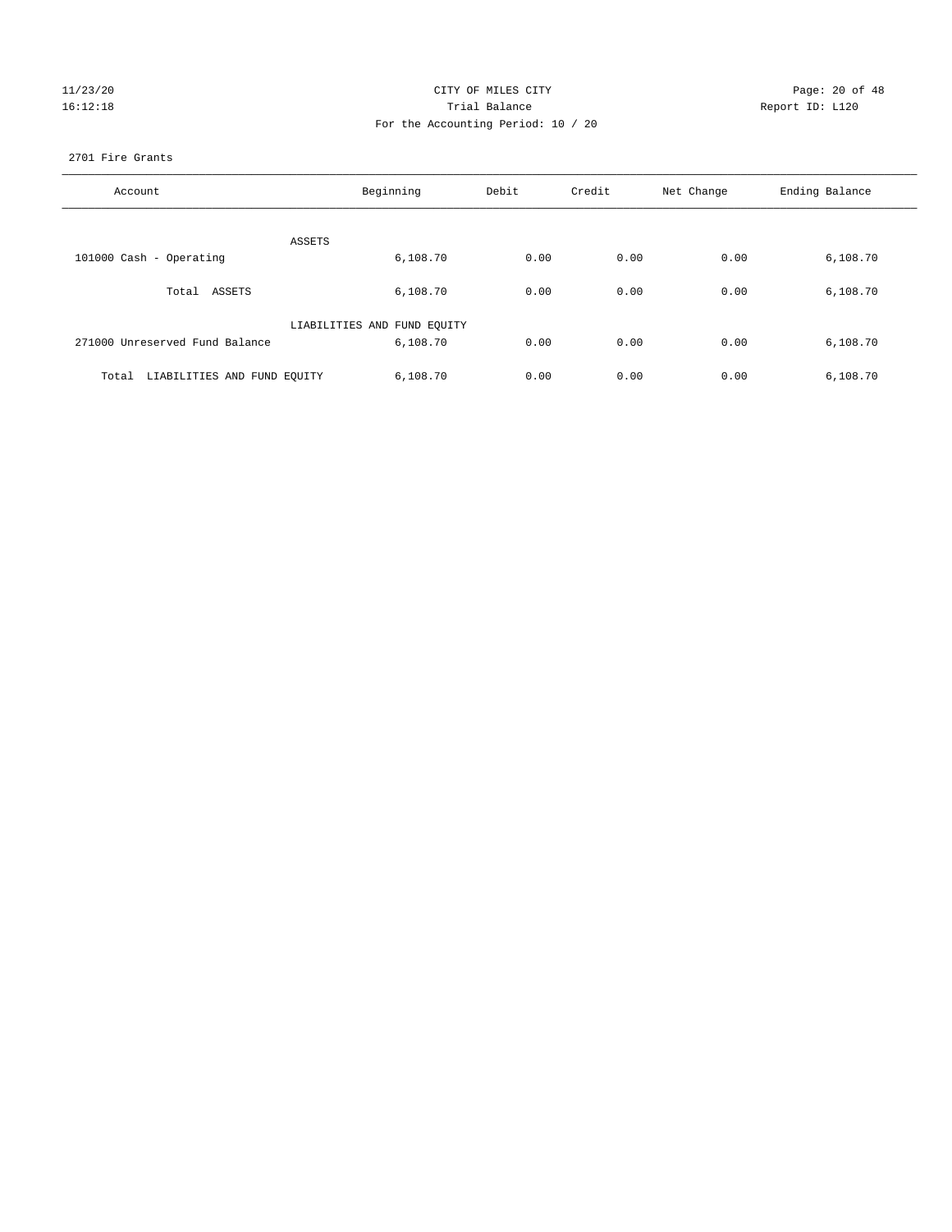# 11/23/20 Page: 20 of 48 16:12:18 Channel Balance Trial Balance Report ID: L120 For the Accounting Period: 10 / 20

#### 2701 Fire Grants

| Account                              | Beginning                   | Debit | Credit | Net Change | Ending Balance |
|--------------------------------------|-----------------------------|-------|--------|------------|----------------|
| ASSETS                               |                             |       |        |            |                |
| 101000 Cash - Operating              | 6,108.70                    | 0.00  | 0.00   | 0.00       | 6,108.70       |
| Total ASSETS                         | 6,108.70                    | 0.00  | 0.00   | 0.00       | 6,108.70       |
|                                      | LIABILITIES AND FUND EQUITY |       |        |            |                |
| 271000 Unreserved Fund Balance       | 6,108.70                    | 0.00  | 0.00   | 0.00       | 6,108.70       |
| LIABILITIES AND FUND EQUITY<br>Total | 6,108.70                    | 0.00  | 0.00   | 0.00       | 6,108.70       |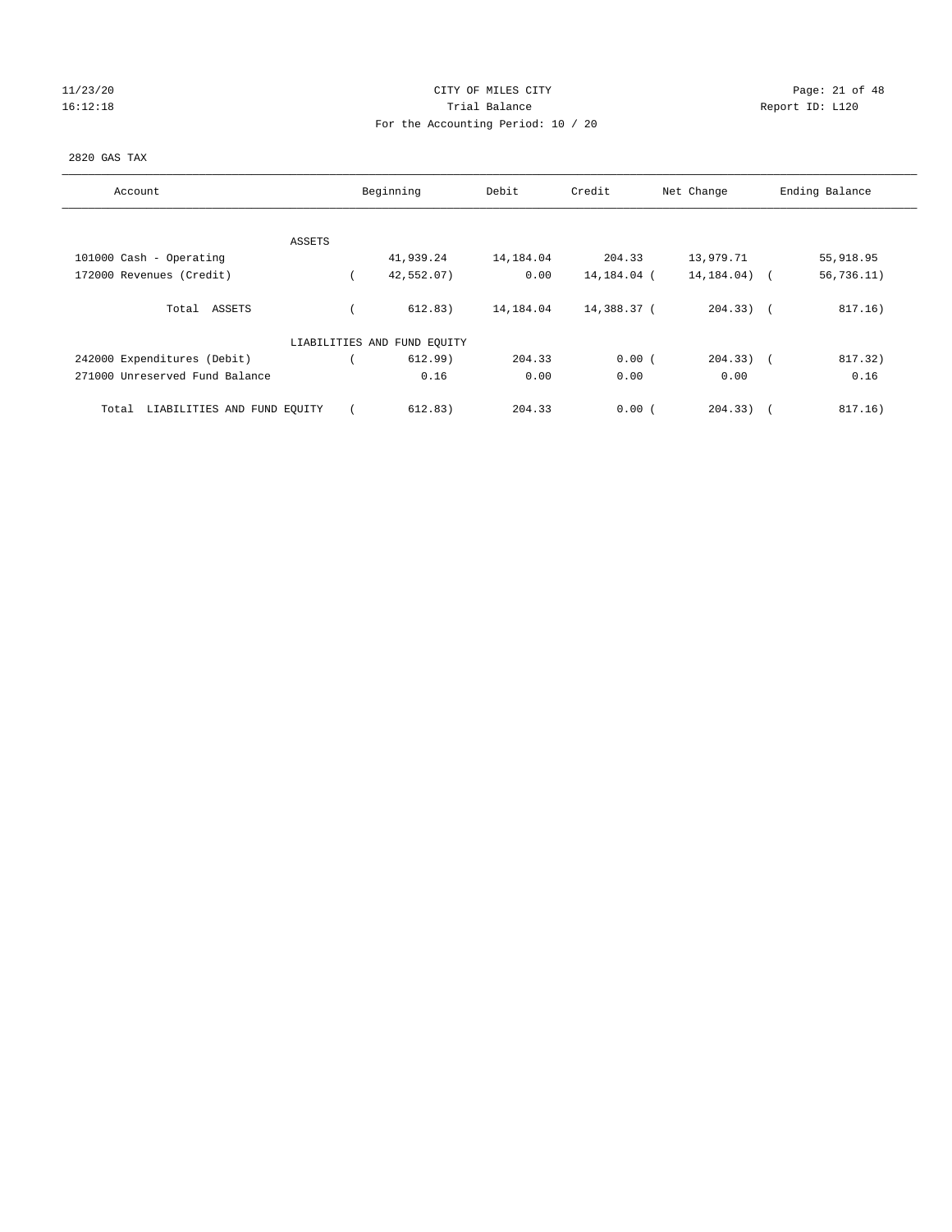# 11/23/20 Page: 21 of 48 16:12:18 Channel Balance Trial Balance Report ID: L120 For the Accounting Period: 10 / 20

#### 2820 GAS TAX

| Account                              | Beginning                   | Debit     | Credit      | Net Change     | Ending Balance    |  |
|--------------------------------------|-----------------------------|-----------|-------------|----------------|-------------------|--|
| ASSETS                               |                             |           |             |                |                   |  |
| 101000 Cash - Operating              | 41,939.24                   | 14,184.04 | 204.33      | 13,979.71      | 55,918.95         |  |
| 172000 Revenues (Credit)             | 42,552.07)                  | 0.00      | 14,184.04 ( | 14, 184.04)    | 56, 736.11)       |  |
| Total ASSETS                         | 612.83)                     | 14,184.04 | 14,388.37 ( | $204.33$ ) $($ | 817.16)           |  |
|                                      | LIABILITIES AND FUND EQUITY |           |             |                |                   |  |
| 242000 Expenditures (Debit)          | 612.99)                     | 204.33    | 0.00(       | $204.33)$ (    | 817.32)           |  |
| 271000 Unreserved Fund Balance       | 0.16                        | 0.00      | 0.00        | 0.00           | 0.16              |  |
| LIABILITIES AND FUND EQUITY<br>Total | 612.83)                     | 204.33    | 0.00(       | 204.33)        | 817.16)<br>$\sim$ |  |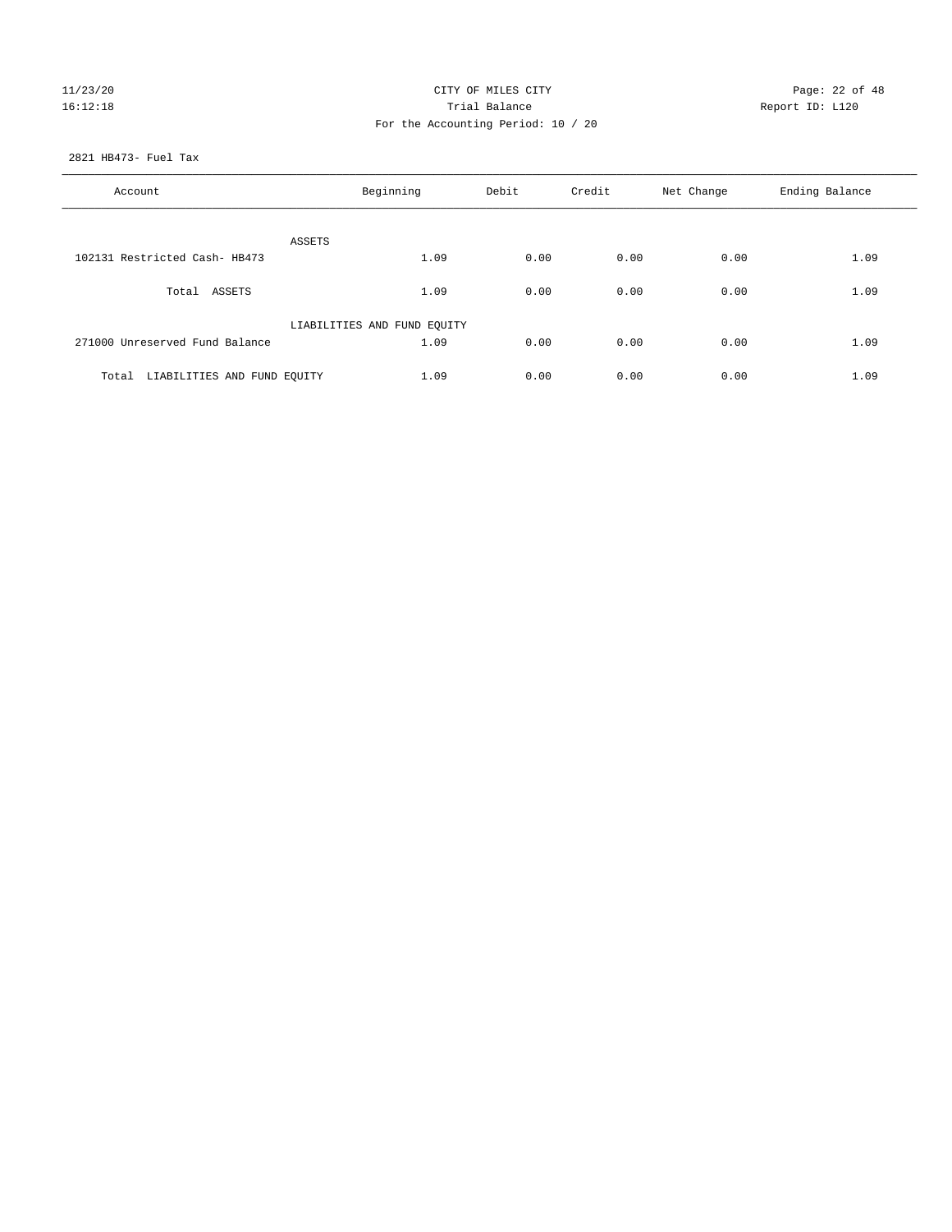# 11/23/20 Page: 22 of 48 16:12:18 Channel Balance Trial Balance Report ID: L120 For the Accounting Period: 10 / 20

2821 HB473- Fuel Tax

| Account                           | Beginning                   | Debit | Credit | Net Change | Ending Balance |
|-----------------------------------|-----------------------------|-------|--------|------------|----------------|
| ASSETS                            |                             |       |        |            |                |
| 102131 Restricted Cash- HB473     | 1.09                        | 0.00  | 0.00   | 0.00       | 1.09           |
| Total ASSETS                      | 1.09                        | 0.00  | 0.00   | 0.00       | 1.09           |
|                                   | LIABILITIES AND FUND EQUITY |       |        |            |                |
| 271000 Unreserved Fund Balance    | 1.09                        | 0.00  | 0.00   | 0.00       | 1.09           |
| Total LIABILITIES AND FUND EQUITY | 1.09                        | 0.00  | 0.00   | 0.00       | 1.09           |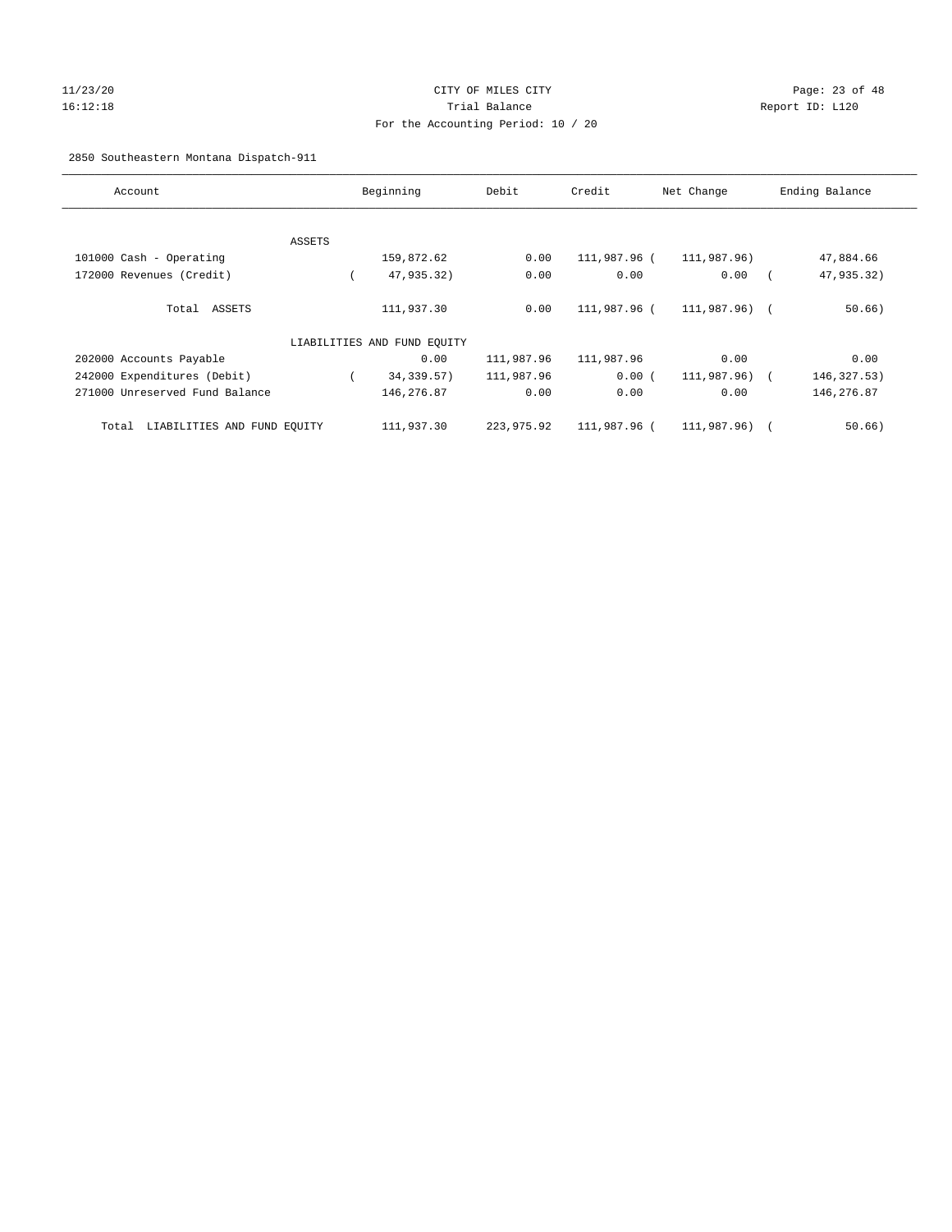#### 11/23/20 Page: 23 of 48 16:12:18 Trial Balance Report ID: L120 For the Accounting Period: 10 / 20

#### 2850 Southeastern Montana Dispatch-911

| Account                              |        | Beginning                   | Debit      | Credit       | Net Change     | Ending Balance |
|--------------------------------------|--------|-----------------------------|------------|--------------|----------------|----------------|
|                                      |        |                             |            |              |                |                |
|                                      | ASSETS |                             |            |              |                |                |
| 101000 Cash - Operating              |        | 159,872.62                  | 0.00       | 111,987.96 ( | 111,987.96)    | 47,884.66      |
| 172000 Revenues (Credit)             |        | 47,935.32)                  | 0.00       | 0.00         | 0.00           | 47,935.32)     |
| Total ASSETS                         |        | 111,937.30                  | 0.00       | 111,987.96 ( | 111,987.96) (  | 50.66)         |
|                                      |        | LIABILITIES AND FUND EQUITY |            |              |                |                |
| 202000 Accounts Payable              |        | 0.00                        | 111,987.96 | 111,987.96   | 0.00           | 0.00           |
| 242000 Expenditures (Debit)          |        | 34,339.57)                  | 111,987.96 | 0.00(        | 111,987.96) (  | 146,327.53)    |
| 271000 Unreserved Fund Balance       |        | 146,276.87                  | 0.00       | 0.00         | 0.00           | 146,276.87     |
| LIABILITIES AND FUND EQUITY<br>Total |        | 111,937.30                  | 223,975.92 | 111,987.96 ( | $111.987.96$ ( | 50.66)         |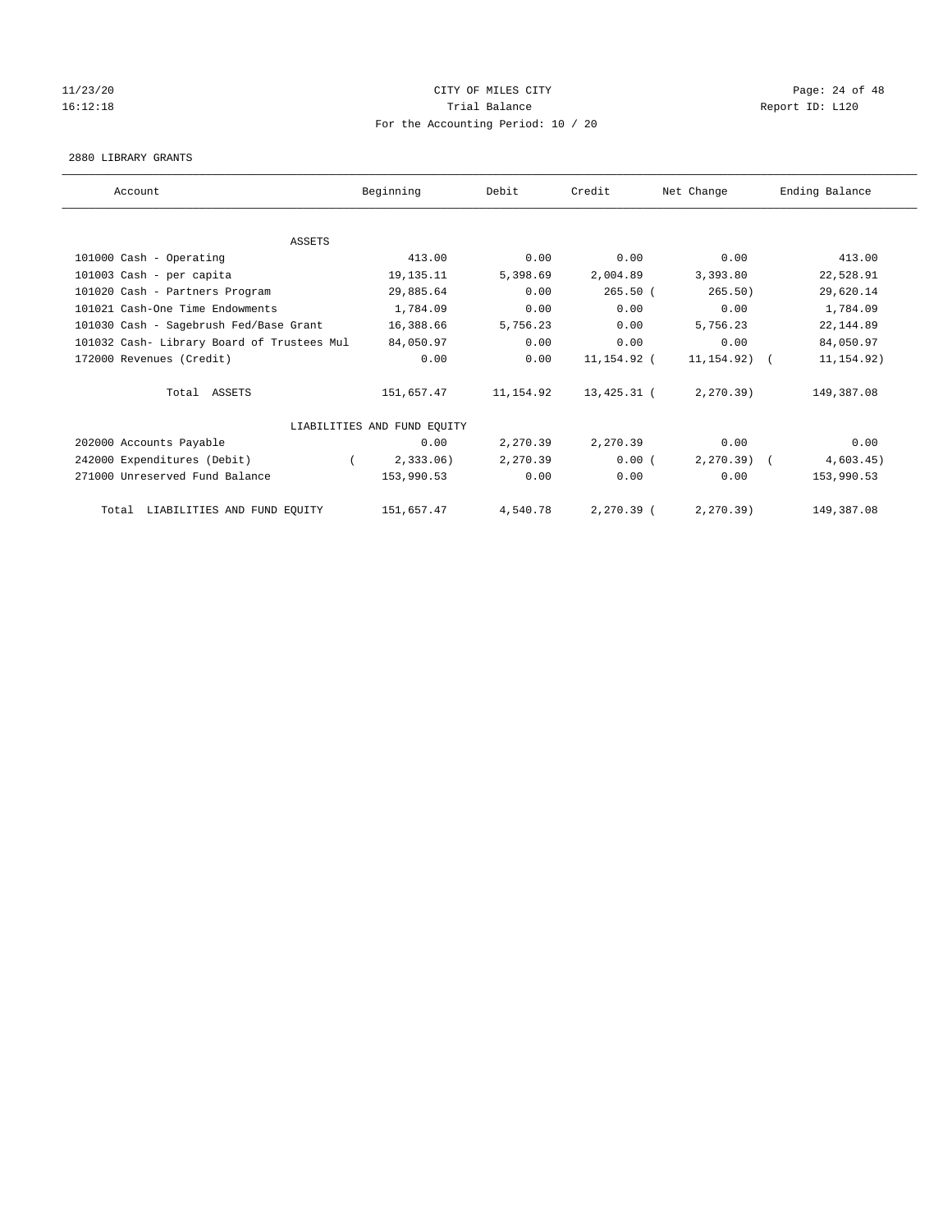#### $11/23/20$  Page: 24 of 48 16:12:18 Channel Balance Trial Balance Report ID: L120 For the Accounting Period: 10 / 20

#### 2880 LIBRARY GRANTS

| Account                                    | Beginning                   | Debit     | Credit       | Net Change       | Ending Balance |
|--------------------------------------------|-----------------------------|-----------|--------------|------------------|----------------|
|                                            |                             |           |              |                  |                |
| <b>ASSETS</b>                              |                             |           |              |                  |                |
| 101000 Cash - Operating                    | 413.00                      | 0.00      | 0.00         | 0.00             | 413.00         |
| 101003 Cash - per capita                   | 19,135.11                   | 5,398.69  | 2,004.89     | 3,393.80         | 22,528.91      |
| 101020 Cash - Partners Program             | 29,885.64                   | 0.00      | 265.50(      | 265.50)          | 29,620.14      |
| 101021 Cash-One Time Endowments            | 1,784.09                    | 0.00      | 0.00         | 0.00             | 1,784.09       |
| 101030 Cash - Sagebrush Fed/Base Grant     | 16,388.66                   | 5,756.23  | 0.00         | 5,756.23         | 22, 144.89     |
| 101032 Cash- Library Board of Trustees Mul | 84,050.97                   | 0.00      | 0.00         | 0.00             | 84,050.97      |
| 172000 Revenues (Credit)                   | 0.00                        | 0.00      | 11,154.92 (  | $11, 154.92$ ) ( | 11, 154.92)    |
| Total ASSETS                               | 151,657.47                  | 11,154.92 | 13,425.31 (  | 2, 270.39)       | 149,387.08     |
|                                            | LIABILITIES AND FUND EQUITY |           |              |                  |                |
| 202000 Accounts Payable                    | 0.00                        | 2,270.39  | 2,270.39     | 0.00             | 0.00           |
| 242000 Expenditures (Debit)                | $2,333.06$ )                | 2,270.39  | 0.00(        | $2, 270, 39$ (   | 4,603.45)      |
| 271000 Unreserved Fund Balance             | 153,990.53                  | 0.00      | 0.00         | 0.00             | 153,990.53     |
| LIABILITIES AND FUND EQUITY<br>Total       | 151,657.47                  | 4,540.78  | $2,270.39$ ( | 2, 270.39)       | 149,387.08     |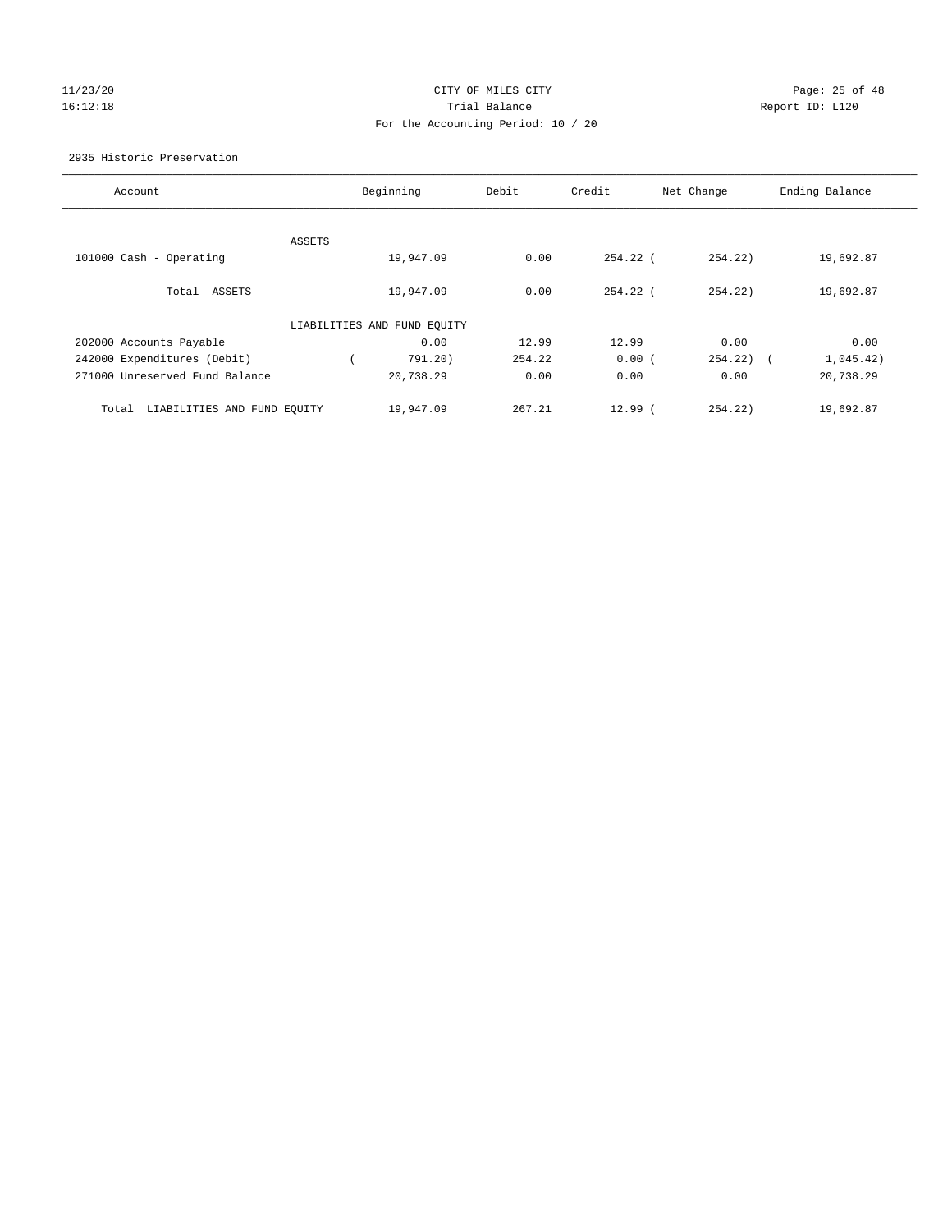# 11/23/20 Page: 25 of 48 16:12:18 Trial Balance Report ID: L120 For the Accounting Period: 10 / 20

#### 2935 Historic Preservation

| Account                              | Beginning                   | Debit  | Credit      | Net Change            | Ending Balance |
|--------------------------------------|-----------------------------|--------|-------------|-----------------------|----------------|
|                                      |                             |        |             |                       |                |
| ASSETS<br>101000 Cash - Operating    | 19,947.09                   | 0.00   | 254.22 (    | 254.22)               | 19,692.87      |
|                                      |                             |        |             |                       |                |
| Total<br>ASSETS                      | 19,947.09                   | 0.00   | $254.22$ (  | 254.22                | 19,692.87      |
|                                      | LIABILITIES AND FUND EQUITY |        |             |                       |                |
| 202000 Accounts Payable              | 0.00                        | 12.99  | 12.99       | 0.00                  | 0.00           |
| 242000 Expenditures (Debit)          | 791.20)                     | 254.22 | 0.00(       | 254.22)<br>$\sqrt{2}$ | 1,045.42)      |
| 271000 Unreserved Fund Balance       | 20,738.29                   | 0.00   | 0.00        | 0.00                  | 20,738.29      |
| LIABILITIES AND FUND EQUITY<br>Total | 19,947.09                   | 267.21 | $12.99$ $($ | 254.22                | 19,692.87      |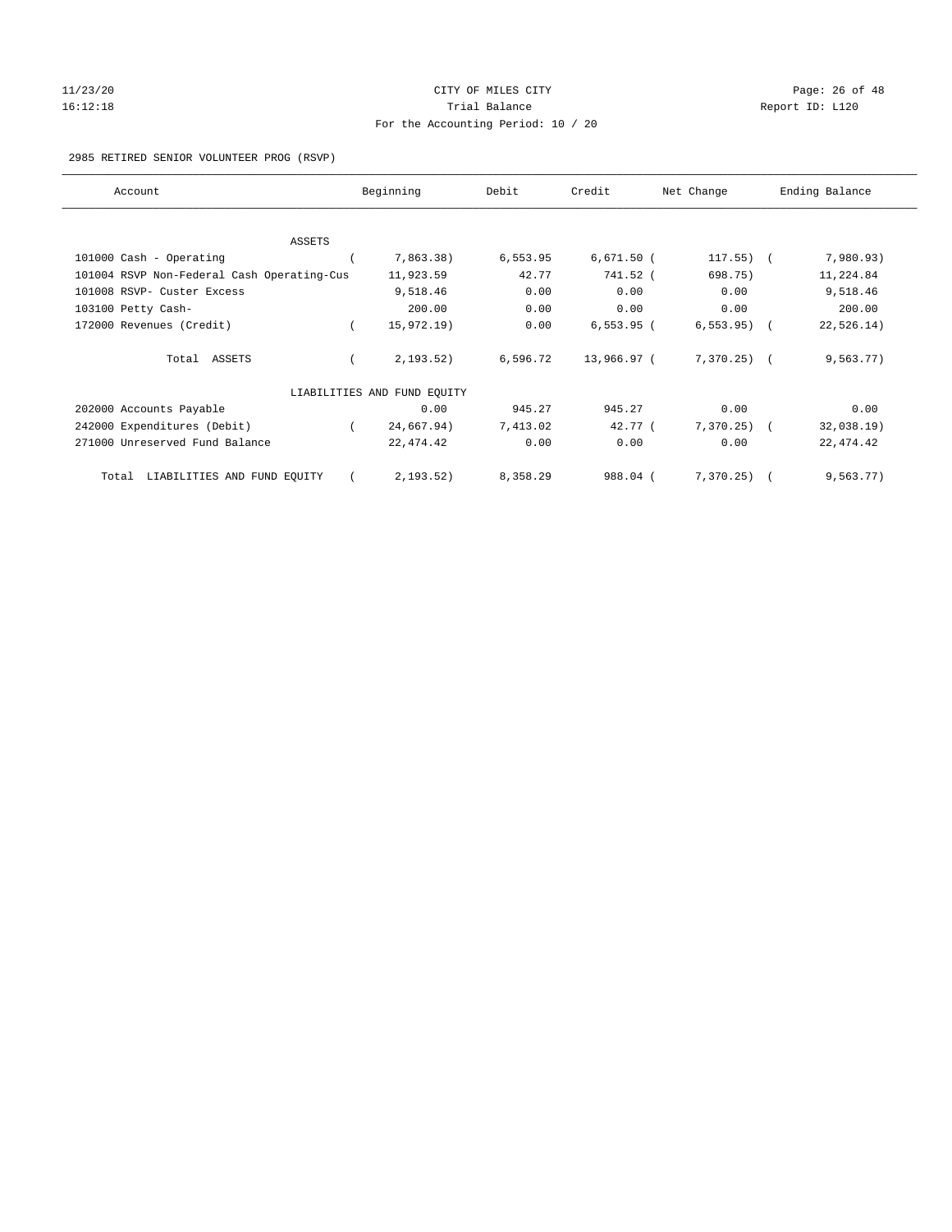# 11/23/20 Page: 26 of 48 16:12:18 Channel Balance Trial Balance Report ID: L120 For the Accounting Period: 10 / 20

2985 RETIRED SENIOR VOLUNTEER PROG (RSVP)

| Account                                    | Beginning                   | Debit    | Credit       | Net Change | Ending Balance |
|--------------------------------------------|-----------------------------|----------|--------------|------------|----------------|
|                                            |                             |          |              |            |                |
| <b>ASSETS</b><br>101000 Cash - Operating   | 7,863.38)                   | 6,553.95 | $6,671.50$ ( | 117.55)    | 7,980.93)      |
| 101004 RSVP Non-Federal Cash Operating-Cus | 11,923.59                   | 42.77    | 741.52 (     | 698.75)    | 11,224.84      |
|                                            |                             |          |              |            |                |
| 101008 RSVP- Custer Excess                 | 9,518.46                    | 0.00     | 0.00         | 0.00       | 9,518.46       |
| 103100 Petty Cash-                         | 200.00                      | 0.00     | 0.00         | 0.00       | 200.00         |
| 172000 Revenues (Credit)                   | 15,972.19)                  | 0.00     | $6,553.95$ ( | 6, 553.95) | 22, 526.14)    |
| Total ASSETS                               | 2, 193.52)                  | 6,596.72 | 13,966.97 (  | 7,370.25)  | 9,563.77)      |
|                                            | LIABILITIES AND FUND EQUITY |          |              |            |                |
| 202000 Accounts Payable                    | 0.00                        | 945.27   | 945.27       | 0.00       | 0.00           |
| 242000 Expenditures (Debit)                | 24,667.94)                  | 7,413.02 | 42.77 (      | 7,370.25)  | 32,038.19)     |
| 271000 Unreserved Fund Balance             | 22, 474.42                  | 0.00     | 0.00         | 0.00       | 22, 474.42     |
| LIABILITIES AND FUND EQUITY<br>Total       | 2, 193.52)                  | 8,358.29 | 988.04 (     | 7,370.25)  | 9, 563.77)     |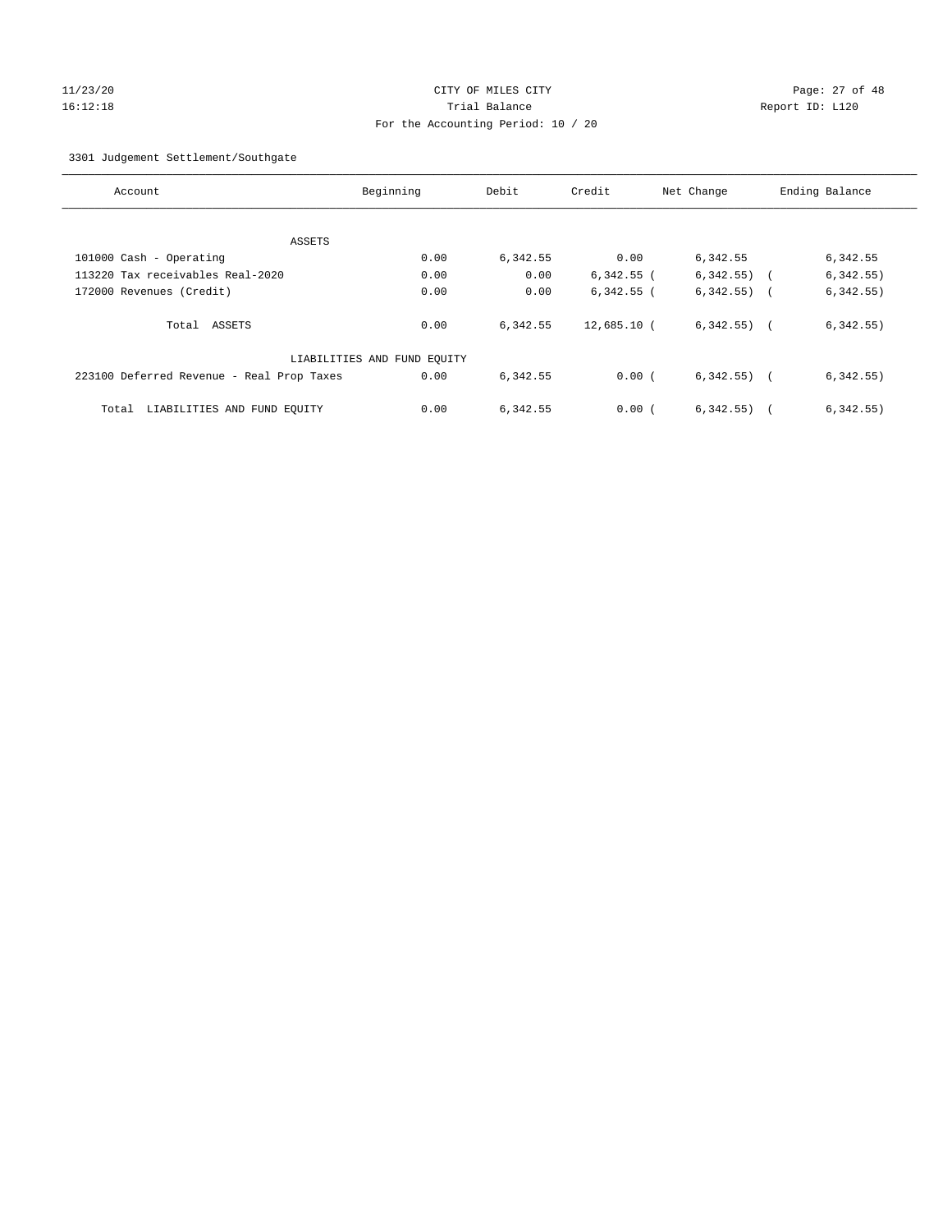#### 11/23/20 Page: 27 of 48 16:12:18 Trial Balance Report ID: L120 For the Accounting Period: 10 / 20

3301 Judgement Settlement/Southgate

| Account                                   | Beginning                   | Debit    | Credit       | Net Change     | Ending Balance          |
|-------------------------------------------|-----------------------------|----------|--------------|----------------|-------------------------|
|                                           |                             |          |              |                |                         |
| ASSETS                                    |                             |          |              |                |                         |
| 101000 Cash - Operating                   | 0.00                        | 6,342.55 | 0.00         | 6,342.55       | 6,342.55                |
| 113220 Tax receivables Real-2020          | 0.00                        | 0.00     | $6,342.55$ ( | 6,342.55)      | 6,342.55)<br>$\sqrt{2}$ |
| 172000 Revenues (Credit)                  | 0.00                        | 0.00     | $6,342.55$ ( | $6,342.55$ ) ( | 6, 342.55)              |
| Total ASSETS                              | 0.00                        | 6,342.55 | 12,685.10 (  | $6,342.55$ ) ( | 6,342.55)               |
|                                           | LIABILITIES AND FUND EQUITY |          |              |                |                         |
| 223100 Deferred Revenue - Real Prop Taxes | 0.00                        | 6,342.55 | 0.00(        | $6,342.55$ ) ( | 6,342.55)               |
| LIABILITIES AND FUND EOUITY<br>Total      | 0.00                        | 6,342.55 | 0.00(        | 6, 342.55)     | 6,342.55)               |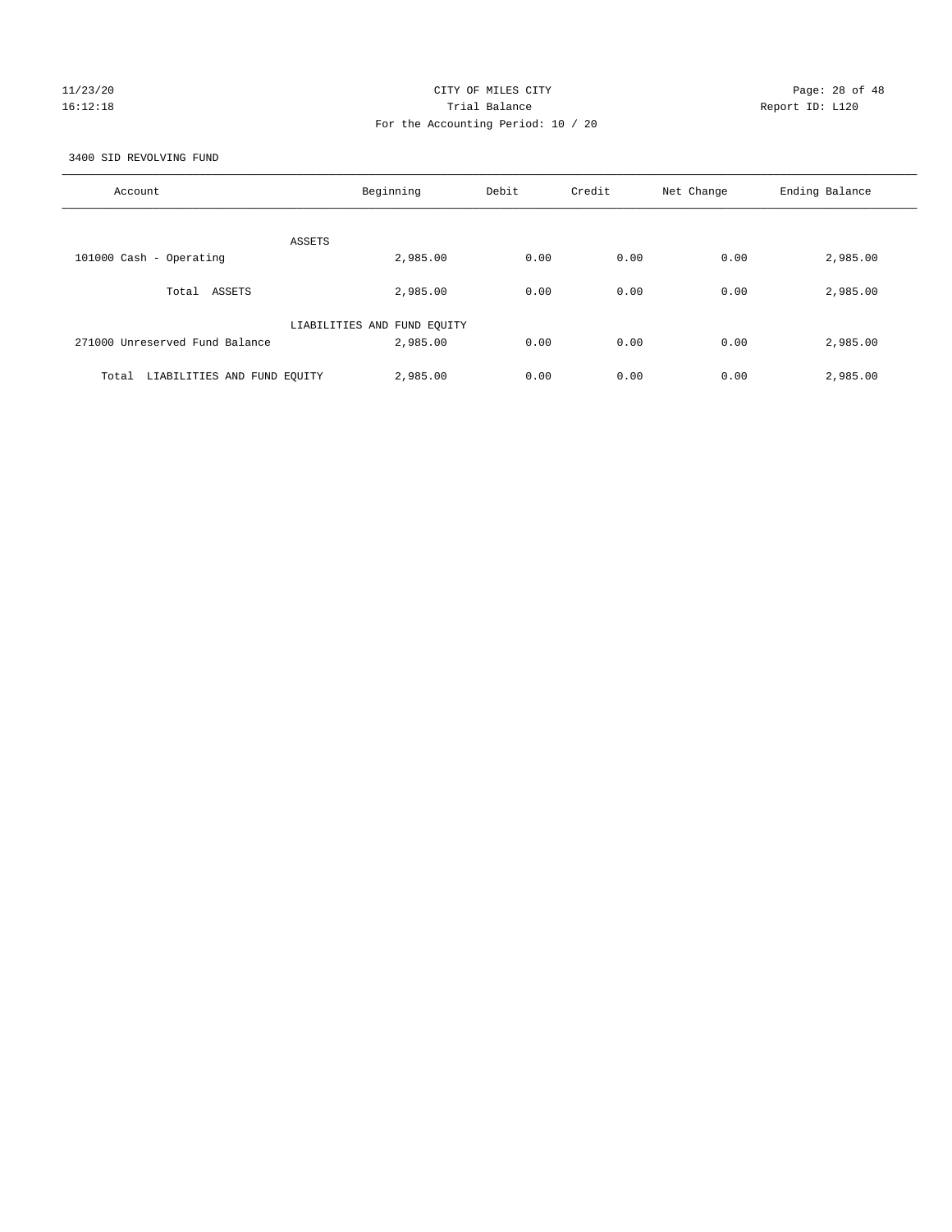# 11/23/20 Page: 28 of 48 16:12:18 Trial Balance Report ID: L120 For the Accounting Period: 10 / 20

3400 SID REVOLVING FUND

| Account                              | Beginning                   | Debit | Credit | Net Change | Ending Balance |
|--------------------------------------|-----------------------------|-------|--------|------------|----------------|
| ASSETS                               |                             |       |        |            |                |
| 101000 Cash - Operating              | 2,985.00                    | 0.00  | 0.00   | 0.00       | 2,985.00       |
| Total ASSETS                         | 2,985.00                    | 0.00  | 0.00   | 0.00       | 2,985.00       |
|                                      | LIABILITIES AND FUND EQUITY |       |        |            |                |
| 271000 Unreserved Fund Balance       | 2,985.00                    | 0.00  | 0.00   | 0.00       | 2,985.00       |
| LIABILITIES AND FUND EQUITY<br>Total | 2,985.00                    | 0.00  | 0.00   | 0.00       | 2,985.00       |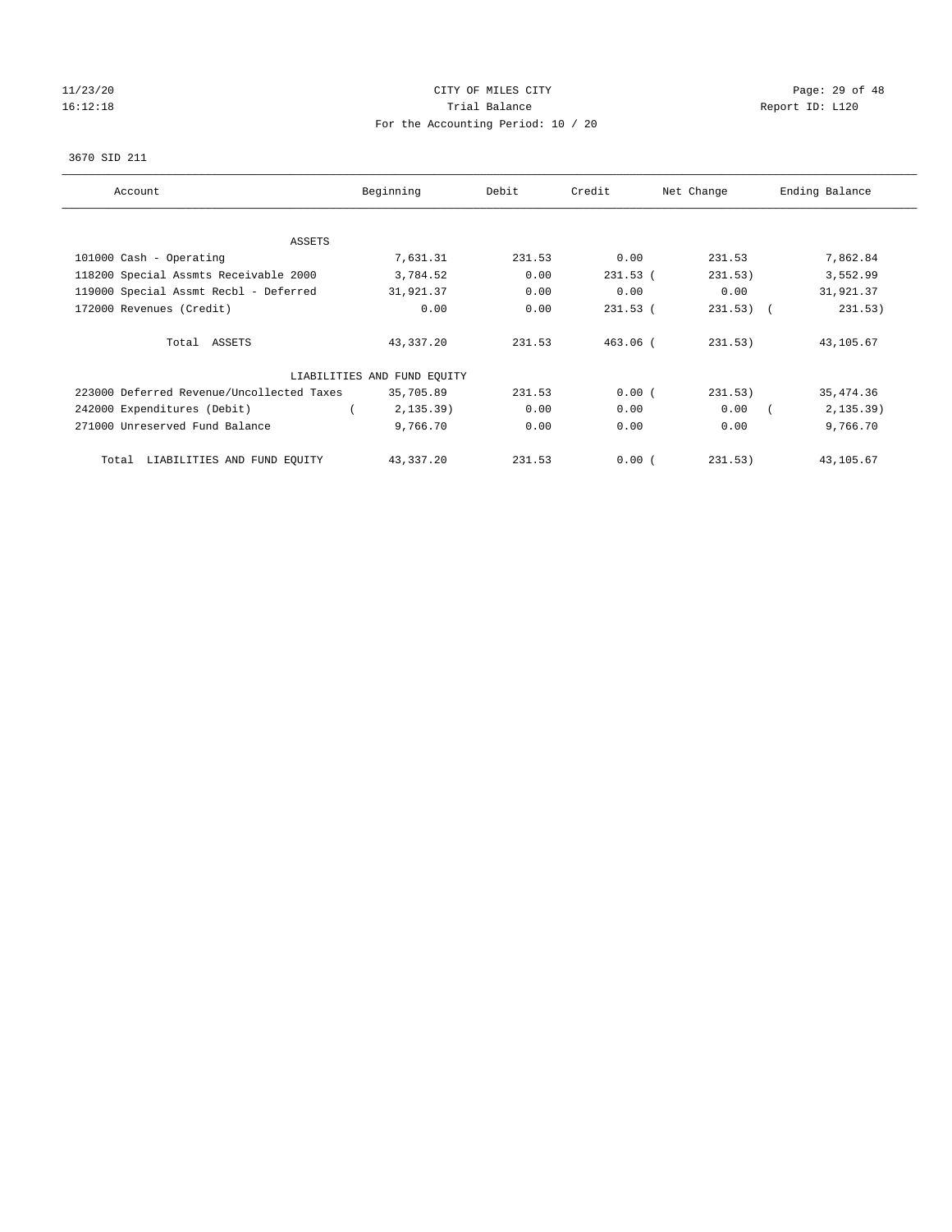# 11/23/20 Page: 29 of 48 16:12:18 Channel Balance Trial Balance Report ID: L120 For the Accounting Period: 10 / 20

#### 3670 SID 211

| Account                                   | Beginning                   | Debit  | Credit     | Net Change  | Ending Balance |
|-------------------------------------------|-----------------------------|--------|------------|-------------|----------------|
| ASSETS                                    |                             |        |            |             |                |
| 101000 Cash - Operating                   | 7,631.31                    | 231.53 | 0.00       | 231.53      | 7,862.84       |
| 118200 Special Assmts Receivable 2000     | 3,784.52                    | 0.00   | $231.53$ ( | 231.53)     | 3,552.99       |
| 119000 Special Assmt Recbl - Deferred     | 31,921.37                   | 0.00   | 0.00       | 0.00        | 31,921.37      |
| 172000 Revenues (Credit)                  | 0.00                        | 0.00   | $231.53$ ( | $231.53)$ ( | 231.53)        |
| Total ASSETS                              | 43,337.20                   | 231.53 | $463.06$ ( | 231.53)     | 43,105.67      |
|                                           | LIABILITIES AND FUND EQUITY |        |            |             |                |
| 223000 Deferred Revenue/Uncollected Taxes | 35,705.89                   | 231.53 | 0.00(      | 231.53)     | 35, 474.36     |
| 242000 Expenditures (Debit)               | 2, 135.39)                  | 0.00   | 0.00       | 0.00        | 2, 135.39)     |
| 271000 Unreserved Fund Balance            | 9,766.70                    | 0.00   | 0.00       | 0.00        | 9,766.70       |
| LIABILITIES AND FUND EQUITY<br>Total      | 43,337.20                   | 231.53 | 0.00(      | 231.53)     | 43,105.67      |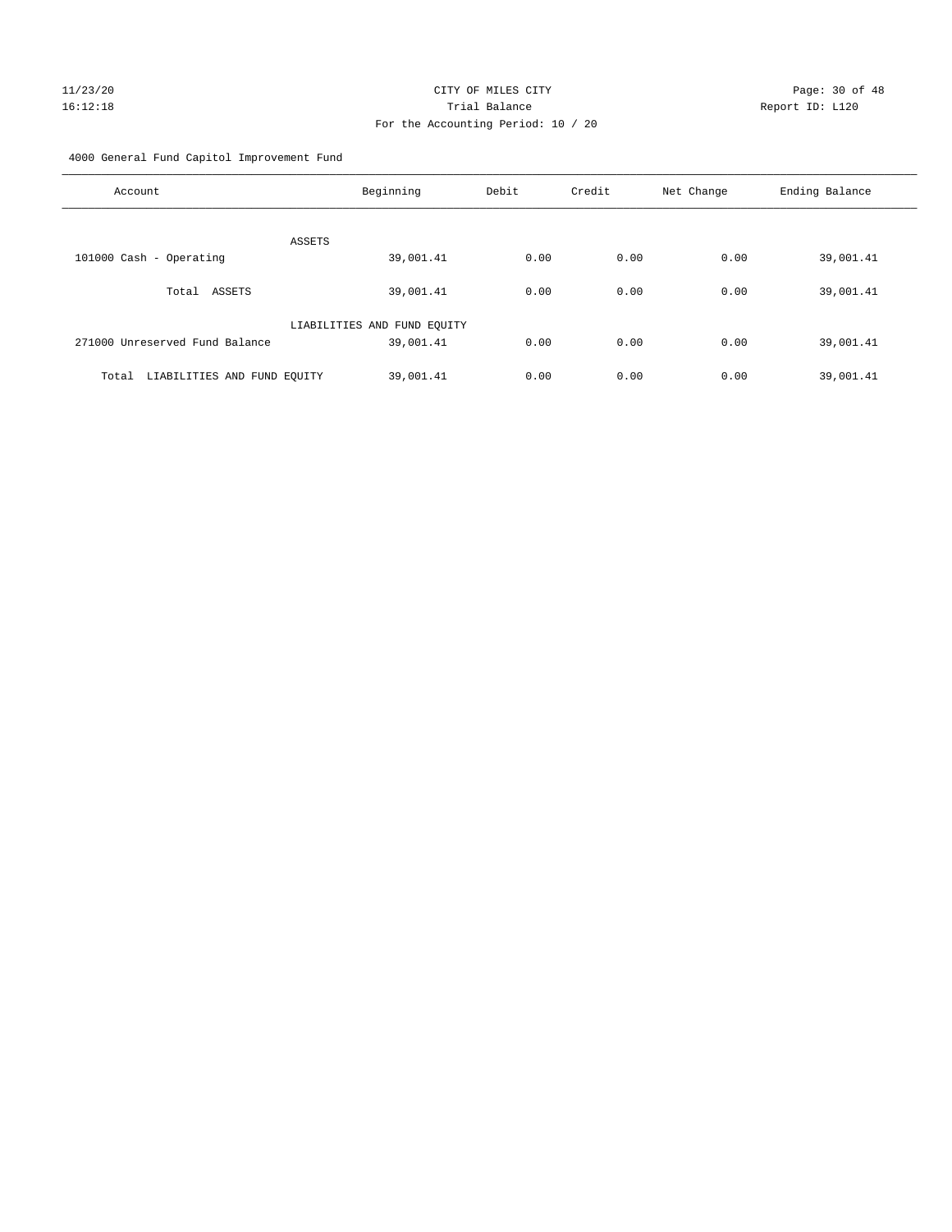# 11/23/20 Page: 30 of 48 16:12:18 Trial Balance Report ID: L120 For the Accounting Period: 10 / 20

4000 General Fund Capitol Improvement Fund

| Account                              | Beginning                   | Debit | Credit | Net Change | Ending Balance |
|--------------------------------------|-----------------------------|-------|--------|------------|----------------|
| ASSETS                               |                             |       |        |            |                |
| 101000 Cash - Operating              | 39,001.41                   | 0.00  | 0.00   | 0.00       | 39,001.41      |
| ASSETS<br>Total                      | 39,001.41                   | 0.00  | 0.00   | 0.00       | 39,001.41      |
|                                      | LIABILITIES AND FUND EQUITY |       |        |            |                |
| 271000 Unreserved Fund Balance       | 39,001.41                   | 0.00  | 0.00   | 0.00       | 39,001.41      |
| LIABILITIES AND FUND EQUITY<br>Total | 39,001.41                   | 0.00  | 0.00   | 0.00       | 39,001.41      |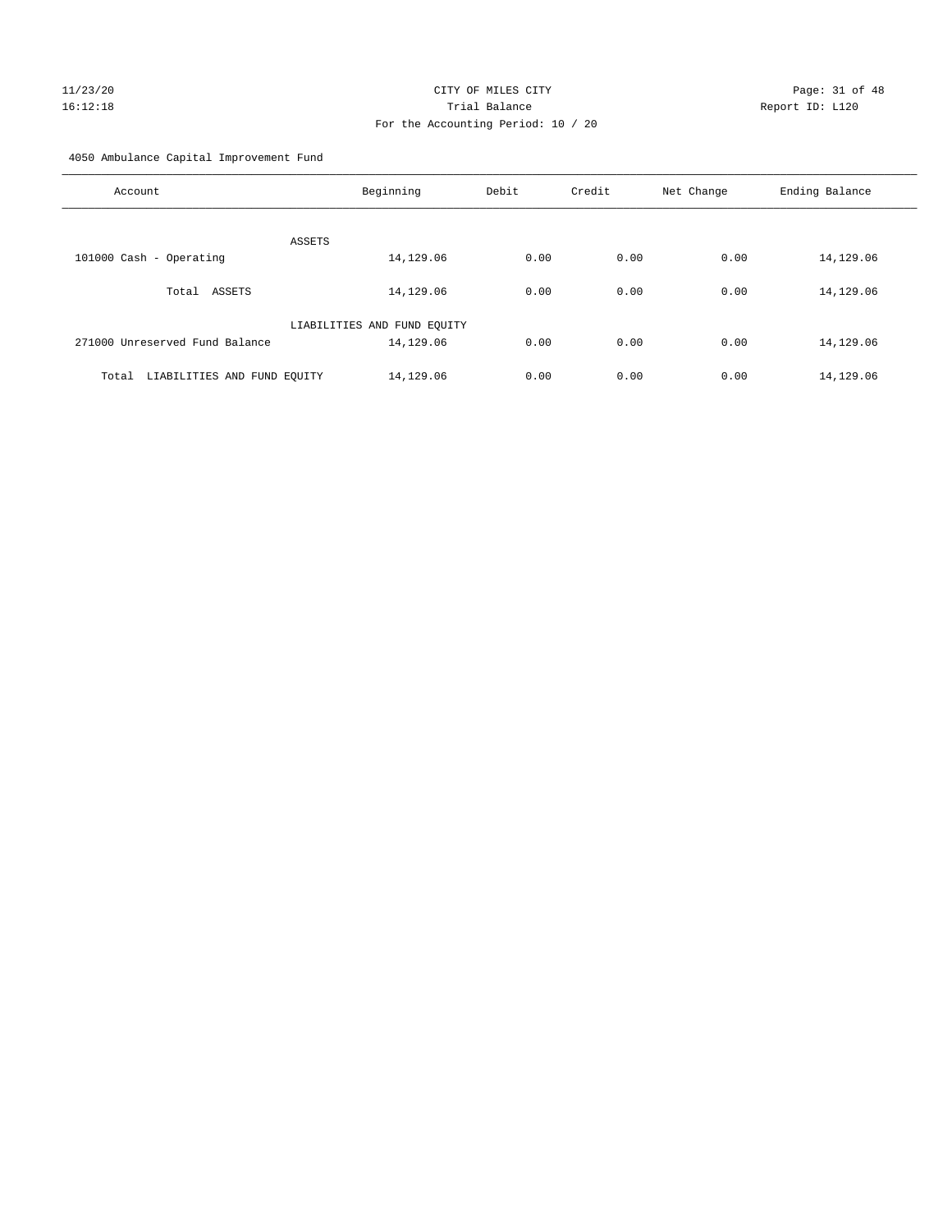# 11/23/20 Page: 31 of 48 16:12:18 Trial Balance Report ID: L120 For the Accounting Period: 10 / 20

4050 Ambulance Capital Improvement Fund

| Account                              | Beginning                   | Debit | Credit | Net Change | Ending Balance |
|--------------------------------------|-----------------------------|-------|--------|------------|----------------|
| ASSETS                               |                             |       |        |            |                |
| 101000 Cash - Operating              | 14,129.06                   | 0.00  | 0.00   | 0.00       | 14,129.06      |
| ASSETS<br>Total                      | 14,129.06                   | 0.00  | 0.00   | 0.00       | 14,129.06      |
|                                      | LIABILITIES AND FUND EQUITY |       |        |            |                |
| 271000 Unreserved Fund Balance       | 14,129.06                   | 0.00  | 0.00   | 0.00       | 14,129.06      |
| LIABILITIES AND FUND EQUITY<br>Total | 14,129.06                   | 0.00  | 0.00   | 0.00       | 14,129.06      |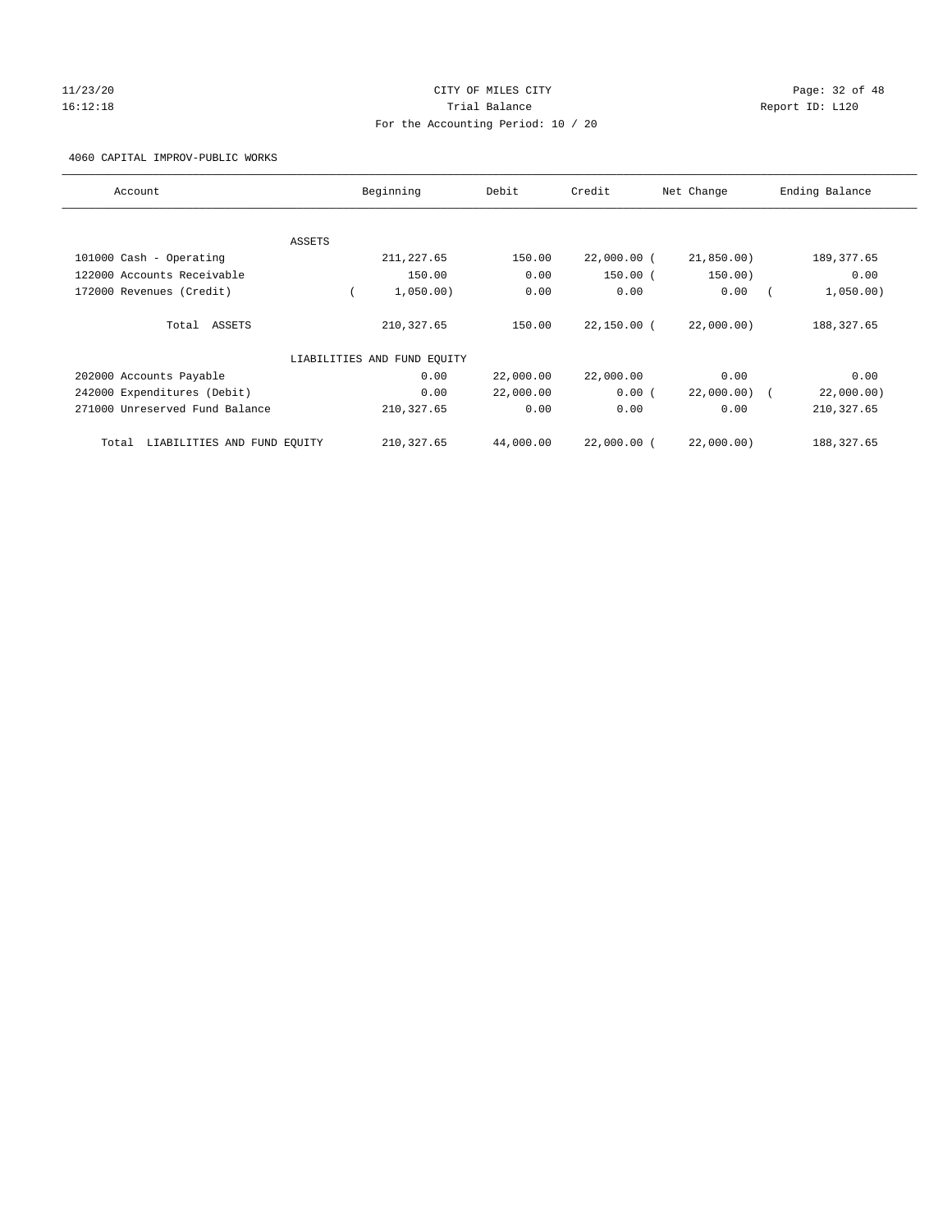# $11/23/20$  Page: 32 of 48 16:12:18 Channel Balance Trial Balance Report ID: L120 For the Accounting Period: 10 / 20

4060 CAPITAL IMPROV-PUBLIC WORKS

| Account                              |        | Beginning                   | Debit     | Credit        | Net Change | Ending Balance |
|--------------------------------------|--------|-----------------------------|-----------|---------------|------------|----------------|
|                                      |        |                             |           |               |            |                |
|                                      | ASSETS |                             |           |               |            |                |
| 101000 Cash - Operating              |        | 211, 227.65                 | 150.00    | $22,000.00$ ( | 21,850.00) | 189, 377.65    |
| 122000 Accounts Receivable           |        | 150.00                      | 0.00      | $150.00$ (    | 150.00)    | 0.00           |
| 172000 Revenues (Credit)             |        | 1,050.00)                   | 0.00      | 0.00          | 0.00       | 1,050.00)      |
| Total ASSETS                         |        | 210, 327.65                 | 150.00    | $22,150.00$ ( | 22,000.00) | 188, 327.65    |
|                                      |        | LIABILITIES AND FUND EQUITY |           |               |            |                |
| 202000 Accounts Payable              |        | 0.00                        | 22,000.00 | 22,000.00     | 0.00       | 0.00           |
| 242000 Expenditures (Debit)          |        | 0.00                        | 22,000.00 | 0.00(         | 22,000.00) | 22,000.00)     |
| 271000 Unreserved Fund Balance       |        | 210, 327.65                 | 0.00      | 0.00          | 0.00       | 210, 327.65    |
| LIABILITIES AND FUND EQUITY<br>Total |        | 210, 327.65                 | 44,000.00 | 22,000.00 (   | 22,000.00) | 188, 327.65    |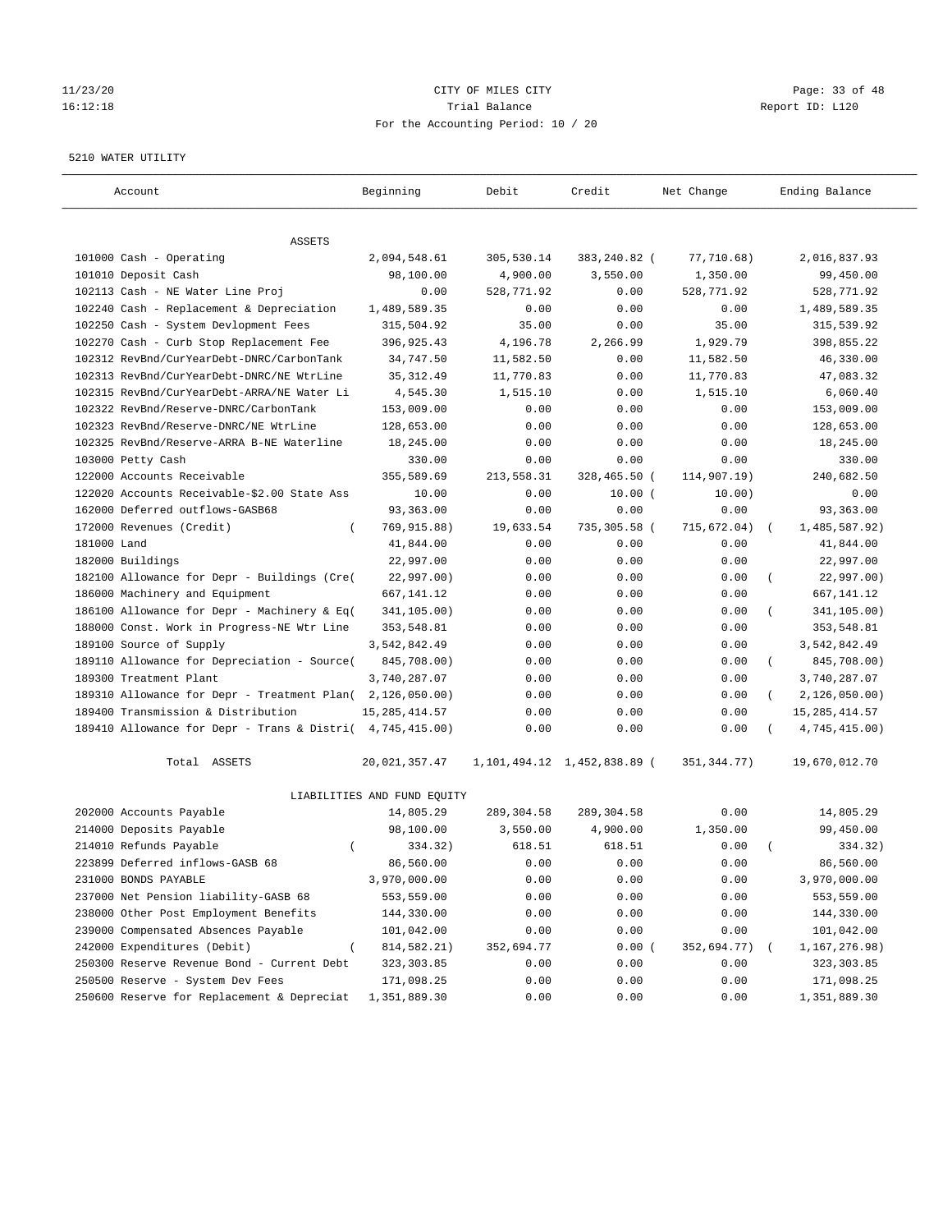#### 11/23/20 Page: 33 of 48 16:12:18 Trial Balance Report ID: L120 For the Accounting Period: 10 / 20

#### 5210 WATER UTILITY

| Account                                                   | Beginning                   | Debit      | Credit                          | Net Change   | Ending Balance              |
|-----------------------------------------------------------|-----------------------------|------------|---------------------------------|--------------|-----------------------------|
| ASSETS                                                    |                             |            |                                 |              |                             |
| 101000 Cash - Operating                                   | 2,094,548.61                | 305,530.14 | 383,240.82 (                    | 77,710.68)   | 2,016,837.93                |
| 101010 Deposit Cash                                       | 98,100.00                   | 4,900.00   | 3,550.00                        | 1,350.00     | 99,450.00                   |
| 102113 Cash - NE Water Line Proj                          | 0.00                        | 528,771.92 | 0.00                            | 528,771.92   | 528,771.92                  |
| 102240 Cash - Replacement & Depreciation                  | 1,489,589.35                | 0.00       | 0.00                            | 0.00         | 1,489,589.35                |
| 102250 Cash - System Devlopment Fees                      | 315,504.92                  | 35.00      | 0.00                            | 35.00        | 315,539.92                  |
| 102270 Cash - Curb Stop Replacement Fee                   | 396,925.43                  | 4,196.78   | 2,266.99                        | 1,929.79     | 398,855.22                  |
| 102312 RevBnd/CurYearDebt-DNRC/CarbonTank                 | 34,747.50                   | 11,582.50  | 0.00                            | 11,582.50    | 46,330.00                   |
| 102313 RevBnd/CurYearDebt-DNRC/NE WtrLine                 | 35, 312.49                  | 11,770.83  | 0.00                            | 11,770.83    | 47,083.32                   |
| 102315 RevBnd/CurYearDebt-ARRA/NE Water Li                | 4,545.30                    | 1,515.10   | 0.00                            | 1,515.10     | 6,060.40                    |
| 102322 RevBnd/Reserve-DNRC/CarbonTank                     | 153,009.00                  | 0.00       | 0.00                            | 0.00         | 153,009.00                  |
| 102323 RevBnd/Reserve-DNRC/NE WtrLine                     | 128,653.00                  | 0.00       | 0.00                            | 0.00         | 128,653.00                  |
| 102325 RevBnd/Reserve-ARRA B-NE Waterline                 | 18,245.00                   | 0.00       | 0.00                            | 0.00         | 18,245.00                   |
| 103000 Petty Cash                                         | 330.00                      | 0.00       | 0.00                            | 0.00         | 330.00                      |
| 122000 Accounts Receivable                                | 355,589.69                  | 213,558.31 | 328,465.50 (                    | 114,907.19)  | 240,682.50                  |
| 122020 Accounts Receivable-\$2.00 State Ass               | 10.00                       | 0.00       | $10.00$ (                       | 10.00)       | 0.00                        |
| 162000 Deferred outflows-GASB68                           | 93,363.00                   | 0.00       | 0.00                            | 0.00         | 93,363.00                   |
| 172000 Revenues (Credit)<br>$\left($                      | 769,915.88)                 | 19,633.54  | 735,305.58 (                    | 715,672.04)  | 1,485,587.92)<br>$\sqrt{2}$ |
| 181000 Land                                               | 41,844.00                   | 0.00       | 0.00                            | 0.00         | 41,844.00                   |
| 182000 Buildings                                          | 22,997.00                   | 0.00       | 0.00                            | 0.00         | 22,997.00                   |
| 182100 Allowance for Depr - Buildings (Cre(               | 22,997.00)                  | 0.00       | 0.00                            | 0.00         | 22,997.00)                  |
| 186000 Machinery and Equipment                            | 667,141.12                  | 0.00       | 0.00                            | 0.00         | 667, 141. 12                |
| 186100 Allowance for Depr - Machinery & Eq(               | 341,105.00)                 | 0.00       | 0.00                            | 0.00         | 341,105.00)                 |
| 188000 Const. Work in Progress-NE Wtr Line                | 353,548.81                  | 0.00       | 0.00                            | 0.00         | 353,548.81                  |
| 189100 Source of Supply                                   | 3,542,842.49                | 0.00       | 0.00                            | 0.00         | 3,542,842.49                |
| 189110 Allowance for Depreciation - Source(               | 845,708.00)                 | 0.00       | 0.00                            | 0.00         | 845,708.00)<br>$\left($     |
| 189300 Treatment Plant                                    | 3,740,287.07                | 0.00       | 0.00                            | 0.00         | 3,740,287.07                |
| 189310 Allowance for Depr - Treatment Plan(               | 2,126,050.00)               | 0.00       | 0.00                            | 0.00         | 2,126,050.00)<br>$\left($   |
| 189400 Transmission & Distribution                        | 15, 285, 414.57             | 0.00       | 0.00                            | 0.00         | 15, 285, 414.57             |
| 189410 Allowance for Depr - Trans & Distri( 4,745,415.00) |                             | 0.00       | 0.00                            | 0.00         | 4,745,415.00)               |
| Total ASSETS                                              | 20,021,357.47               |            | 1, 101, 494.12 1, 452, 838.89 ( | 351, 344.77) | 19,670,012.70               |
|                                                           | LIABILITIES AND FUND EQUITY |            |                                 |              |                             |
| 202000 Accounts Payable                                   | 14,805.29                   | 289,304.58 | 289,304.58                      | 0.00         | 14,805.29                   |
| 214000 Deposits Payable                                   | 98,100.00                   | 3,550.00   | 4,900.00                        | 1,350.00     | 99,450.00                   |
| 214010 Refunds Payable<br>$\left($                        | 334.32)                     | 618.51     | 618.51                          | 0.00         | 334.32)                     |
| 223899 Deferred inflows-GASB 68                           | 86,560.00                   | 0.00       | 0.00                            | 0.00         | 86,560.00                   |
| 231000 BONDS PAYABLE                                      | 3,970,000.00                | 0.00       | 0.00                            | 0.00         | 3,970,000.00                |
| 237000 Net Pension liability-GASB 68                      | 553,559.00                  | 0.00       | 0.00                            | 0.00         | 553,559.00                  |
| 238000 Other Post Employment Benefits                     | 144,330.00                  | 0.00       | 0.00                            | 0.00         | 144,330.00                  |
| 239000 Compensated Absences Payable                       | 101,042.00                  | 0.00       | 0.00                            | 0.00         | 101,042.00                  |
| 242000 Expenditures (Debit)                               | 814,582.21)                 | 352,694.77 | 0.00(                           | 352,694.77)  | 1,167,276.98)               |
| 250300 Reserve Revenue Bond - Current Debt                | 323, 303.85                 | 0.00       | 0.00                            | 0.00         | 323, 303.85                 |
| 250500 Reserve - System Dev Fees                          | 171,098.25                  | 0.00       | 0.00                            | 0.00         | 171,098.25                  |
| 250600 Reserve for Replacement & Depreciat                | 1,351,889.30                | 0.00       | 0.00                            | 0.00         | 1,351,889.30                |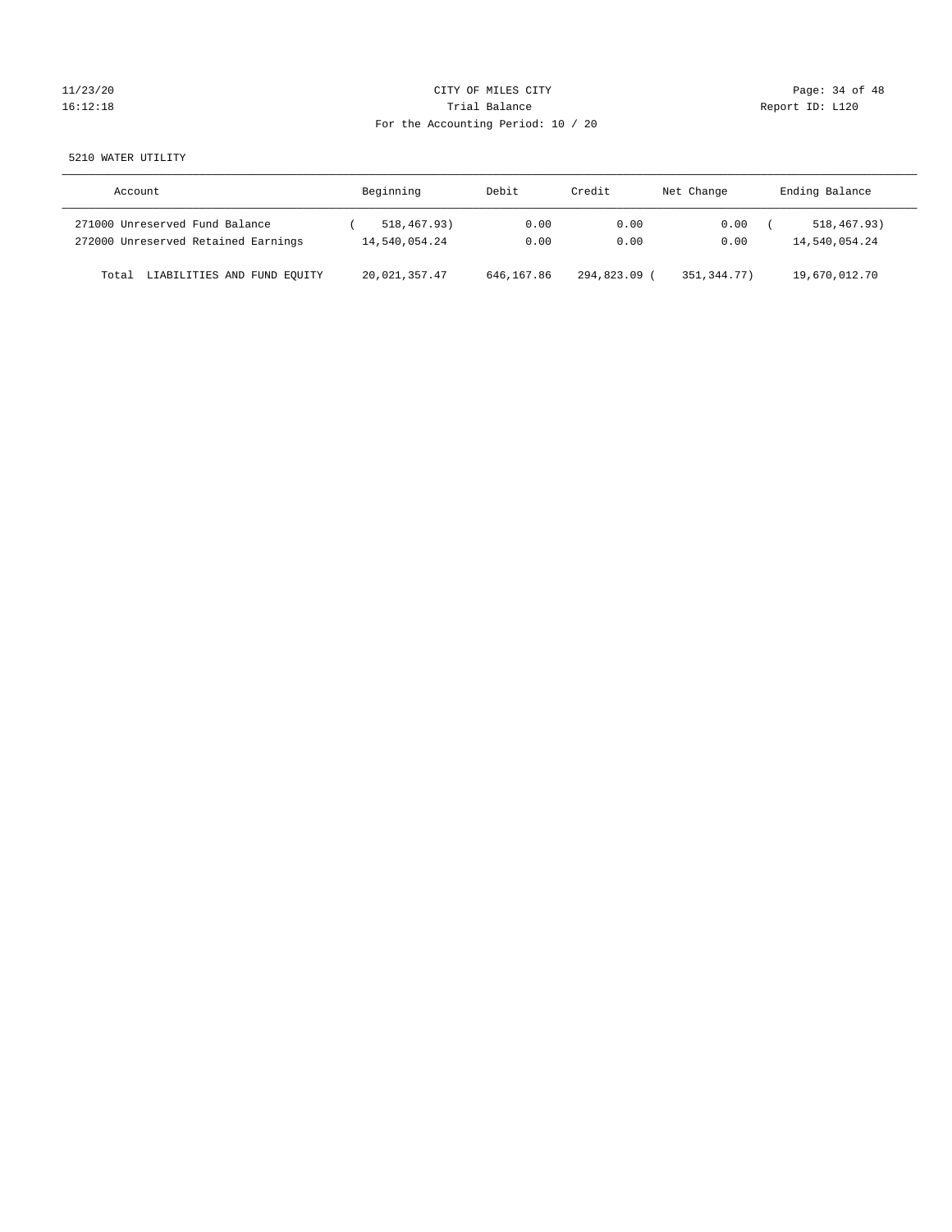# 11/23/20 Page: 34 of 48 16:12:18 Channel Balance Trial Balance Report ID: L120 For the Accounting Period: 10 / 20

5210 WATER UTILITY

| Account                                                               | Beginning                    | Debit        | Credit       | Net Change   | Ending Balance               |
|-----------------------------------------------------------------------|------------------------------|--------------|--------------|--------------|------------------------------|
| 271000 Unreserved Fund Balance<br>272000 Unreserved Retained Earnings | 518,467.93)<br>14,540,054.24 | 0.00<br>0.00 | 0.00<br>0.00 | 0.00<br>0.00 | 518,467.93)<br>14,540,054.24 |
|                                                                       |                              |              |              |              |                              |
| LIABILITIES AND FUND EQUITY<br>Total                                  | 20,021,357.47                | 646,167.86   | 294,823.09   | 351,344.77)  | 19,670,012.70                |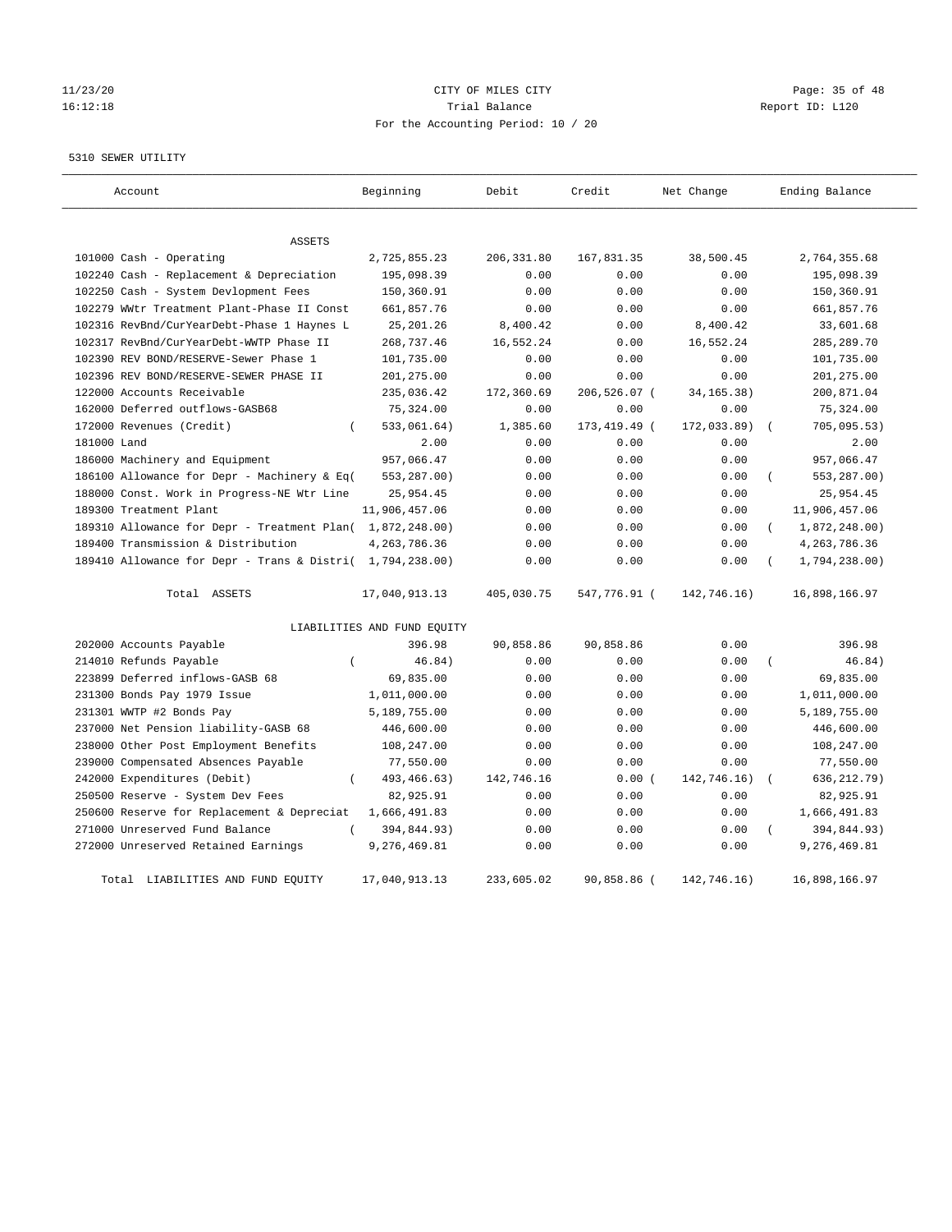# 11/23/20 Page: 35 of 48 16:12:18 Trial Balance Report ID: L120 For the Accounting Period: 10 / 20

#### 5310 SEWER UTILITY

| Account                                                   | Beginning                   | Debit       | Credit       | Net Change   | Ending Balance            |
|-----------------------------------------------------------|-----------------------------|-------------|--------------|--------------|---------------------------|
| <b>ASSETS</b>                                             |                             |             |              |              |                           |
| 101000 Cash - Operating                                   | 2,725,855.23                | 206, 331.80 | 167,831.35   | 38,500.45    | 2,764,355.68              |
| 102240 Cash - Replacement & Depreciation                  | 195,098.39                  | 0.00        | 0.00         | 0.00         | 195,098.39                |
| 102250 Cash - System Devlopment Fees                      | 150,360.91                  | 0.00        | 0.00         | 0.00         | 150,360.91                |
| 102279 WWtr Treatment Plant-Phase II Const                | 661,857.76                  | 0.00        | 0.00         | 0.00         | 661,857.76                |
| 102316 RevBnd/CurYearDebt-Phase 1 Haynes L                | 25, 201.26                  | 8,400.42    | 0.00         | 8,400.42     | 33,601.68                 |
| 102317 RevBnd/CurYearDebt-WWTP Phase II                   | 268,737.46                  | 16,552.24   | 0.00         | 16,552.24    | 285, 289. 70              |
| 102390 REV BOND/RESERVE-Sewer Phase 1                     | 101,735.00                  | 0.00        | 0.00         | 0.00         | 101,735.00                |
| 102396 REV BOND/RESERVE-SEWER PHASE II                    | 201,275.00                  | 0.00        | 0.00         | 0.00         | 201, 275.00               |
| 122000 Accounts Receivable                                | 235,036.42                  | 172,360.69  | 206,526.07 ( | 34, 165. 38) | 200,871.04                |
| 162000 Deferred outflows-GASB68                           | 75,324.00                   | 0.00        | 0.00         | 0.00         | 75,324.00                 |
| 172000 Revenues (Credit)<br>$\left($                      | 533,061.64)                 | 1,385.60    | 173,419.49 ( | 172,033.89)  | 705,095.53)               |
| 181000 Land                                               | 2.00                        | 0.00        | 0.00         | 0.00         | 2.00                      |
| 186000 Machinery and Equipment                            | 957,066.47                  | 0.00        | 0.00         | 0.00         | 957,066.47                |
| 186100 Allowance for Depr - Machinery & Eq(               | 553,287.00)                 | 0.00        | 0.00         | 0.00         | 553,287.00)<br>$\left($   |
| 188000 Const. Work in Progress-NE Wtr Line                | 25,954.45                   | 0.00        | 0.00         | 0.00         | 25,954.45                 |
| 189300 Treatment Plant                                    | 11,906,457.06               | 0.00        | 0.00         | 0.00         | 11,906,457.06             |
| 189310 Allowance for Depr - Treatment Plan( 1,872,248.00) |                             | 0.00        | 0.00         | 0.00         | 1,872,248.00)<br>$\left($ |
| 189400 Transmission & Distribution                        | 4, 263, 786.36              | 0.00        | 0.00         | 0.00         | 4, 263, 786.36            |
| 189410 Allowance for Depr - Trans & Distri( 1,794,238.00) |                             | 0.00        | 0.00         | 0.00         | 1,794,238.00)             |
| Total ASSETS                                              | 17,040,913.13               | 405,030.75  | 547,776.91 ( | 142,746.16)  | 16,898,166.97             |
|                                                           | LIABILITIES AND FUND EQUITY |             |              |              |                           |
| 202000 Accounts Payable                                   | 396.98                      | 90,858.86   | 90,858.86    | 0.00         | 396.98                    |
| 214010 Refunds Payable<br>$\left($                        | 46.84)                      | 0.00        | 0.00         | 0.00         | 46.84)<br>$\left($        |
| 223899 Deferred inflows-GASB 68                           | 69,835.00                   | 0.00        | 0.00         | 0.00         | 69,835.00                 |
| 231300 Bonds Pay 1979 Issue                               | 1,011,000.00                | 0.00        | 0.00         | 0.00         | 1,011,000.00              |
| 231301 WWTP #2 Bonds Pay                                  | 5,189,755.00                | 0.00        | 0.00         | 0.00         | 5,189,755.00              |
| 237000 Net Pension liability-GASB 68                      | 446,600.00                  | 0.00        | 0.00         | 0.00         | 446,600.00                |
| 238000 Other Post Employment Benefits                     | 108,247.00                  | 0.00        | 0.00         | 0.00         | 108,247.00                |
| 239000 Compensated Absences Payable                       | 77,550.00                   | 0.00        | 0.00         | 0.00         | 77,550.00                 |
| 242000 Expenditures (Debit)<br>$\left($                   | 493, 466. 63)               | 142,746.16  | 0.00(        | 142,746.16)  | 636, 212.79)              |
| 250500 Reserve - System Dev Fees                          | 82,925.91                   | 0.00        | 0.00         | 0.00         | 82,925.91                 |
| 250600 Reserve for Replacement & Depreciat                | 1,666,491.83                | 0.00        | 0.00         | 0.00         | 1,666,491.83              |
| 271000 Unreserved Fund Balance<br>$\left($                | 394,844.93)                 | 0.00        | 0.00         | 0.00         | 394,844.93)               |
| 272000 Unreserved Retained Earnings                       | 9,276,469.81                | 0.00        | 0.00         | 0.00         | 9,276,469.81              |
| LIABILITIES AND FUND EQUITY<br>Total                      | 17,040,913.13               | 233,605.02  | 90,858.86 (  | 142,746.16)  | 16,898,166.97             |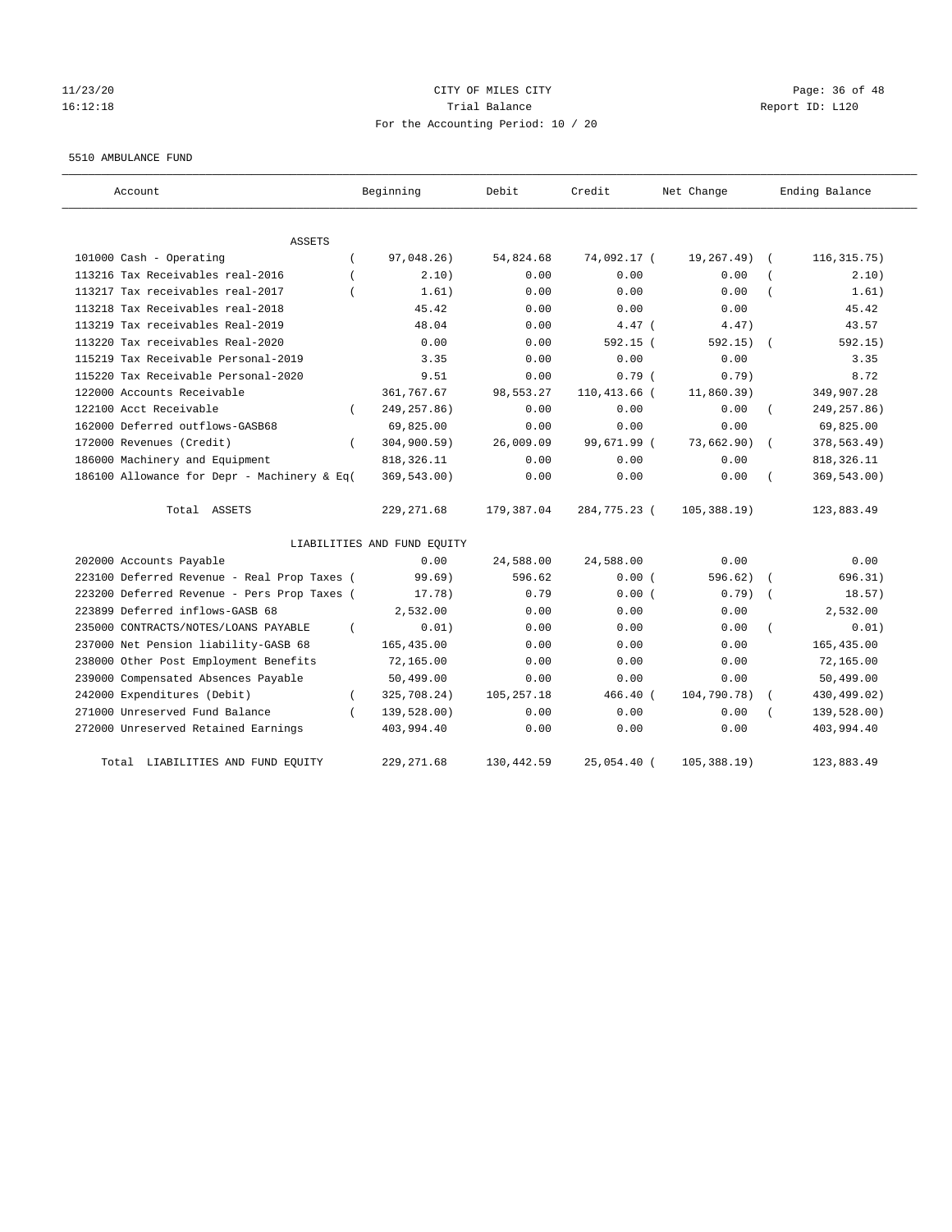#### 11/23/20 Page: 36 of 48 16:12:18 Trial Balance Report ID: L120 For the Accounting Period: 10 / 20

#### 5510 AMBULANCE FUND

| Account                                     | Beginning                   | Debit        | Credit       | Net Change      | Ending Balance |
|---------------------------------------------|-----------------------------|--------------|--------------|-----------------|----------------|
| ASSETS                                      |                             |              |              |                 |                |
| 101000 Cash - Operating                     | 97,048.26)                  | 54,824.68    | 74,092.17 (  | 19,267.49)      | 116, 315.75)   |
| 113216 Tax Receivables real-2016            | 2.10)                       | 0.00         | 0.00         | 0.00            | 2.10)          |
| 113217 Tax receivables real-2017            | 1.61)                       | 0.00         | 0.00         | 0.00            | 1.61)          |
| 113218 Tax Receivables real-2018            | 45.42                       | 0.00         | 0.00         | 0.00            | 45.42          |
| 113219 Tax receivables Real-2019            | 48.04                       | 0.00         | $4.47$ (     | 4.47)           | 43.57          |
| 113220 Tax receivables Real-2020            | 0.00                        | 0.00         | 592.15 (     | 592.15)         | 592.15)        |
| 115219 Tax Receivable Personal-2019         | 3.35                        | 0.00         | 0.00         | 0.00            | 3.35           |
| 115220 Tax Receivable Personal-2020         | 9.51                        | 0.00         | 0.79(        | $0.79$ )        | 8.72           |
| 122000 Accounts Receivable                  | 361,767.67                  | 98,553.27    | 110,413.66 ( | 11,860.39)      | 349,907.28     |
| 122100 Acct Receivable                      | 249, 257.86)                | 0.00         | 0.00         | 0.00            | 249, 257.86)   |
| 162000 Deferred outflows-GASB68             | 69,825.00                   | 0.00         | 0.00         | 0.00            | 69,825.00      |
| 172000 Revenues (Credit)<br>$\left($        | 304,900.59)                 | 26,009.09    | 99,671.99 (  | 73,662.90)      | 378,563.49)    |
| 186000 Machinery and Equipment              | 818, 326.11                 | 0.00         | 0.00         | 0.00            | 818, 326.11    |
| 186100 Allowance for Depr - Machinery & Eq( | 369,543.00)                 | 0.00         | 0.00         | 0.00            | 369,543.00)    |
| Total ASSETS                                | 229, 271.68                 | 179,387.04   | 284,775.23 ( | 105, 388.19)    | 123,883.49     |
|                                             | LIABILITIES AND FUND EQUITY |              |              |                 |                |
| 202000 Accounts Payable                     | 0.00                        | 24,588.00    | 24,588.00    | 0.00            | 0.00           |
| 223100 Deferred Revenue - Real Prop Taxes ( | 99.69)                      | 596.62       | 0.00(        | 596.62)         | 696.31)        |
| 223200 Deferred Revenue - Pers Prop Taxes ( | 17.78)                      | 0.79         | 0.00(        | 0.79)           | 18.57)         |
| 223899 Deferred inflows-GASB 68             | 2,532.00                    | 0.00         | 0.00         | 0.00            | 2,532.00       |
| 235000 CONTRACTS/NOTES/LOANS PAYABLE        | 0.01)                       | 0.00         | 0.00         | 0.00            | 0.01)          |
| 237000 Net Pension liability-GASB 68        | 165, 435.00                 | 0.00         | 0.00         | 0.00            | 165,435.00     |
| 238000 Other Post Employment Benefits       | 72,165.00                   | 0.00         | 0.00         | 0.00            | 72,165.00      |
| 239000 Compensated Absences Payable         | 50,499.00                   | 0.00         | 0.00         | 0.00            | 50,499.00      |
| 242000 Expenditures (Debit)<br>$\left($     | 325,708.24)                 | 105, 257. 18 | 466.40 (     | 104,790.78)     | 430,499.02)    |
| 271000 Unreserved Fund Balance              | 139,528.00)                 | 0.00         | 0.00         | 0.00            | 139,528.00)    |
| 272000 Unreserved Retained Earnings         | 403,994.40                  | 0.00         | 0.00         | 0.00            | 403,994.40     |
| LIABILITIES AND FUND EQUITY<br>Total        | 229, 271.68                 | 130,442.59   | 25,054.40 (  | $105, 388.19$ ) | 123,883.49     |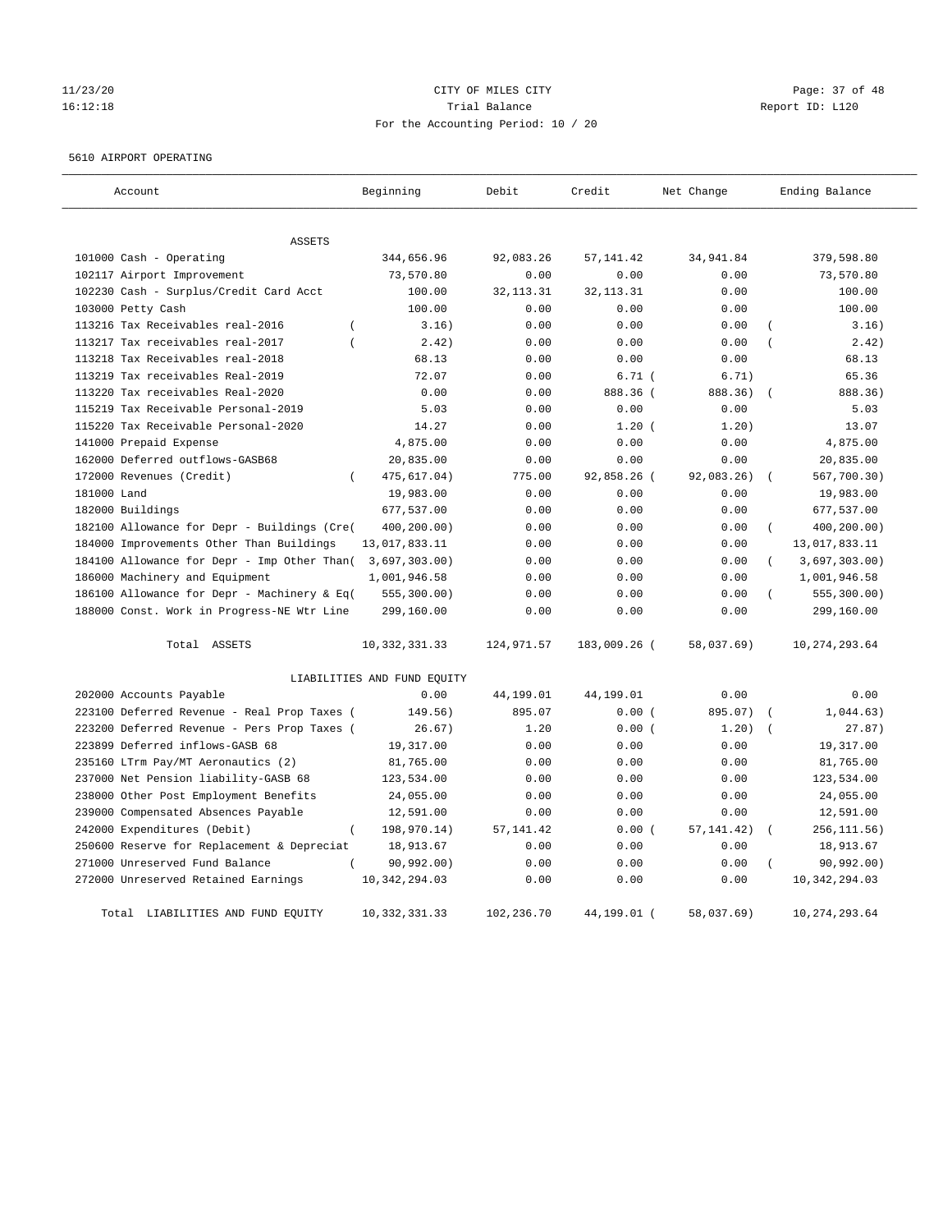# 11/23/20 **CITY OF MILES CITY CITY CITY Page: 37 of 48** 16:12:18 Channel Balance Trial Balance Report ID: L120 For the Accounting Period: 10 / 20

#### 5610 AIRPORT OPERATING

| Account                                            | Beginning                   | Debit       | Credit       | Net Change  | Ending Balance                  |
|----------------------------------------------------|-----------------------------|-------------|--------------|-------------|---------------------------------|
|                                                    |                             |             |              |             |                                 |
| ASSETS                                             |                             |             |              |             |                                 |
| 101000 Cash - Operating                            | 344,656.96                  | 92,083.26   | 57, 141.42   | 34,941.84   | 379,598.80                      |
| 102117 Airport Improvement                         | 73,570.80                   | 0.00        | 0.00         | 0.00        | 73,570.80                       |
| 102230 Cash - Surplus/Credit Card Acct             | 100.00                      | 32, 113. 31 | 32, 113. 31  | 0.00        | 100.00                          |
| 103000 Petty Cash                                  | 100.00                      | 0.00        | 0.00         | 0.00        | 100.00                          |
| 113216 Tax Receivables real-2016<br>$\overline{ }$ | 3.16)                       | 0.00        | 0.00         | 0.00        | 3.16)                           |
| 113217 Tax receivables real-2017<br>$\left($       | 2.42)                       | 0.00        | 0.00         | 0.00        | 2.42)<br>$\overline{ }$         |
| 113218 Tax Receivables real-2018                   | 68.13                       | 0.00        | 0.00         | 0.00        | 68.13                           |
| 113219 Tax receivables Real-2019                   | 72.07                       | 0.00        | 6.71(        | 6.71)       | 65.36                           |
| 113220 Tax receivables Real-2020                   | 0.00                        | 0.00        | 888.36 (     | 888.36)     | 888.36)                         |
| 115219 Tax Receivable Personal-2019                | 5.03                        | 0.00        | 0.00         | 0.00        | 5.03                            |
| 115220 Tax Receivable Personal-2020                | 14.27                       | 0.00        | 1.20(        | 1.20)       | 13.07                           |
| 141000 Prepaid Expense                             | 4,875.00                    | 0.00        | 0.00         | 0.00        | 4,875.00                        |
| 162000 Deferred outflows-GASB68                    | 20,835.00                   | 0.00        | 0.00         | 0.00        | 20,835.00                       |
| 172000 Revenues (Credit)<br>$\overline{(\ }$       | 475,617.04)                 | 775.00      | 92,858.26 (  | 92,083.26)  | 567,700.30)                     |
| 181000 Land                                        | 19,983.00                   | 0.00        | 0.00         | 0.00        | 19,983.00                       |
| 182000 Buildings                                   | 677,537.00                  | 0.00        | 0.00         | 0.00        | 677,537.00                      |
| 182100 Allowance for Depr - Buildings (Cre(        | 400,200.00)                 | 0.00        | 0.00         | 0.00        | 400,200.00)<br>$\overline{(\ }$ |
| 184000 Improvements Other Than Buildings           | 13,017,833.11               | 0.00        | 0.00         | 0.00        | 13,017,833.11                   |
| 184100 Allowance for Depr - Imp Other Than(        | 3,697,303.00)               | 0.00        | 0.00         | 0.00        | 3,697,303.00)                   |
| 186000 Machinery and Equipment                     | 1,001,946.58                | 0.00        | 0.00         | 0.00        | 1,001,946.58                    |
| 186100 Allowance for Depr - Machinery & Eq(        | 555, 300.00)                | 0.00        | 0.00         | 0.00        | 555, 300.00)                    |
| 188000 Const. Work in Progress-NE Wtr Line         | 299,160.00                  | 0.00        | 0.00         | 0.00        | 299,160.00                      |
| Total ASSETS                                       | 10, 332, 331.33             | 124, 971.57 | 183,009.26 ( | 58,037.69)  | 10, 274, 293.64                 |
|                                                    | LIABILITIES AND FUND EQUITY |             |              |             |                                 |
| 202000 Accounts Payable                            | 0.00                        | 44,199.01   | 44,199.01    | 0.00        | 0.00                            |
| 223100 Deferred Revenue - Real Prop Taxes (        | 149.56)                     | 895.07      | 0.00(        | 895.07)     | 1,044.63)                       |
| 223200 Deferred Revenue - Pers Prop Taxes (        | 26.67)                      | 1.20        | 0.00(        | 1.20)       | 27.87)                          |
| 223899 Deferred inflows-GASB 68                    | 19,317.00                   | 0.00        | 0.00         | 0.00        | 19,317.00                       |
| 235160 LTrm Pay/MT Aeronautics (2)                 | 81,765.00                   | 0.00        | 0.00         | 0.00        | 81,765.00                       |
| 237000 Net Pension liability-GASB 68               | 123,534.00                  | 0.00        | 0.00         | 0.00        | 123,534.00                      |
| 238000 Other Post Employment Benefits              | 24,055.00                   | 0.00        | 0.00         | 0.00        | 24,055.00                       |
| 239000 Compensated Absences Payable                | 12,591.00                   | 0.00        | 0.00         | 0.00        | 12,591.00                       |
| 242000 Expenditures (Debit)<br>$\left($            | 198,970.14)                 | 57, 141.42  | 0.00(        | 57, 141.42) | 256, 111.56)<br>$\left($        |
| 250600 Reserve for Replacement & Depreciat         | 18,913.67                   | 0.00        | 0.00         | 0.00        | 18,913.67                       |
| 271000 Unreserved Fund Balance                     | 90, 992.00)                 | 0.00        | 0.00         | 0.00        | 90, 992.00)                     |
| 272000 Unreserved Retained Earnings                | 10, 342, 294.03             | 0.00        | 0.00         | 0.00        | 10, 342, 294.03                 |
| Total LIABILITIES AND FUND EQUITY                  | 10, 332, 331.33             | 102,236.70  | 44,199.01 (  | 58,037.69)  | 10, 274, 293.64                 |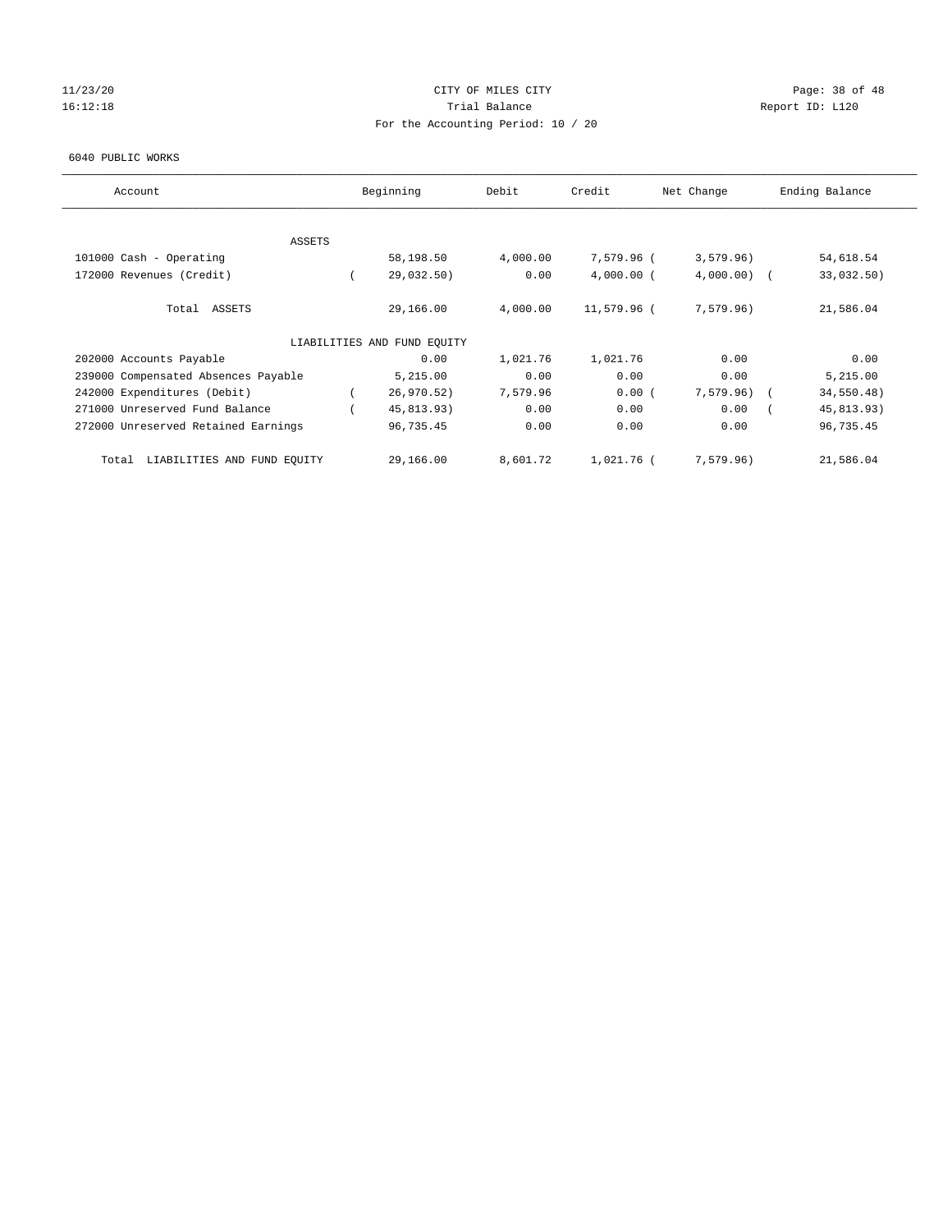#### $11/23/20$  Page: 38 of 48 16:12:18 Channel Balance Trial Balance Report ID: L120 For the Accounting Period: 10 / 20

#### 6040 PUBLIC WORKS

| Account                              | Beginning                   | Debit    | Credit       | Net Change    | Ending Balance |  |
|--------------------------------------|-----------------------------|----------|--------------|---------------|----------------|--|
|                                      |                             |          |              |               |                |  |
| <b>ASSETS</b>                        |                             |          |              |               |                |  |
| 101000 Cash - Operating              | 58,198.50                   | 4,000.00 | 7,579.96 (   | 3,579.96)     | 54,618.54      |  |
| 172000 Revenues (Credit)             | 29,032.50)                  | 0.00     | $4,000.00$ ( | $4,000.00)$ ( | 33,032.50)     |  |
| Total ASSETS                         | 29,166.00                   | 4,000.00 | 11,579.96 (  | 7,579.96)     | 21,586.04      |  |
|                                      | LIABILITIES AND FUND EQUITY |          |              |               |                |  |
| 202000 Accounts Payable              | 0.00                        | 1,021.76 | 1,021.76     | 0.00          | 0.00           |  |
| 239000 Compensated Absences Payable  | 5,215.00                    | 0.00     | 0.00         | 0.00          | 5,215.00       |  |
| 242000 Expenditures (Debit)          | 26,970.52)                  | 7,579.96 | 0.00(        | $7,579.96$ (  | 34,550.48)     |  |
| 271000 Unreserved Fund Balance       | 45,813.93)                  | 0.00     | 0.00         | 0.00          | 45,813.93)     |  |
| 272000 Unreserved Retained Earnings  | 96,735.45                   | 0.00     | 0.00         | 0.00          | 96,735.45      |  |
| LIABILITIES AND FUND EQUITY<br>Total | 29,166.00                   | 8,601.72 | 1,021.76 (   | 7,579.96)     | 21,586.04      |  |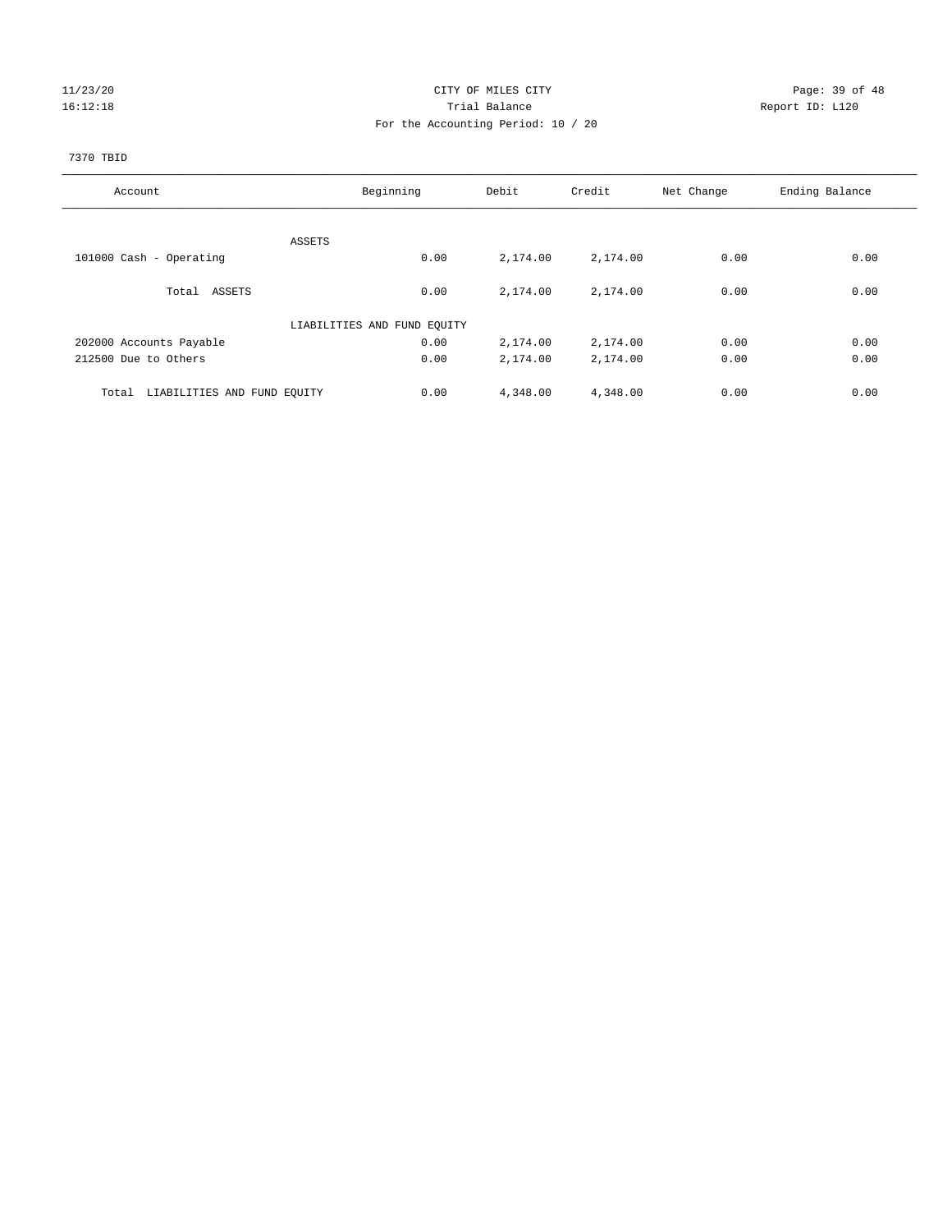#### 11/23/20 Page: 39 of 48 16:12:18 Trial Balance Report ID: L120 For the Accounting Period: 10 / 20

# 7370 TBID

| Account                              | Beginning                   | Debit    | Credit   | Net Change | Ending Balance |
|--------------------------------------|-----------------------------|----------|----------|------------|----------------|
|                                      |                             |          |          |            |                |
|                                      | ASSETS                      |          |          |            |                |
| 101000 Cash - Operating              | 0.00                        | 2,174.00 | 2,174.00 | 0.00       | 0.00           |
| Total ASSETS                         | 0.00                        | 2,174.00 | 2,174.00 | 0.00       | 0.00           |
|                                      | LIABILITIES AND FUND EQUITY |          |          |            |                |
| 202000 Accounts Payable              | 0.00                        | 2,174.00 | 2,174.00 | 0.00       | 0.00           |
| 212500 Due to Others                 | 0.00                        | 2,174.00 | 2,174.00 | 0.00       | 0.00           |
| LIABILITIES AND FUND EQUITY<br>Total | 0.00                        | 4,348.00 | 4,348.00 | 0.00       | 0.00           |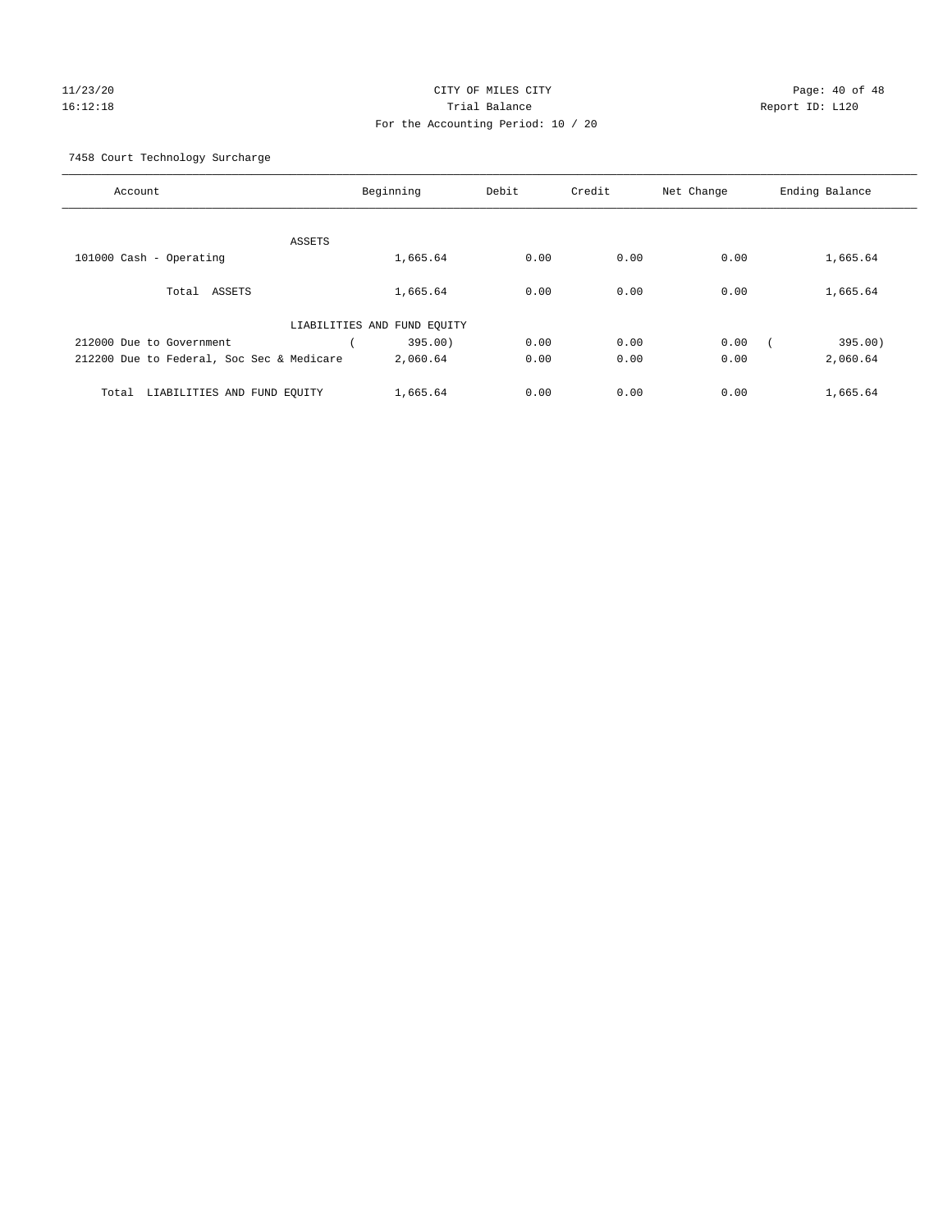#### 11/23/20 Page: 40 of 48 16:12:18 Trial Balance Report ID: L120 For the Accounting Period: 10 / 20

7458 Court Technology Surcharge

| Account                                   |                             | Beginning | Debit | Credit | Net Change | Ending Balance |
|-------------------------------------------|-----------------------------|-----------|-------|--------|------------|----------------|
|                                           |                             |           |       |        |            |                |
|                                           | <b>ASSETS</b>               |           |       |        |            |                |
| 101000 Cash - Operating                   |                             | 1,665.64  | 0.00  | 0.00   | 0.00       | 1,665.64       |
| ASSETS<br>Total                           |                             | 1,665.64  | 0.00  | 0.00   | 0.00       | 1,665.64       |
|                                           | LIABILITIES AND FUND EQUITY |           |       |        |            |                |
| 212000 Due to Government                  |                             | 395.00)   | 0.00  | 0.00   | 0.00       | 395.00)        |
| 212200 Due to Federal, Soc Sec & Medicare |                             | 2,060.64  | 0.00  | 0.00   | 0.00       | 2,060.64       |
| LIABILITIES AND FUND EQUITY<br>Total      |                             | 1,665.64  | 0.00  | 0.00   | 0.00       | 1,665.64       |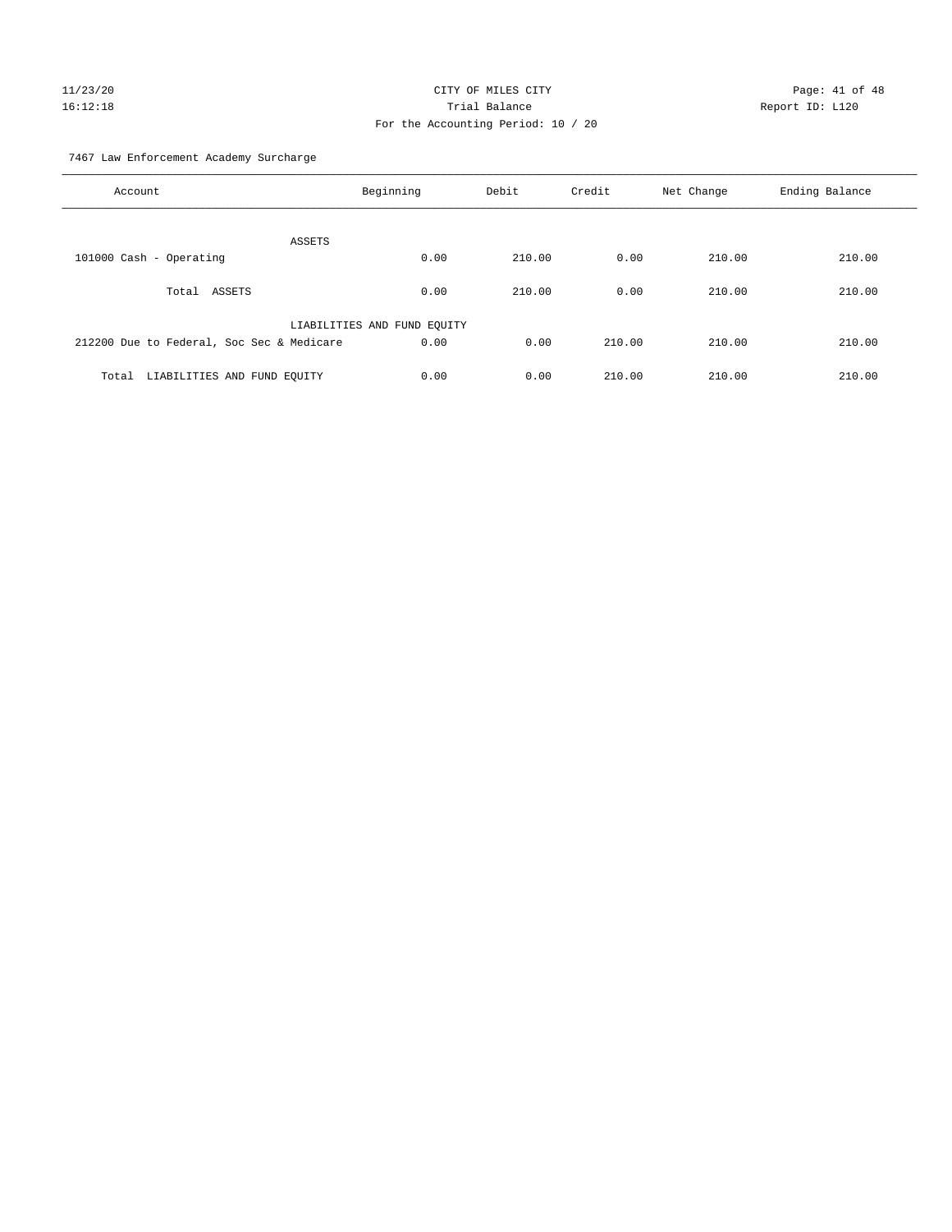# $11/23/20$  Page: 41 of 48 16:12:18 Trial Balance Report ID: L120 For the Accounting Period: 10 / 20

7467 Law Enforcement Academy Surcharge

| Account                                   | Beginning                   | Debit  | Credit | Net Change | Ending Balance |
|-------------------------------------------|-----------------------------|--------|--------|------------|----------------|
| ASSETS                                    |                             |        |        |            |                |
| 101000 Cash - Operating                   | 0.00                        | 210.00 | 0.00   | 210.00     | 210.00         |
| Total ASSETS                              | 0.00                        | 210.00 | 0.00   | 210.00     | 210.00         |
|                                           | LIABILITIES AND FUND EQUITY |        |        |            |                |
| 212200 Due to Federal, Soc Sec & Medicare | 0.00                        | 0.00   | 210.00 | 210.00     | 210.00         |
| LIABILITIES AND FUND EQUITY<br>Total      | 0.00                        | 0.00   | 210.00 | 210.00     | 210.00         |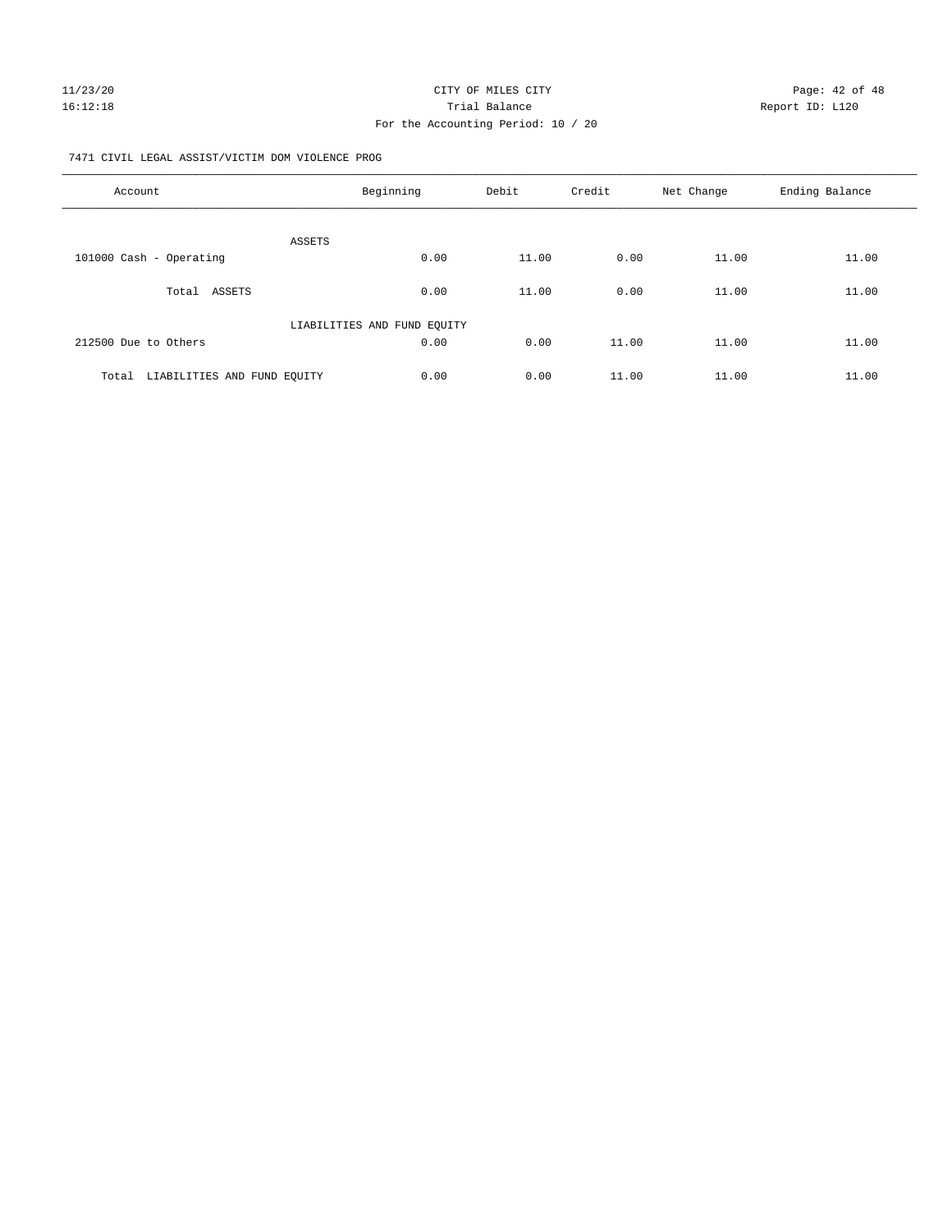# For the Accounting Period: 10 / 20

#### 7471 CIVIL LEGAL ASSIST/VICTIM DOM VIOLENCE PROG

| Account                              | Beginning                   | Debit | Credit | Net Change | Ending Balance |
|--------------------------------------|-----------------------------|-------|--------|------------|----------------|
|                                      |                             |       |        |            |                |
| 101000 Cash - Operating              | ASSETS<br>0.00              | 11.00 | 0.00   | 11.00      | 11.00          |
| Total ASSETS                         | 0.00                        | 11.00 | 0.00   | 11.00      | 11.00          |
|                                      | LIABILITIES AND FUND EQUITY |       |        |            |                |
| 212500 Due to Others                 | 0.00                        | 0.00  | 11.00  | 11.00      | 11.00          |
| LIABILITIES AND FUND EQUITY<br>Total | 0.00                        | 0.00  | 11.00  | 11.00      | 11.00          |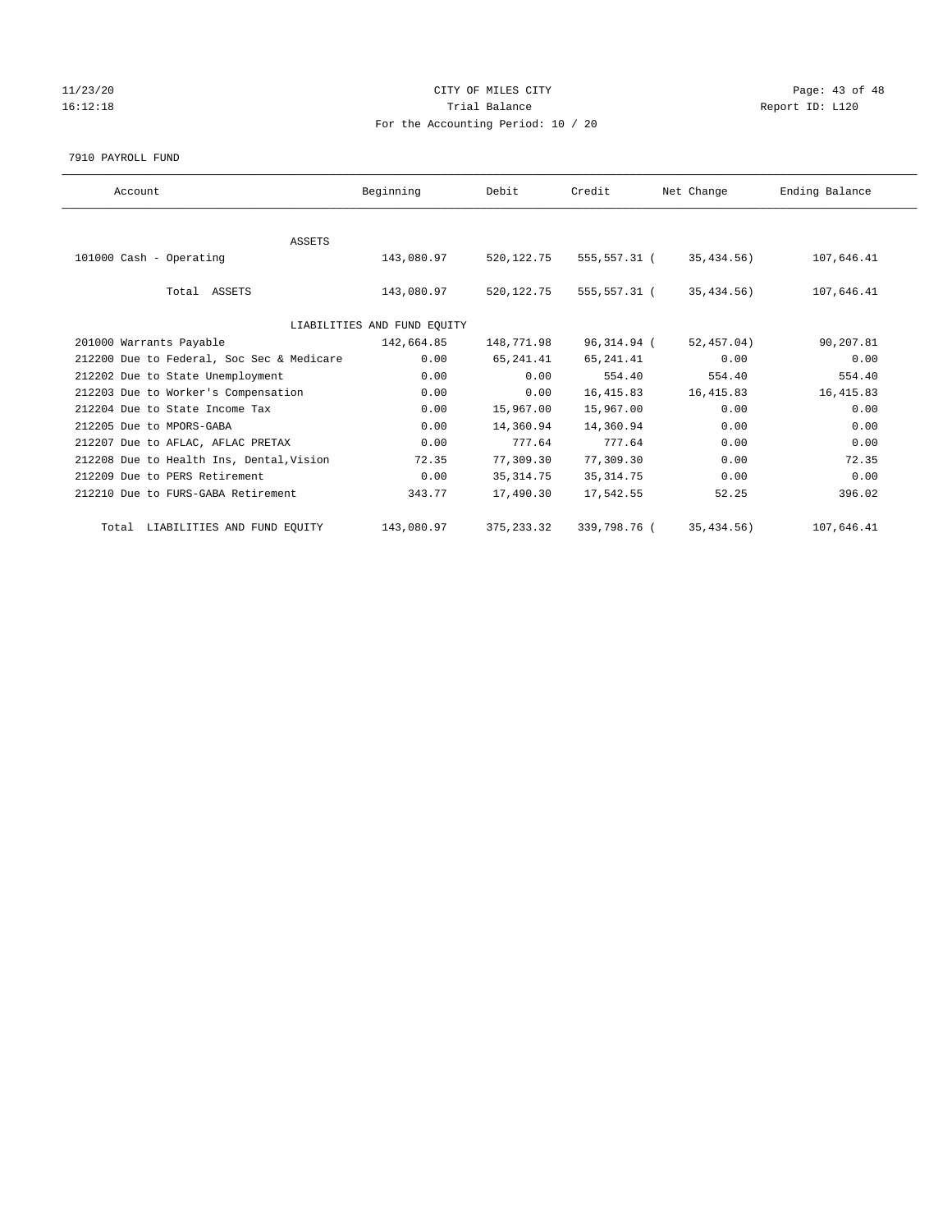#### $11/23/20$  Page: 43 of 48 16:12:18 Channel Balance Trial Balance Report ID: L120 For the Accounting Period: 10 / 20

#### 7910 PAYROLL FUND

| Account                                   | Beginning                   | Debit        | Credit       | Net Change  | Ending Balance |
|-------------------------------------------|-----------------------------|--------------|--------------|-------------|----------------|
|                                           |                             |              |              |             |                |
| <b>ASSETS</b>                             |                             |              |              |             |                |
| 101000 Cash - Operating                   | 143,080.97                  | 520, 122. 75 | 555,557.31 ( | 35,434.56)  | 107,646.41     |
|                                           |                             |              |              |             |                |
| Total ASSETS                              | 143,080.97                  | 520,122.75   | 555,557.31 ( | 35,434.56)  | 107,646.41     |
|                                           |                             |              |              |             |                |
|                                           | LIABILITIES AND FUND EQUITY |              |              |             |                |
| 201000 Warrants Payable                   | 142,664.85                  | 148,771.98   | 96,314.94 (  | 52,457.04)  | 90,207.81      |
| 212200 Due to Federal, Soc Sec & Medicare | 0.00                        | 65, 241.41   | 65,241.41    | 0.00        | 0.00           |
| 212202 Due to State Unemployment          | 0.00                        | 0.00         | 554.40       | 554.40      | 554.40         |
| 212203 Due to Worker's Compensation       | 0.00                        | 0.00         | 16, 415.83   | 16, 415.83  | 16, 415.83     |
| 212204 Due to State Income Tax            | 0.00                        | 15,967.00    | 15,967.00    | 0.00        | 0.00           |
| 212205 Due to MPORS-GABA                  | 0.00                        | 14,360.94    | 14,360.94    | 0.00        | 0.00           |
| 212207 Due to AFLAC, AFLAC PRETAX         | 0.00                        | 777.64       | 777.64       | 0.00        | 0.00           |
| 212208 Due to Health Ins, Dental, Vision  | 72.35                       | 77,309.30    | 77,309.30    | 0.00        | 72.35          |
| 212209 Due to PERS Retirement             | 0.00                        | 35, 314.75   | 35, 314.75   | 0.00        | 0.00           |
| 212210 Due to FURS-GABA Retirement        | 343.77                      | 17,490.30    | 17,542.55    | 52.25       | 396.02         |
| Total LIABILITIES AND FUND EQUITY         | 143,080.97                  | 375, 233.32  | 339,798.76 ( | 35, 434.56) | 107,646.41     |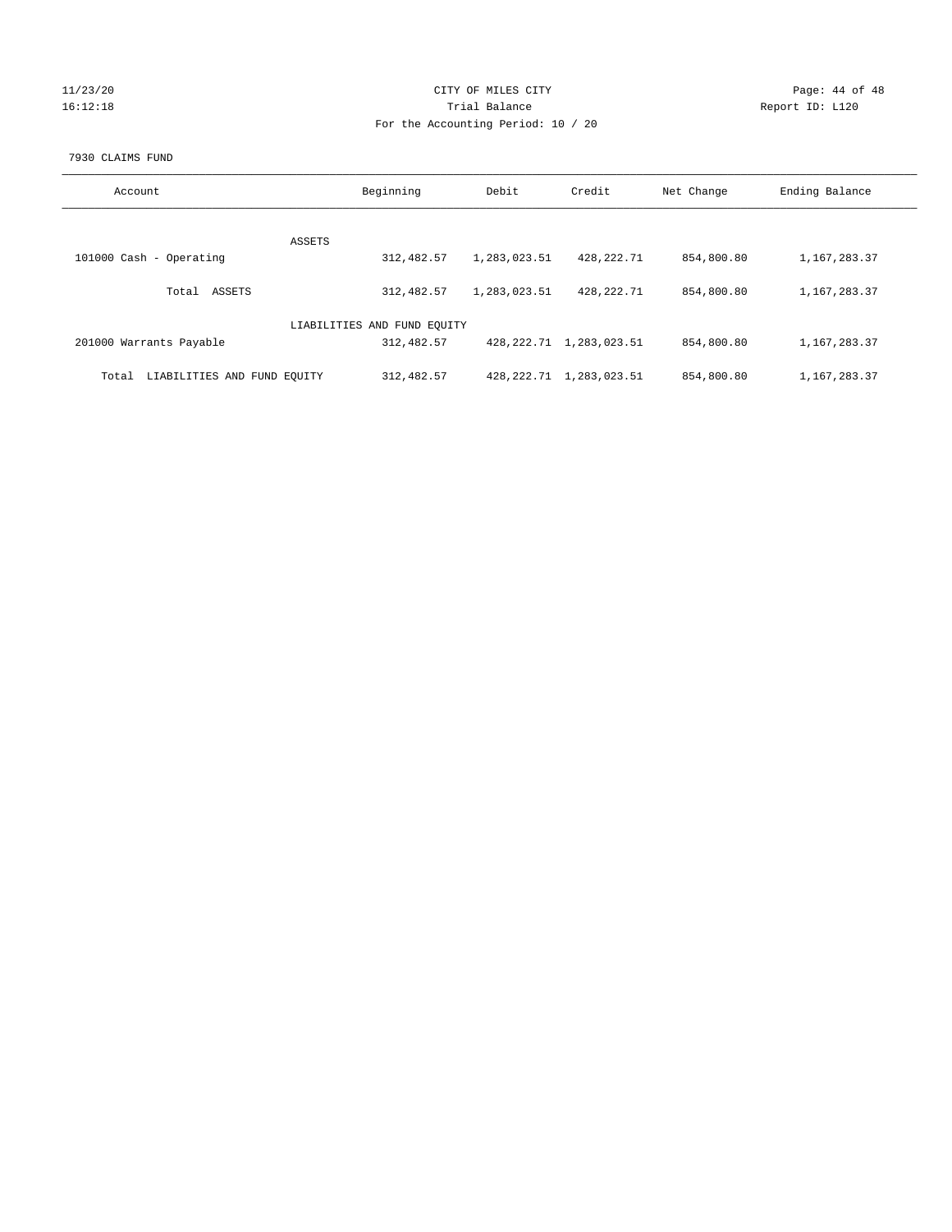# 11/23/20 Page: 44 of 48 16:12:18 Channel Balance Trial Balance Report ID: L120 For the Accounting Period: 10 / 20

#### 7930 CLAIMS FUND

| Account                              | Beginning                   | Debit        | Credit                       | Net Change | Ending Balance |
|--------------------------------------|-----------------------------|--------------|------------------------------|------------|----------------|
|                                      | <b>ASSETS</b>               |              |                              |            |                |
| 101000 Cash - Operating              | 312,482.57                  | 1,283,023.51 | 428,222.71                   | 854,800.80 | 1,167,283.37   |
| ASSETS<br>Total                      | 312,482.57                  | 1,283,023.51 | 428,222.71                   | 854,800.80 | 1,167,283.37   |
|                                      | LIABILITIES AND FUND EQUITY |              |                              |            |                |
| 201000 Warrants Payable              | 312,482.57                  |              | 428, 222. 71 1, 283, 023. 51 | 854,800.80 | 1,167,283.37   |
| LIABILITIES AND FUND EQUITY<br>Total | 312,482.57                  |              | 428, 222. 71 1, 283, 023. 51 | 854,800.80 | 1,167,283.37   |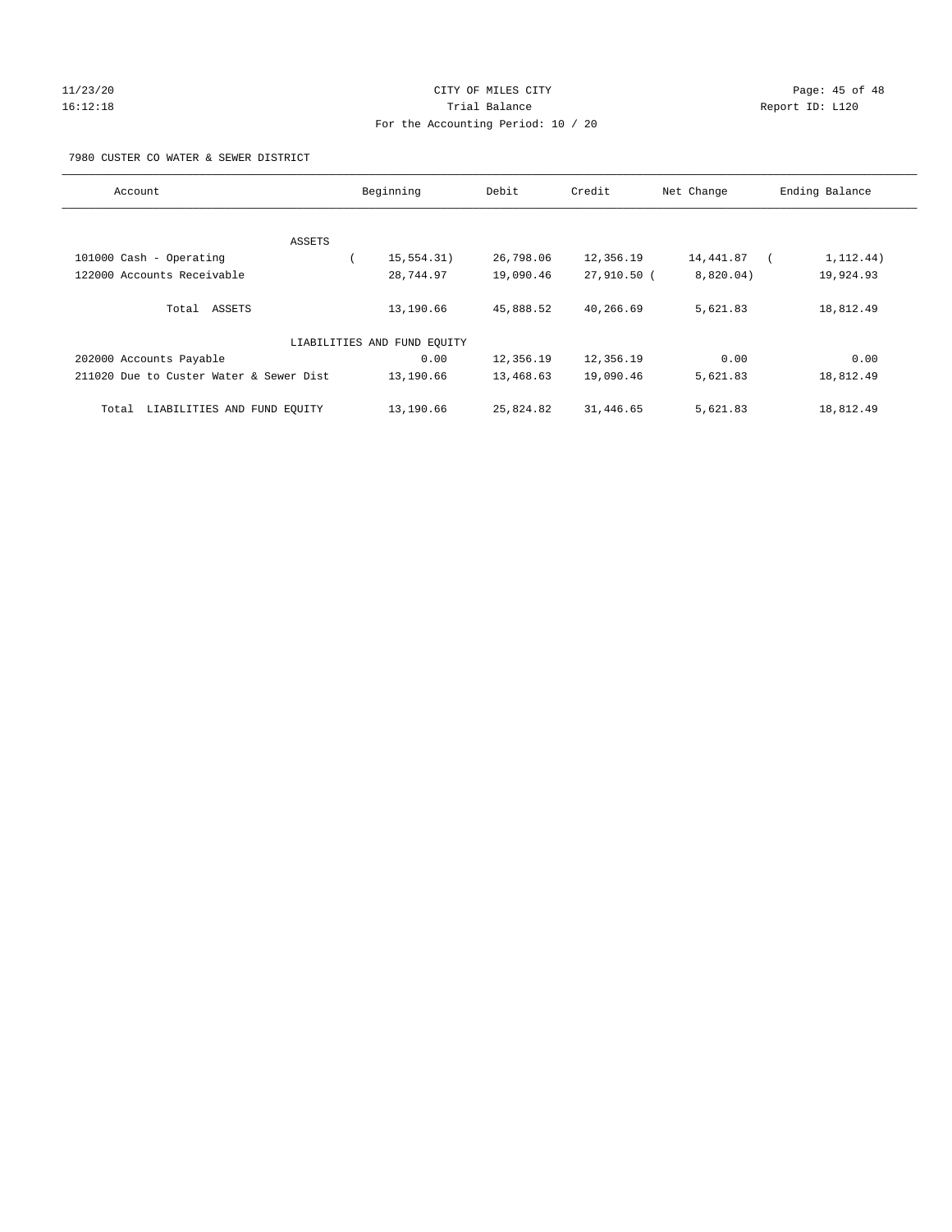#### 11/23/20 Page: 45 of 48 16:12:18 Trial Balance Report ID: L120 For the Accounting Period: 10 / 20

#### 7980 CUSTER CO WATER & SEWER DISTRICT

| Account                                 | Beginning                   | Debit     | Credit      | Net Change | Ending Balance |
|-----------------------------------------|-----------------------------|-----------|-------------|------------|----------------|
|                                         |                             |           |             |            |                |
| ASSETS                                  |                             |           |             |            |                |
| 101000 Cash - Operating                 | 15, 554.31)                 | 26,798.06 | 12,356.19   | 14,441.87  | 1, 112.44)     |
| 122000 Accounts Receivable              | 28,744.97                   | 19,090.46 | 27,910.50 ( | 8,820.04)  | 19,924.93      |
| Total ASSETS                            | 13,190.66                   | 45,888.52 | 40,266.69   | 5,621.83   | 18,812.49      |
|                                         | LIABILITIES AND FUND EQUITY |           |             |            |                |
| 202000 Accounts Payable                 | 0.00                        | 12,356.19 | 12,356.19   | 0.00       | 0.00           |
| 211020 Due to Custer Water & Sewer Dist | 13,190.66                   | 13,468.63 | 19,090.46   | 5,621.83   | 18,812.49      |
| LIABILITIES AND FUND EQUITY<br>Total    | 13,190.66                   | 25,824.82 | 31,446.65   | 5,621.83   | 18,812.49      |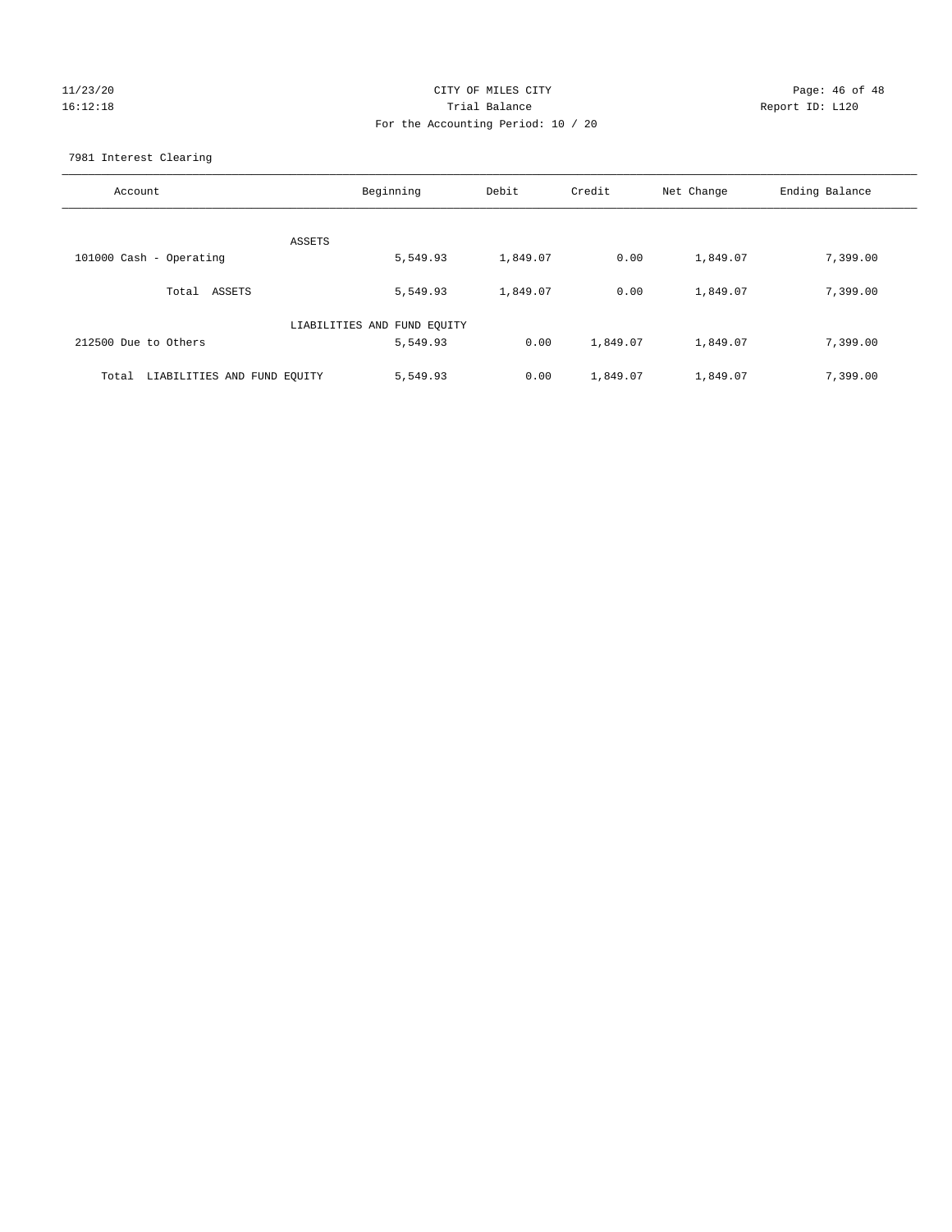# 11/23/20 Page: 46 of 48 16:12:18 Trial Balance Report ID: L120 For the Accounting Period: 10 / 20

7981 Interest Clearing

| Account                              | Beginning                   | Debit    | Credit   | Net Change | Ending Balance |
|--------------------------------------|-----------------------------|----------|----------|------------|----------------|
|                                      | ASSETS                      |          |          |            |                |
| 101000 Cash - Operating              | 5,549.93                    | 1,849.07 | 0.00     | 1,849.07   | 7,399.00       |
| Total ASSETS                         | 5,549.93                    | 1,849.07 | 0.00     | 1,849.07   | 7,399.00       |
|                                      | LIABILITIES AND FUND EQUITY |          |          |            |                |
| 212500 Due to Others                 | 5,549.93                    | 0.00     | 1,849.07 | 1,849.07   | 7,399.00       |
| LIABILITIES AND FUND EQUITY<br>Total | 5,549.93                    | 0.00     | 1,849.07 | 1,849.07   | 7,399.00       |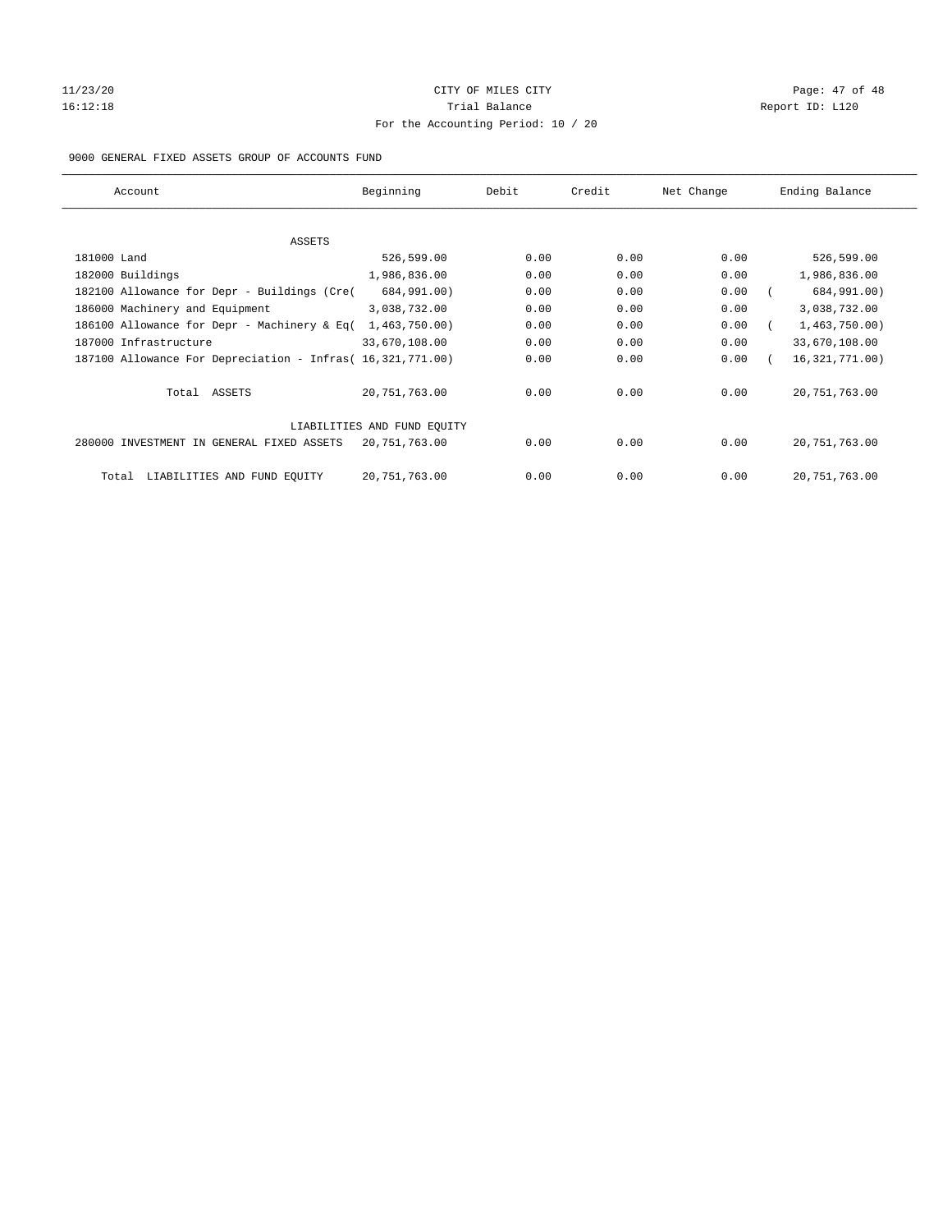# 11/23/20 Page: 47 of 48 16:12:18 Channel Balance Trial Balance Report ID: L120 For the Accounting Period: 10 / 20

#### 9000 GENERAL FIXED ASSETS GROUP OF ACCOUNTS FUND

| Account                                                    | Beginning                   | Debit | Credit | Net Change | Ending Balance   |
|------------------------------------------------------------|-----------------------------|-------|--------|------------|------------------|
| ASSETS                                                     |                             |       |        |            |                  |
| 181000 Land                                                | 526,599.00                  | 0.00  | 0.00   | 0.00       | 526,599.00       |
| 182000 Buildings                                           | 1,986,836.00                | 0.00  | 0.00   | 0.00       | 1,986,836.00     |
| 182100 Allowance for Depr - Buildings (Cre(                | 684,991.00)                 | 0.00  | 0.00   | 0.00       | 684,991.00)      |
| 186000 Machinery and Equipment                             | 3,038,732.00                | 0.00  | 0.00   | 0.00       | 3,038,732.00     |
| 186100 Allowance for Depr - Machinery & Eq(                | 1,463,750.00)               | 0.00  | 0.00   | 0.00       | 1,463,750.00)    |
| 187000 Infrastructure                                      | 33,670,108.00               | 0.00  | 0.00   | 0.00       | 33,670,108.00    |
| 187100 Allowance For Depreciation - Infras( 16,321,771.00) |                             | 0.00  | 0.00   | 0.00       | 16, 321, 771.00) |
| Total ASSETS                                               | 20,751,763.00               | 0.00  | 0.00   | 0.00       | 20, 751, 763.00  |
|                                                            | LIABILITIES AND FUND EQUITY |       |        |            |                  |
| 280000 INVESTMENT IN GENERAL FIXED ASSETS                  | 20,751,763.00               | 0.00  | 0.00   | 0.00       | 20, 751, 763.00  |
| LIABILITIES AND FUND EQUITY<br>Total                       | 20,751,763.00               | 0.00  | 0.00   | 0.00       | 20, 751, 763.00  |